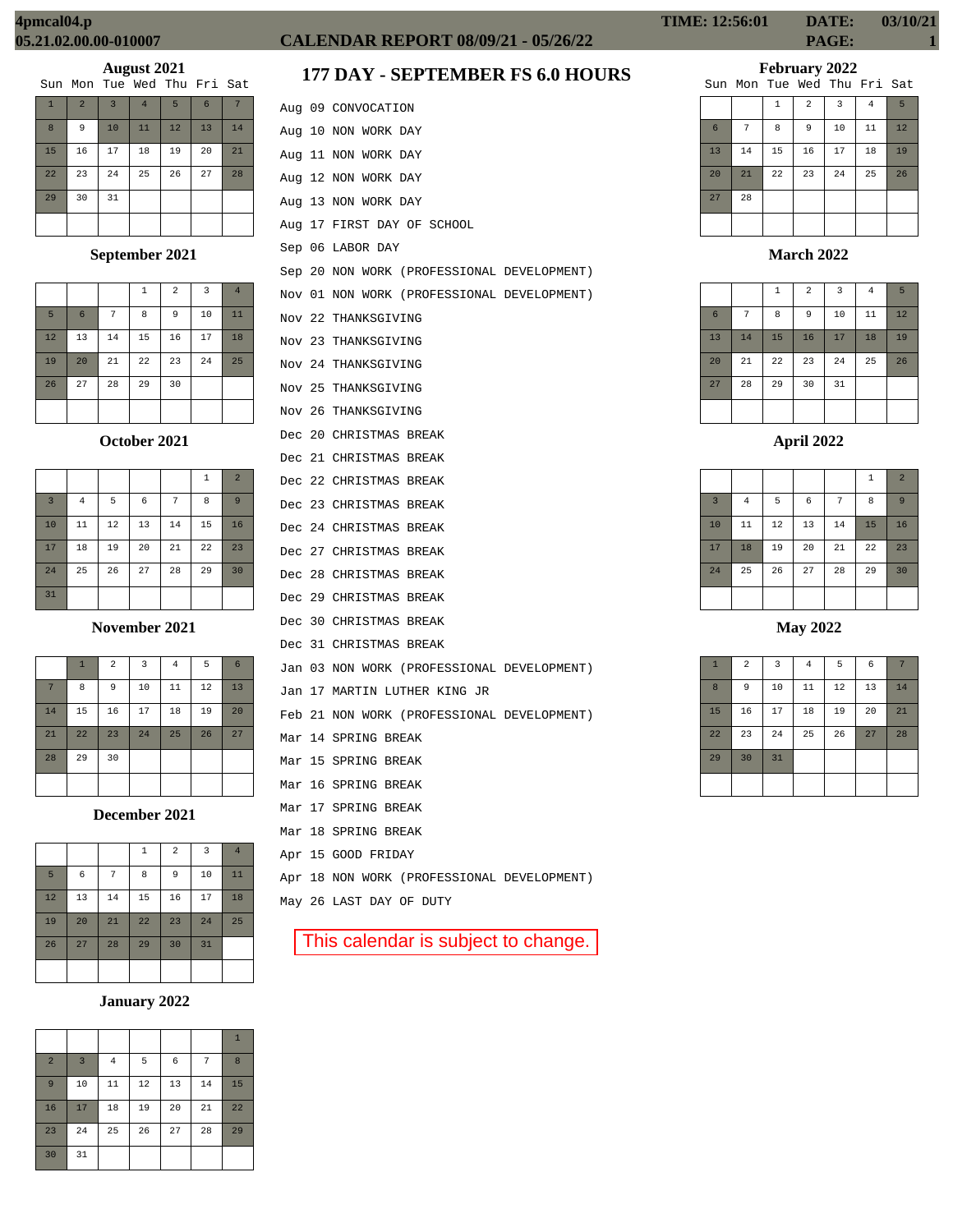| Sun Mon Tue Wed Thu Fri Sat |  |  |  |  |  |  |  |
|-----------------------------|--|--|--|--|--|--|--|
|-----------------------------|--|--|--|--|--|--|--|

| $\mathbf{1}$ | $\overline{2}$ | $\overline{3}$ | $\overline{4}$ | 5  | 6  |    |
|--------------|----------------|----------------|----------------|----|----|----|
| 8            | 9              | 10             | 11             | 12 | 13 | 14 |
| 15           | 16             | 17             | 18             | 19 | 20 | 21 |
| 22           | 23             | 24             | 25             | 26 | 27 | 28 |
| 29           | 30             | 31             |                |    |    |    |
|              |                |                |                |    |    |    |

# **September 2021**

|    |                 |    | 1  | $\overline{a}$ | 3  | $\overline{4}$ |
|----|-----------------|----|----|----------------|----|----------------|
| 5  | $6\phantom{1}6$ | 7  | 8  | 9              | 10 | 11             |
| 12 | 13              | 14 | 15 | 16             | 17 | 18             |
| 19 | 20              | 21 | 22 | 23             | 24 | 25             |
| 26 | 27              | 28 | 29 | 30             |    |                |
|    |                 |    |    |                |    |                |

**October 2021**

|                |                |    |    |    | $\mathbf{1}$ | $\overline{2}$ |
|----------------|----------------|----|----|----|--------------|----------------|
| $\overline{3}$ | $\overline{4}$ | 5  | 6  | 7  | 8            | 9              |
| 10             | 11             | 12 | 13 | 14 | 15           | 16             |
| 17             | 18             | 19 | 20 | 21 | 22           | 23             |
| 24             | 25             | 26 | 27 | 28 | 29           | 30             |
| 31             |                |    |    |    |              |                |

**November 2021**

|    | $\mathbf{1}$ | $\overline{2}$ | 3  | $\overline{4}$ | 5  | 6  |
|----|--------------|----------------|----|----------------|----|----|
| 7  | 8            | 9              | 10 | 11             | 12 | 13 |
| 14 | 15           | 16             | 17 | 18             | 19 | 20 |
| 21 | 22           | 23             | 24 | 25             | 26 | 27 |
| 28 | 29           | 30             |    |                |    |    |
|    |              |                |    |                |    |    |

**December 2021**

|    |    |    | 1  | $\sqrt{2}$ | $\overline{3}$ | $\overline{4}$ |
|----|----|----|----|------------|----------------|----------------|
| 5  | 6  | 7  | 8  | 9          | 10             | 11             |
| 12 | 13 | 14 | 15 | 16         | 17             | 18             |
| 19 | 20 | 21 | 22 | 23         | 24             | 25             |
| 26 | 27 | 28 | 29 | 30         | 31             |                |
|    |    |    |    |            |                |                |

# **January 2022**

|                |                |                |    |    |    | $\mathbf{1}$ |
|----------------|----------------|----------------|----|----|----|--------------|
| $\overline{2}$ | $\overline{3}$ | $\overline{4}$ | 5  | 6  | 7  | 8            |
| 9              | 10             | 11             | 12 | 13 | 14 | 15           |
| 16             | 17             | 18             | 19 | 20 | 21 | 22           |
| 23             | 24             | 25             | 26 | 27 | 28 | 29           |
| 30             | 31             |                |    |    |    |              |

# **CALENDAR REPORT 08/09/21 - 05/26/22 PAGE: 1**

# **177 DAY - SEPTEMBER FS 6.0 HOURS**

|        | Aug 09 CONVOCATION                         |
|--------|--------------------------------------------|
|        | Aug 10 NON WORK DAY                        |
|        | Aug 11 NON WORK DAY                        |
|        | Aug 12 NON WORK DAY                        |
|        | Aug 13 NON WORK DAY                        |
|        | Aug 17 FIRST DAY OF SCHOOL                 |
|        | Sep 06 LABOR DAY                           |
|        | Sep 20 NON WORK (PROFESSIONAL DEVELOPMENT) |
| Nov 01 | NON WORK (PROFESSIONAL DEVELOPMENT)        |
| Nov 22 | THANKSGIVING                               |
| Nov 23 | THANKSGIVING                               |
|        | Nov 24 THANKSGIVING                        |
| Nov 25 | THANKSGIVING                               |
| Nov 26 | THANKSGIVING                               |
|        | Dec 20 CHRISTMAS BREAK                     |
|        | Dec 21 CHRISTMAS BREAK                     |
|        | Dec 22 CHRISTMAS BREAK                     |
|        | Dec 23 CHRISTMAS BREAK                     |
|        | Dec 24 CHRISTMAS BREAK                     |
|        | Dec 27 CHRISTMAS BREAK                     |
|        | Dec 28 CHRISTMAS BREAK                     |
|        | Dec 29 CHRISTMAS BREAK                     |
|        | Dec 30 CHRISTMAS BREAK                     |
|        | Dec 31 CHRISTMAS BREAK                     |
|        | Jan 03 NON WORK (PROFESSIONAL DEVELOPMENT) |
| Jan    | 17 MARTIN LUTHER KING JR                   |
|        | Feb 21 NON WORK (PROFESSIONAL DEVELOPMENT) |
|        | Mar 14 SPRING BREAK                        |
|        | Mar 15 SPRING BREAK                        |
|        | Mar 16 SPRING BREAK                        |
|        | Mar 17 SPRING BREAK                        |
| Mar    | 18 SPRING BREAK                            |
|        | Apr 15 GOOD FRIDAY                         |
|        | Apr 18 NON WORK (PROFESSIONAL DEVELOPMENT) |
|        | May 26 LAST DAY OF DUTY                    |
|        |                                            |
|        | This calendar is subject to change.        |

# **TIME: 12:56:01 DATE: 03/10/21**

**February 2022**

|    |    |              |                | Sun Mon Tue Wed Thu Fri Sat |                |    |
|----|----|--------------|----------------|-----------------------------|----------------|----|
|    |    | $\mathbf{1}$ | $\overline{a}$ | 3                           | $\overline{4}$ | 5  |
| 6  | 7  | 8            | 9              | 10                          | 11             | 12 |
| 13 | 14 | 15           | 16             | 17                          | 18             | 19 |
| 20 | 21 | 22           | 23             | 24                          | 25             | 26 |
| 27 | 28 |              |                |                             |                |    |
|    |    |              |                |                             |                |    |

**March 2022**

|                 |    | $\,1\,$ | $\overline{2}$ | $\overline{3}$ | $\overline{4}$ | 5  |
|-----------------|----|---------|----------------|----------------|----------------|----|
| $6\phantom{1}6$ | 7  | 8       | 9              | 10             | 11             | 12 |
| 13              | 14 | 15      | 16             | 17             | 18             | 19 |
| 20              | 21 | 22      | 23             | 24             | 25             | 26 |
| 27              | 28 | 29      | 30             | 31             |                |    |
|                 |    |         |                |                |                |    |

**April 2022**

|                         |                |    |            |    | 1  | $\overline{2}$ |
|-------------------------|----------------|----|------------|----|----|----------------|
| $\overline{\mathbf{3}}$ | $\overline{4}$ | 5  | $\epsilon$ | 7  | 8  | 9              |
| 10                      | 11             | 12 | 13         | 14 | 15 | 16             |
| 17                      | 18             | 19 | 20         | 21 | 22 | 23             |
| 24                      | 25             | 26 | 27         | 28 | 29 | 30             |
|                         |                |    |            |    |    |                |

**May 2022**

| $\mathbf{1}$ | $\overline{a}$ | 3  | $\overline{4}$ | 5  | 6  | 7  |
|--------------|----------------|----|----------------|----|----|----|
| 8            | 9              | 10 | 11             | 12 | 13 | 14 |
| 15           | 16             | 17 | 18             | 19 | 20 | 21 |
| 22           | 23             | 24 | 25             | 26 | 27 | 28 |
| 29           | 30             | 31 |                |    |    |    |
|              |                |    |                |    |    |    |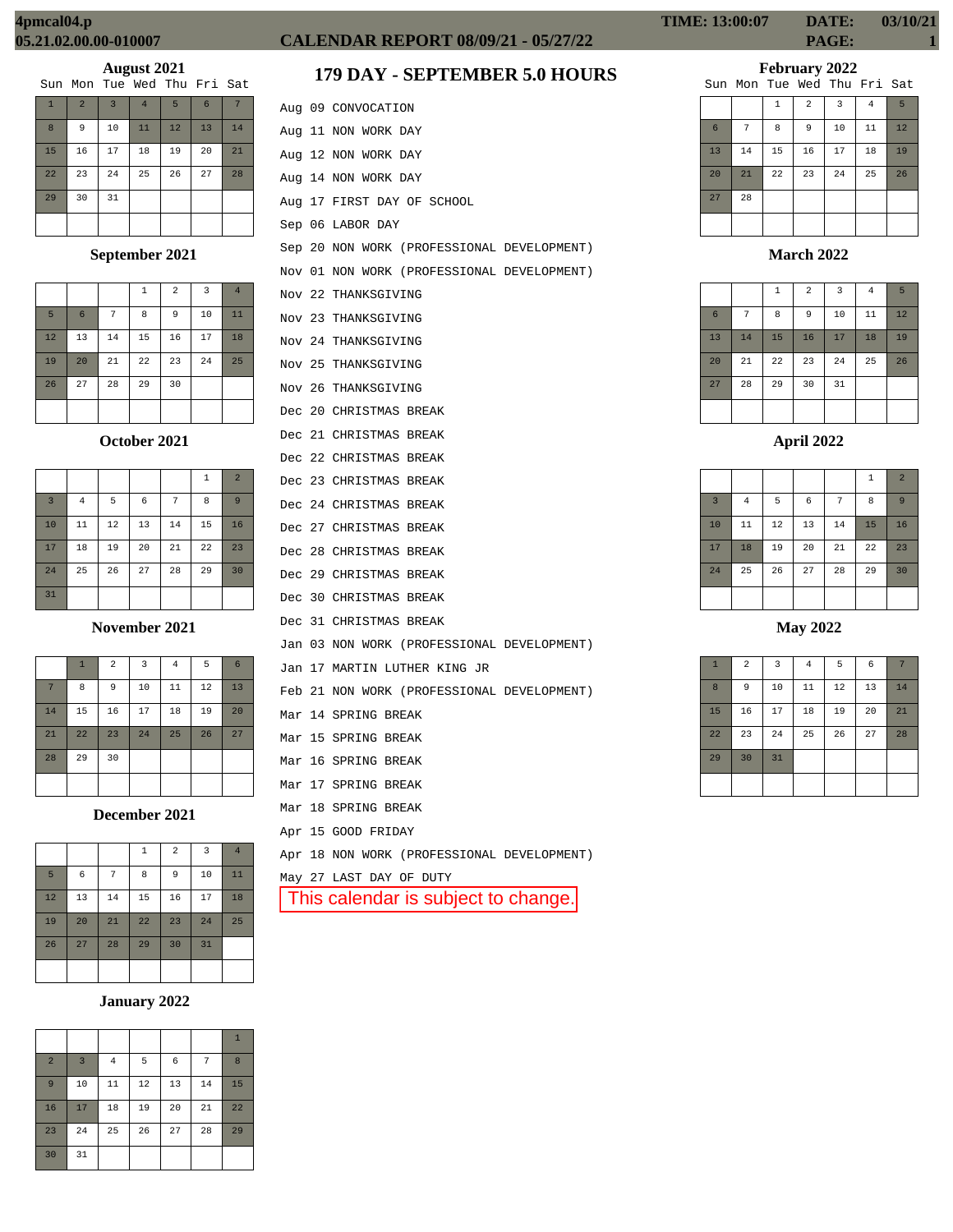| Sun Mon Tue Wed Thu Fri Sat |  |  |  |  |  |  |  |  |
|-----------------------------|--|--|--|--|--|--|--|--|
|-----------------------------|--|--|--|--|--|--|--|--|

| $\mathbf{1}$ | $\overline{2}$ | $\overline{3}$ | $\overline{4}$ | 5  | $6\phantom{1}6$ |    |
|--------------|----------------|----------------|----------------|----|-----------------|----|
| 8            | 9              | 10             | 11             | 12 | 13              | 14 |
| 15           | 16             | 17             | 18             | 19 | 20              | 21 |
| 22           | 23             | 24             | 25             | 26 | 27              | 28 |
| 29           | 30             | 31             |                |    |                 |    |
|              |                |                |                |    |                 |    |

# **September 2021**

|    |                 |    | 1  | $\overline{2}$ | 3  | $\overline{4}$ |
|----|-----------------|----|----|----------------|----|----------------|
| 5  | $6\phantom{1}6$ | 7  | 8  | 9              | 10 | 11             |
| 12 | 13              | 14 | 15 | 16             | 17 | 18             |
| 19 | 20              | 21 | 22 | 23             | 24 | 25             |
| 26 | 27              | 28 | 29 | 30             |    |                |
|    |                 |    |    |                |    |                |

# **October 2021**

|                |                |    |    |    | $\mathbf{1}$ | $\overline{2}$ |
|----------------|----------------|----|----|----|--------------|----------------|
| $\overline{3}$ | $\overline{4}$ | 5  | 6  | 7  | 8            | 9              |
| 10             | 11             | 12 | 13 | 14 | 15           | 16             |
| 17             | 18             | 19 | 20 | 21 | 22           | 23             |
| 24             | 25             | 26 | 27 | 28 | 29           | 30             |
| 31             |                |    |    |    |              |                |

**November 2021**

|                | $\mathbf{1}$ | $\overline{a}$ | 3  | $\overline{4}$ | 5  | 6  |
|----------------|--------------|----------------|----|----------------|----|----|
| $\overline{7}$ | 8            | 9              | 10 | 11             | 12 | 13 |
| 14             | 15           | 16             | 17 | 18             | 19 | 20 |
| 21             | 22           | 23             | 24 | 25             | 26 | 27 |
| 28             | 29           | 30             |    |                |    |    |
|                |              |                |    |                |    |    |

**December 2021**

|    |    |    | 1  | $\overline{a}$ | 3  | $\overline{4}$ |
|----|----|----|----|----------------|----|----------------|
| 5  | 6  | 7  | 8  | 9              | 10 | 11             |
| 12 | 13 | 14 | 15 | 16             | 17 | 18             |
| 19 | 20 | 21 | 22 | 23             | 24 | 25             |
| 26 | 27 | 28 | 29 | 30             | 31 |                |
|    |    |    |    |                |    |                |

# **January 2022**

|                |                |                |    |    |    | $\mathbf{1}$ |
|----------------|----------------|----------------|----|----|----|--------------|
| $\overline{2}$ | $\overline{3}$ | $\overline{4}$ | 5  | 6  | 7  | 8            |
| 9              | 10             | 11             | 12 | 13 | 14 | 15           |
| 16             | 17             | 18             | 19 | 20 | 21 | 22           |
| 23             | 24             | 25             | 26 | 27 | 28 | 29           |
| 30             | 31             |                |    |    |    |              |

# **CALENDAR REPORT 08/09/21 - 05/27/22 PAGE: 1**

# **179 DAY - SEPTEMBER 5.0 HOURS**

|  | Aug 09 CONVOCATION                         |
|--|--------------------------------------------|
|  | Aug 11 NON WORK DAY                        |
|  | Aug 12 NON WORK DAY                        |
|  | Aug 14 NON WORK DAY                        |
|  | Aug 17 FIRST DAY OF SCHOOL                 |
|  | Sep 06 LABOR DAY                           |
|  | Sep 20 NON WORK (PROFESSIONAL DEVELOPMENT) |
|  | Nov 01 NON WORK (PROFESSIONAL DEVELOPMENT) |
|  | Nov 22 THANKSGIVING                        |
|  | Nov 23 THANKSGIVING                        |
|  | Nov 24 THANKSGIVING                        |
|  | Nov 25 THANKSGIVING                        |
|  | Nov 26 THANKSGIVING                        |
|  | Dec 20 CHRISTMAS BREAK                     |
|  | Dec 21 CHRISTMAS BREAK                     |
|  | Dec 22 CHRISTMAS BREAK                     |
|  | Dec 23 CHRISTMAS BREAK                     |
|  | Dec 24 CHRISTMAS BREAK                     |
|  | Dec 27 CHRISTMAS BREAK                     |
|  | Dec 28 CHRISTMAS BREAK                     |
|  | Dec 29 CHRISTMAS BREAK                     |
|  | Dec 30 CHRISTMAS BREAK                     |
|  | Dec 31 CHRISTMAS BREAK                     |
|  | Jan 03 NON WORK (PROFESSIONAL DEVELOPMENT) |
|  | Jan 17 MARTIN LUTHER KING JR               |
|  | Feb 21 NON WORK (PROFESSIONAL DEVELOPMENT) |
|  | Mar 14 SPRING BREAK                        |
|  | Mar 15 SPRING BREAK                        |
|  | Mar 16 SPRING BREAK                        |
|  | Mar 17 SPRING BREAK                        |
|  | Mar 18 SPRING BREAK                        |
|  | Apr 15 GOOD FRIDAY                         |
|  | Apr 18 NON WORK (PROFESSIONAL DEVELOPMENT) |
|  | May 27 LAST DAY OF DUTY                    |
|  | This calendar is subject to change.        |
|  |                                            |
|  |                                            |

# **TIME: 13:00:07 DATE: 03/10/21**

**February 2022**

|    |    |              |    | Sun Mon Tue Wed Thu Fri Sat |                |                 |
|----|----|--------------|----|-----------------------------|----------------|-----------------|
|    |    | $\mathbf{1}$ | 2  | $\overline{3}$              | $\overline{4}$ | $5\overline{5}$ |
| 6  | 7  | 8            | 9  | 10                          | 11             | 12              |
| 13 | 14 | 15           | 16 | 17                          | 18             | 19              |
| 20 | 21 | 22           | 23 | 24                          | 25             | 26              |
| 27 | 28 |              |    |                             |                |                 |
|    |    |              |    |                             |                |                 |

**March 2022**

|                 |    | $\,1\,$ | $\overline{2}$ | 3  | $\overline{4}$ | 5  |
|-----------------|----|---------|----------------|----|----------------|----|
| $6\phantom{1}6$ | 7  | 8       | 9              | 10 | 11             | 12 |
| 13              | 14 | 15      | 16             | 17 | 18             | 19 |
| 20              | 21 | 22      | 23             | 24 | 25             | 26 |
| 27              | 28 | 29      | 30             | 31 |                |    |
|                 |    |         |                |    |                |    |

|                |          |        |    |    | $\mathbf{1}$ | $\overline{2}$ |
|----------------|----------|--------|----|----|--------------|----------------|
| $\overline{3}$ | $\bf{4}$ | 5      | 6  | 7  | 8            | $\overline{9}$ |
| 10             | 11       | $12\,$ | 13 | 14 | 15           | 16             |
| 17             | 18       | 19     | 20 | 21 | 22           | 23             |
| 24             | 25       | 26     | 27 | 28 | 29           | 30             |
|                |          |        |    |    |              |                |

**May 2022**

| $\overline{1}$ | $\overline{2}$ | 3  | $\overline{4}$ | 5  | 6  |    |
|----------------|----------------|----|----------------|----|----|----|
| 8              | 9              | 10 | 11             | 12 | 13 | 14 |
| 15             | 16             | 17 | 18             | 19 | 20 | 21 |
| 22             | 23             | 24 | 25             | 26 | 27 | 28 |
| 29             | 30             | 31 |                |    |    |    |
|                |                |    |                |    |    |    |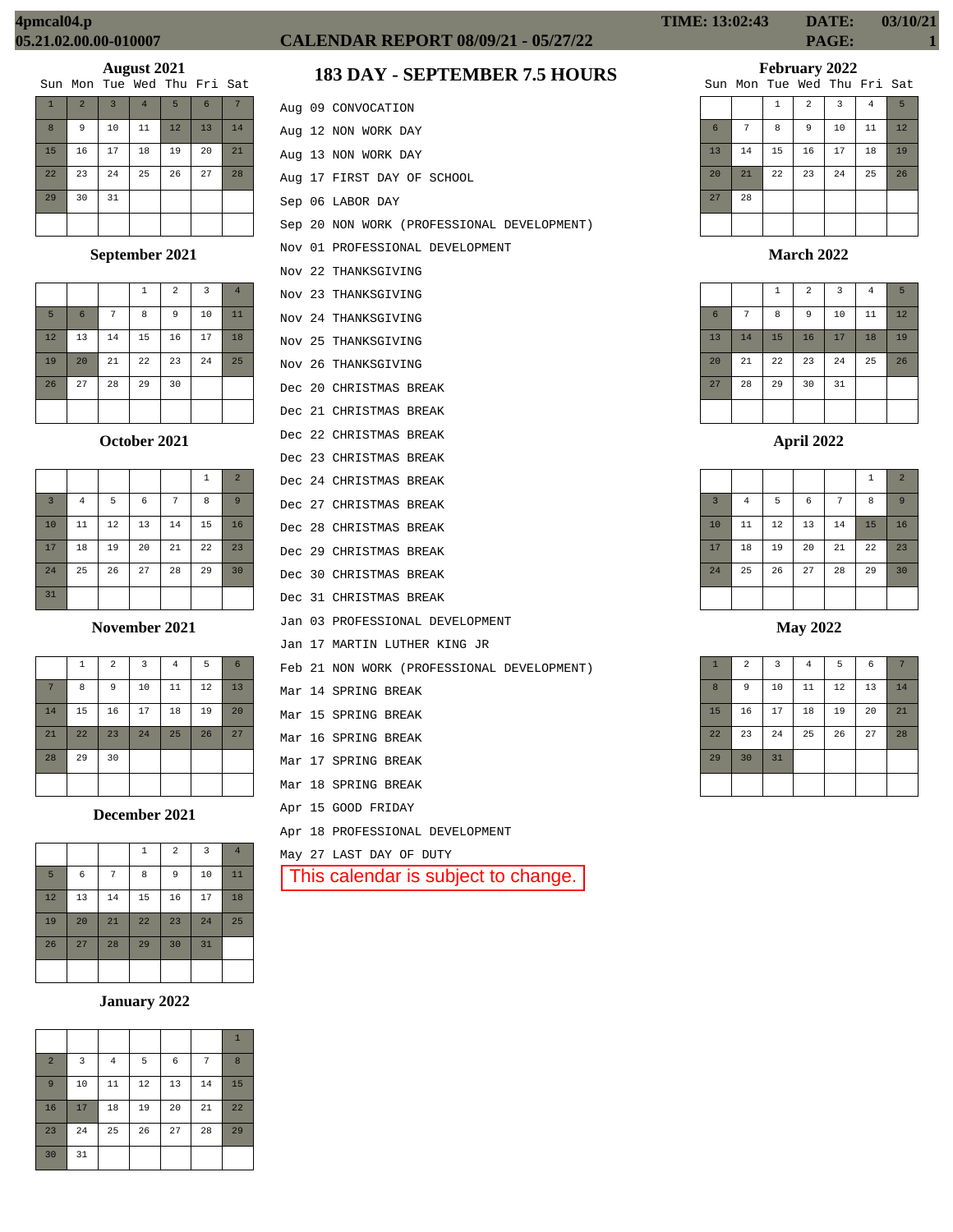| Sun Mon Tue Wed Thu Fri Sat |  |  |  |  |  |  |  |
|-----------------------------|--|--|--|--|--|--|--|
|-----------------------------|--|--|--|--|--|--|--|

| $\mathbf{1}$ | $\overline{2}$ | $\overline{3}$ | $\overline{4}$ | 5  | 6  | 7  |
|--------------|----------------|----------------|----------------|----|----|----|
| 8            | 9              | 10             | 11             | 12 | 13 | 14 |
| 15           | 16             | 17             | 18             | 19 | 20 | 21 |
| 22           | 23             | 24             | 25             | 26 | 27 | 28 |
| 29           | 30             | 31             |                |    |    |    |
|              |                |                |                |    |    |    |

# **September 2021**

|    |    |    | 1  | $\overline{a}$ | 3  | $\overline{4}$ |
|----|----|----|----|----------------|----|----------------|
| 5  | 6  | 7  | 8  | 9              | 10 | 11             |
| 12 | 13 | 14 | 15 | 16             | 17 | 18             |
| 19 | 20 | 21 | 22 | 23             | 24 | 25             |
| 26 | 27 | 28 | 29 | 30             |    |                |
|    |    |    |    |                |    |                |

## **October 2021**

|                |                |    |    |    | 1  | $\overline{2}$ |
|----------------|----------------|----|----|----|----|----------------|
| $\overline{3}$ | $\overline{4}$ | 5  | 6  | 7  | 8  | 9              |
| 10             | 11             | 12 | 13 | 14 | 15 | 16             |
| 17             | 18             | 19 | 20 | 21 | 22 | 23             |
| 24             | 25             | 26 | 27 | 28 | 29 | 30             |
| 31             |                |    |    |    |    |                |

**November 2021**

|    | $\mathbf{1}$ | $\overline{a}$ | 3  | $\overline{4}$ | 5  | 6  |
|----|--------------|----------------|----|----------------|----|----|
| 7  | 8            | 9              | 10 | 11             | 12 | 13 |
| 14 | 15           | 16             | 17 | 18             | 19 | 20 |
| 21 | 22           | 23             | 24 | 25             | 26 | 27 |
| 28 | 29           | 30             |    |                |    |    |
|    |              |                |    |                |    |    |

**December 2021**

|    |    |    | 1  | $\overline{a}$ | $\overline{3}$ | $\overline{4}$ |
|----|----|----|----|----------------|----------------|----------------|
| 5  | 6  | 7  | 8  | 9              | 10             | 11             |
| 12 | 13 | 14 | 15 | 16             | 17             | 18             |
| 19 | 20 | 21 | 22 | 23             | 24             | 25             |
| 26 | 27 | 28 | 29 | 30             | 31             |                |
|    |    |    |    |                |                |                |

# **January 2022**

| $\overline{2}$ | 3  | $\overline{4}$ | 5  | 6  | 7  | 8  |
|----------------|----|----------------|----|----|----|----|
| 9              | 10 | 11             | 12 | 13 | 14 | 15 |
| 16             | 17 | 18             | 19 | 20 | 21 | 22 |
| 23             | 24 | 25             | 26 | 27 | 28 | 29 |
| 30             | 31 |                |    |    |    |    |

# **CALENDAR REPORT 08/09/21 - 05/27/22 PAGE: 1**

# **183 DAY - SEPTEMBER 7.5 HOURS**

|  | Aug 09 CONVOCATION                         |
|--|--------------------------------------------|
|  | Aug 12 NON WORK DAY                        |
|  | Aug 13 NON WORK DAY                        |
|  | Aug 17 FIRST DAY OF SCHOOL                 |
|  | Sep 06 LABOR DAY                           |
|  | Sep 20 NON WORK (PROFESSIONAL DEVELOPMENT) |
|  | Nov 01 PROFESSIONAL DEVELOPMENT            |
|  | Nov 22 THANKSGIVING                        |
|  | Nov 23 THANKSGIVING                        |
|  | Nov 24 THANKSGIVING                        |
|  | Nov 25 THANKSGIVING                        |
|  | Nov 26 THANKSGIVING                        |
|  | Dec 20 CHRISTMAS BREAK                     |
|  | Dec 21 CHRISTMAS BREAK                     |
|  | Dec 22 CHRISTMAS BREAK                     |
|  | Dec 23 CHRISTMAS BREAK                     |
|  | Dec 24 CHRISTMAS BREAK                     |
|  | Dec 27 CHRISTMAS BREAK                     |
|  | Dec 28 CHRISTMAS BREAK                     |
|  | Dec 29 CHRISTMAS BREAK                     |
|  | Dec 30 CHRISTMAS BREAK                     |
|  | Dec 31 CHRISTMAS BREAK                     |
|  | Jan 03 PROFESSIONAL DEVELOPMENT            |
|  | Jan 17 MARTIN LUTHER KING JR               |
|  | Feb 21 NON WORK (PROFESSIONAL DEVELOPMENT) |
|  | Mar 14 SPRING BREAK                        |
|  | Mar 15 SPRING BREAK                        |
|  | Mar 16 SPRING BREAK                        |
|  | Mar 17 SPRING BREAK                        |
|  | Mar 18 SPRING BREAK                        |
|  | Apr 15 GOOD FRIDAY                         |
|  | Apr 18 PROFESSIONAL DEVELOPMENT            |
|  | May 27 LAST DAY OF DUTY                    |
|  | This calendar is subject to change.        |
|  |                                            |

# **February 2022**

|    |    |              |                | Sun Mon Tue Wed Thu Fri Sat |                |    |
|----|----|--------------|----------------|-----------------------------|----------------|----|
|    |    | $\mathbf{1}$ | $\overline{a}$ | 3                           | $\overline{4}$ | 5  |
| 6  | 7  | 8            | 9              | 10                          | 11             | 12 |
| 13 | 14 | 15           | 16             | 17                          | 18             | 19 |
| 20 | 21 | 22           | 23             | 24                          | 25             | 26 |
| 27 | 28 |              |                |                             |                |    |
|    |    |              |                |                             |                |    |

# **March 2022**

|                |    | $\mathbf{1}$ | $\overline{2}$ | 3  | $\overline{4}$ | 5  |
|----------------|----|--------------|----------------|----|----------------|----|
| $6\phantom{1}$ | 7  | 8            | $\overline{9}$ | 10 | 11             | 12 |
| 13             | 14 | 15           | 16             | 17 | 18             | 19 |
| 20             | 21 | 22           | 23             | 24 | 25             | 26 |
| 27             | 28 | 29           | 30             | 31 |                |    |
|                |    |              |                |    |                |    |

|                |                |    |    |    | $\,1\,$ | $\overline{2}$ |
|----------------|----------------|----|----|----|---------|----------------|
| $\overline{3}$ | $\overline{4}$ | 5  | 6  | 7  | 8       | 9              |
| 10             | 11             | 12 | 13 | 14 | 15      | 16             |
| 17             | 18             | 19 | 20 | 21 | 22      | 23             |
| 24             | 25             | 26 | 27 | 28 | 29      | 30             |
|                |                |    |    |    |         |                |

**May 2022**

| $\mathbf{1}$ | $\overline{a}$ | 3  | $\overline{4}$ | 5  | 6  | 7  |
|--------------|----------------|----|----------------|----|----|----|
| 8            | 9              | 10 | 11             | 12 | 13 | 14 |
| 15           | 16             | 17 | 18             | 19 | 20 | 21 |
| 22           | 23             | 24 | 25             | 26 | 27 | 28 |
| 29           | 30             | 31 |                |    |    |    |
|              |                |    |                |    |    |    |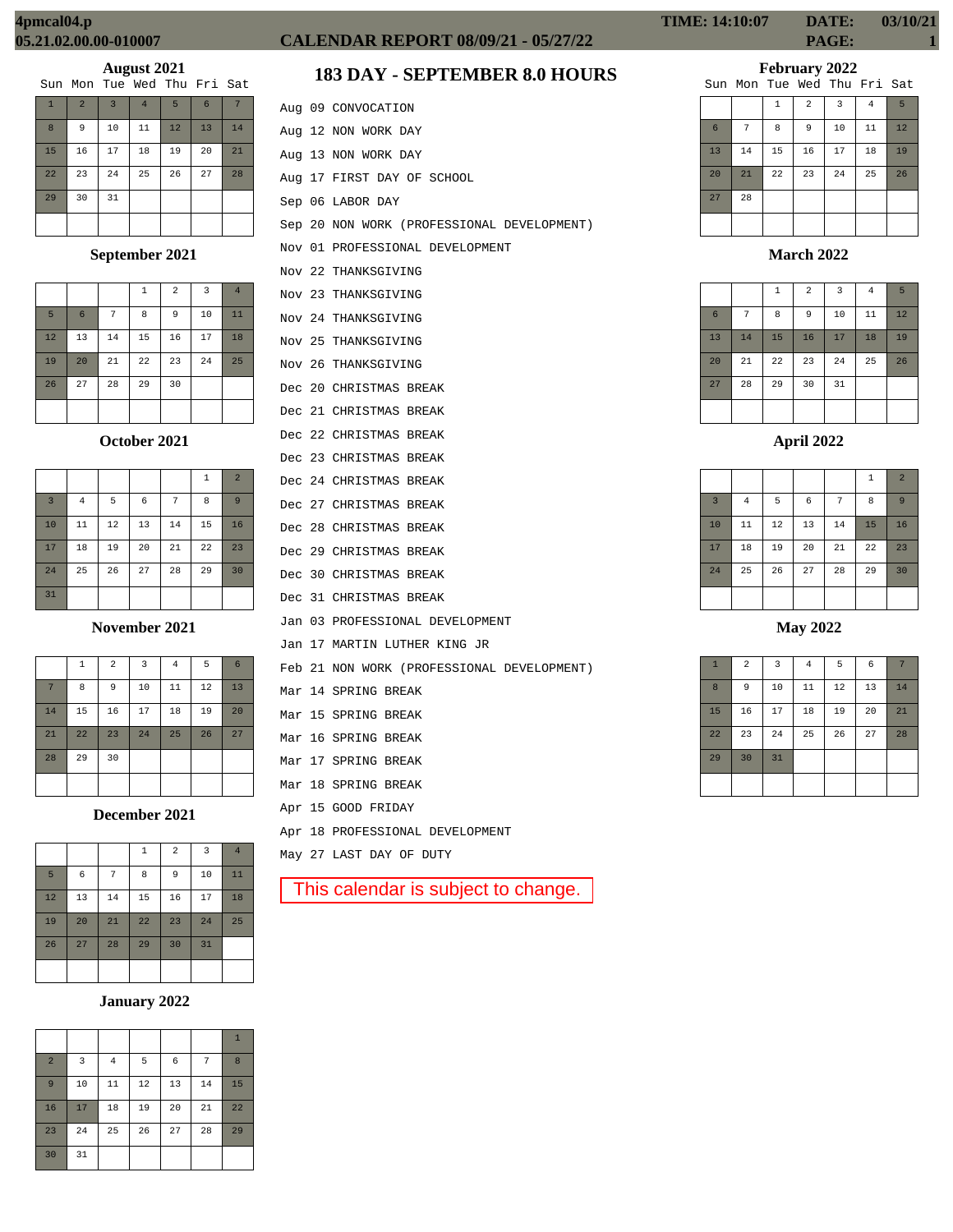| Sun Mon Tue Wed Thu Fri Sat |  |  |  |  |  |  |  |
|-----------------------------|--|--|--|--|--|--|--|
|-----------------------------|--|--|--|--|--|--|--|

| $\mathbf{1}$ | $\overline{a}$ | $\overline{3}$ | $\overline{4}$ | 5  | 6  |    |
|--------------|----------------|----------------|----------------|----|----|----|
| 8            | 9              | 10             | 11             | 12 | 13 | 14 |
| 15           | 16             | 17             | 18             | 19 | 20 | 21 |
| 22           | 23             | 24             | 25             | 26 | 27 | 28 |
| 29           | 30             | 31             |                |    |    |    |
|              |                |                |                |    |    |    |

# **September 2021**

|    |    |    | 1  | $\overline{a}$ | 3  | $\overline{4}$ |
|----|----|----|----|----------------|----|----------------|
| 5  | 6  | 7  | 8  | 9              | 10 | 11             |
| 12 | 13 | 14 | 15 | 16             | 17 | 18             |
| 19 | 20 | 21 | 22 | 23             | 24 | 25             |
| 26 | 27 | 28 | 29 | 30             |    |                |
|    |    |    |    |                |    |                |

## **October 2021**

|                |                |    |    |    | $\mathbf{1}$ | $\overline{2}$ |
|----------------|----------------|----|----|----|--------------|----------------|
| $\overline{3}$ | $\overline{4}$ | 5  | 6  | 7  | 8            | 9              |
| 10             | 11             | 12 | 13 | 14 | 15           | 16             |
| 17             | 18             | 19 | 20 | 21 | 22           | 23             |
| 24             | 25             | 26 | 27 | 28 | 29           | 30             |
| 31             |                |    |    |    |              |                |

**November 2021**

|                | $\mathbf{1}$ | $\overline{a}$ | 3  | 4  | 5  | 6  |
|----------------|--------------|----------------|----|----|----|----|
| $\overline{7}$ | 8            | 9              | 10 | 11 | 12 | 13 |
| 14             | 15           | 16             | 17 | 18 | 19 | 20 |
| 21             | 22           | 23             | 24 | 25 | 26 | 27 |
| 28             | 29           | 30             |    |    |    |    |
|                |              |                |    |    |    |    |

**December 2021**

|    |    |    | $\mathbf 1$ | $\overline{a}$ | $\overline{\mathbf{3}}$ | $\overline{4}$ |
|----|----|----|-------------|----------------|-------------------------|----------------|
| 5  | 6  | 7  | 8           | 9              | 10                      | 11             |
| 12 | 13 | 14 | 15          | 16             | 17                      | 18             |
| 19 | 20 | 21 | 22          | 23             | 24                      | 25             |
| 26 | 27 | 28 | 29          | 30             | 31                      |                |
|    |    |    |             |                |                         |                |

# **January 2022**

|                |    |                |    |    |    | $\mathbf{1}$ |
|----------------|----|----------------|----|----|----|--------------|
| $\overline{2}$ | 3  | $\overline{4}$ | 5  | 6  | 7  | 8            |
| 9              | 10 | 11             | 12 | 13 | 14 | 15           |
| 16             | 17 | 18             | 19 | 20 | 21 | 22           |
| 23             | 24 | 25             | 26 | 27 | 28 | 29           |
| 30             | 31 |                |    |    |    |              |

# **CALENDAR REPORT 08/09/21 - 05/27/22 PAGE: 1**

# **183 DAY - SEPTEMBER 8.0 HOURS**

|  | Aug 09 CONVOCATION                         |
|--|--------------------------------------------|
|  | Aug 12 NON WORK DAY                        |
|  | Aug 13 NON WORK DAY                        |
|  | Aug 17 FIRST DAY OF SCHOOL                 |
|  | Sep 06 LABOR DAY                           |
|  | Sep 20 NON WORK (PROFESSIONAL DEVELOPMENT) |
|  | Nov 01 PROFESSIONAL DEVELOPMENT            |
|  | Nov 22 THANKSGIVING                        |
|  | Nov 23 THANKSGIVING                        |
|  | Nov 24 THANKSGIVING                        |
|  | Nov 25 THANKSGIVING                        |
|  | Nov 26 THANKSGIVING                        |
|  | Dec 20 CHRISTMAS BREAK                     |
|  | Dec 21 CHRISTMAS BREAK                     |
|  | Dec 22 CHRISTMAS BREAK                     |
|  | Dec 23 CHRISTMAS BREAK                     |
|  | Dec 24 CHRISTMAS BREAK                     |
|  | Dec 27 CHRISTMAS BREAK                     |
|  | Dec 28 CHRISTMAS BREAK                     |
|  | Dec 29 CHRISTMAS BREAK                     |
|  | Dec 30 CHRISTMAS BREAK                     |
|  | Dec 31 CHRISTMAS BREAK                     |
|  | Jan 03 PROFESSIONAL DEVELOPMENT            |
|  | Jan 17 MARTIN LUTHER KING JR               |
|  | Feb 21 NON WORK (PROFESSIONAL DEVELOPMENT) |
|  | Mar 14 SPRING BREAK                        |
|  | Mar 15 SPRING BREAK                        |
|  | Mar 16 SPRING BREAK                        |
|  | Mar 17 SPRING BREAK                        |
|  | Mar 18 SPRING BREAK                        |
|  | Apr 15 GOOD FRIDAY                         |
|  | Apr 18 PROFESSIONAL DEVELOPMENT            |
|  | May 27 LAST DAY OF DUTY                    |
|  | This calendar is subject to change.        |
|  |                                            |

**TIME: 14:10:07 DATE: 03/10/21**

# **February 2022**

|    |    |              |                | Sun Mon Tue Wed Thu Fri Sat |                |    |
|----|----|--------------|----------------|-----------------------------|----------------|----|
|    |    | $\mathbf{1}$ | $\overline{a}$ | 3                           | $\overline{4}$ | 5  |
| 6  | 7  | 8            | 9              | 10                          | 11             | 12 |
| 13 | 14 | 15           | 16             | 17                          | 18             | 19 |
| 20 | 21 | 22           | 23             | 24                          | 25             | 26 |
| 27 | 28 |              |                |                             |                |    |
|    |    |              |                |                             |                |    |

# **March 2022**

|                |    | $\,1\,$ | $\overline{2}$ | $\overline{3}$ | 4  | 5  |
|----------------|----|---------|----------------|----------------|----|----|
| $6\phantom{1}$ | 7  | 8       | 9              | 10             | 11 | 12 |
| 13             | 14 | 15      | 16             | 17             | 18 | 19 |
| 20             | 21 | 22      | 23             | 24             | 25 | 26 |
| 27             | 28 | 29      | 30             | 31             |    |    |
|                |    |         |                |                |    |    |

# **April 2022**

|                |                |    |    |    | 1  | $\overline{2}$ |
|----------------|----------------|----|----|----|----|----------------|
| $\overline{3}$ | $\overline{4}$ | 5  | 6  | 7  | 8  | 9              |
| 10             | 11             | 12 | 13 | 14 | 15 | 16             |
| 17             | 18             | 19 | 20 | 21 | 22 | 23             |
| 24             | 25             | 26 | 27 | 28 | 29 | 30             |
|                |                |    |    |    |    |                |

# **May 2022**

| $\mathbf{1}$     | $\overline{a}$ | $\overline{\mathbf{3}}$ | $\overline{4}$ | 5  | 6  | 7  |
|------------------|----------------|-------------------------|----------------|----|----|----|
| $\boldsymbol{8}$ | 9              | 10                      | 11             | 12 | 13 | 14 |
| 15               | 16             | 17                      | 18             | 19 | 20 | 21 |
| 22               | 23             | 24                      | 25             | 26 | 27 | 28 |
| 29               | 30             | 31                      |                |    |    |    |
|                  |                |                         |                |    |    |    |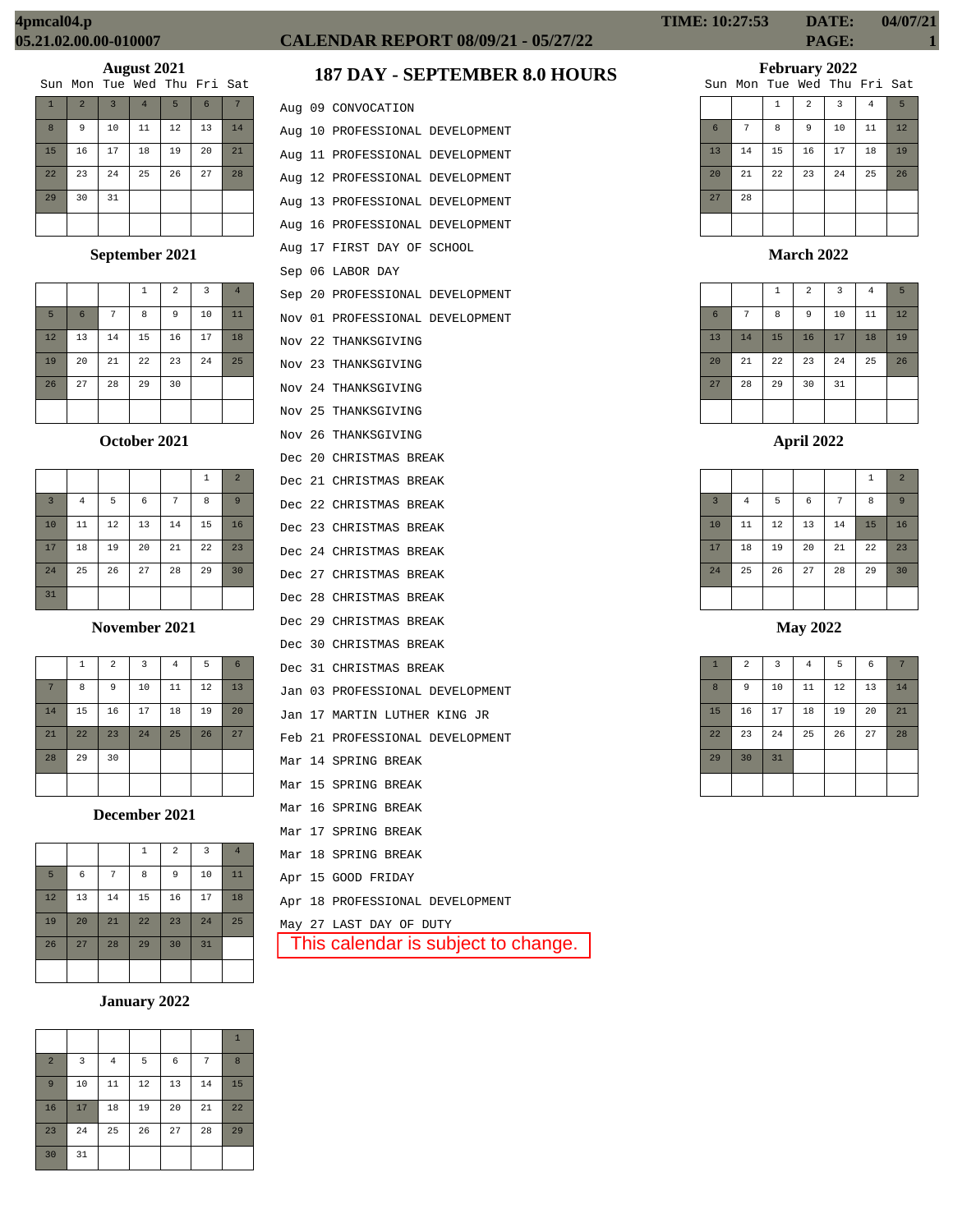| Sun Mon Tue Wed Thu Fri Sat |  |  |  |  |  |  |  |
|-----------------------------|--|--|--|--|--|--|--|
|-----------------------------|--|--|--|--|--|--|--|

| $\mathbf{1}$ | $\overline{2}$ | $\overline{3}$ | $\overline{4}$ | 5  | $6\phantom{1}$ |    |
|--------------|----------------|----------------|----------------|----|----------------|----|
| 8            | 9              | 10             | 11             | 12 | 13             | 14 |
| 15           | 16             | 17             | 18             | 19 | 20             | 21 |
| 22           | 23             | 24             | 25             | 26 | 27             | 28 |
| 29           | 30             | 31             |                |    |                |    |
|              |                |                |                |    |                |    |

# **September 2021**

|    |                 |    | 1  | $\overline{2}$ | $\overline{3}$ | $\overline{4}$ |
|----|-----------------|----|----|----------------|----------------|----------------|
| 5  | $6\overline{6}$ | 7  | 8  | 9              | 10             | 11             |
| 12 | 13              | 14 | 15 | 16             | 17             | 18             |
| 19 | 20              | 21 | 22 | 23             | 24             | 25             |
| 26 | 27              | 28 | 29 | 30             |                |                |
|    |                 |    |    |                |                |                |

# **October 2021**

|                         |                |    |    |    | $\mathbf{1}$ | $\overline{2}$ |
|-------------------------|----------------|----|----|----|--------------|----------------|
| $\overline{\mathbf{3}}$ | $\overline{4}$ | 5  | 6  | 7  | 8            | 9              |
| 10                      | 11             | 12 | 13 | 14 | 15           | 16             |
| 17                      | 18             | 19 | 20 | 21 | 22           | 23             |
| 24                      | 25             | 26 | 27 | 28 | 29           | 30             |
| 31                      |                |    |    |    |              |                |

# **November 2021**

|    | $\mathbf{1}$ | $\overline{2}$ | $\overline{\mathbf{3}}$ | $\overline{4}$ | 5  | 6  |
|----|--------------|----------------|-------------------------|----------------|----|----|
|    |              |                |                         |                |    |    |
| 7  | 8            | 9              | 10                      | 11             | 12 | 13 |
| 14 | 15           | 16             | 17                      | 18             | 19 | 20 |
| 21 | 22           | 23             | 24                      | 25             | 26 | 27 |
| 28 | 29           | 30             |                         |                |    |    |
|    |              |                |                         |                |    |    |

**December 2021**

|    |    |    | $\mathbf 1$ | $\overline{2}$ | $\overline{3}$ | $\overline{4}$ |
|----|----|----|-------------|----------------|----------------|----------------|
| 5  | 6  | 7  | 8           | 9              | 10             | 11             |
| 12 | 13 | 14 | 15          | 16             | 17             | 18             |
| 19 | 20 | 21 | 22          | 23             | 24             | 25             |
| 26 | 27 | 28 | 29          | 30             | 31             |                |
|    |    |    |             |                |                |                |

# **January 2022**

| $\overline{2}$ | 3  | $\overline{4}$ | 5  | 6  | 7  | 8  |
|----------------|----|----------------|----|----|----|----|
| $\overline{9}$ | 10 | 11             | 12 | 13 | 14 | 15 |
| 16             | 17 | 18             | 19 | 20 | 21 | 22 |
| 23             | 24 | 25             | 26 | 27 | 28 | 29 |
| 30             | 31 |                |    |    |    |    |

# **CALENDAR REPORT 08/09/21 - 05/27/22 PAGE: 1**

# **187 DAY - SEPTEMBER 8.0 HOURS**

|  | This calendar is subject to change.        |
|--|--------------------------------------------|
|  | May 27 LAST DAY OF DUTY                    |
|  | Apr 18 PROFESSIONAL DEVELOPMENT            |
|  | Apr 15 GOOD FRIDAY                         |
|  | Mar 18 SPRING BREAK                        |
|  | Mar 17 SPRING BREAK                        |
|  | Mar 16 SPRING BREAK                        |
|  | Mar 15 SPRING BREAK                        |
|  | Mar 14 SPRING BREAK                        |
|  | Feb 21 PROFESSIONAL DEVELOPMENT            |
|  | Jan 17 MARTIN LUTHER KING JR               |
|  | Jan 03 PROFESSIONAL DEVELOPMENT            |
|  | Dec 31 CHRISTMAS BREAK                     |
|  | Dec 30 CHRISTMAS BREAK                     |
|  | Dec 29 CHRISTMAS BREAK                     |
|  | Dec 28 CHRISTMAS BREAK                     |
|  | Dec 27 CHRISTMAS BREAK                     |
|  | Dec 24 CHRISTMAS BREAK                     |
|  | Dec 23 CHRISTMAS BREAK                     |
|  | Dec 22 CHRISTMAS BREAK                     |
|  | Dec 21 CHRISTMAS BREAK                     |
|  | Dec 20 CHRISTMAS BREAK                     |
|  | Nov 25 THANKSGIVING<br>Nov 26 THANKSGIVING |
|  | Nov 24 THANKSGIVING                        |
|  | Nov 23 THANKSGIVING                        |
|  | Nov 22 THANKSGIVING                        |
|  | Nov 01 PROFESSIONAL DEVELOPMENT            |
|  | Sep 20 PROFESSIONAL DEVELOPMENT            |
|  | Sep 06 LABOR DAY                           |
|  | Aug 17 FIRST DAY OF SCHOOL                 |
|  | Aug 16 PROFESSIONAL DEVELOPMENT            |
|  | Aug 13 PROFESSIONAL DEVELOPMENT            |
|  | Aug 12 PROFESSIONAL DEVELOPMENT            |
|  | Aug 11 PROFESSIONAL DEVELOPMENT            |
|  | Aug 10 PROFESSIONAL DEVELOPMENT            |
|  | Aug 09 CONVOCATION                         |
|  |                                            |

# **February 2022**

|    |    |              |                | Sun Mon Tue Wed Thu Fri Sat |                |    |
|----|----|--------------|----------------|-----------------------------|----------------|----|
|    |    | $\mathbf{1}$ | $\overline{a}$ | 3                           | $\overline{4}$ | 5  |
| 6  | 7  | 8            | 9              | 10                          | 11             | 12 |
| 13 | 14 | 15           | 16             | 17                          | 18             | 19 |
| 20 | 21 | 22           | 23             | 24                          | 25             | 26 |
| 27 | 28 |              |                |                             |                |    |
|    |    |              |                |                             |                |    |

# **March 2022**

|                 |    | $\,1\,$ | $\overline{a}$ | 3  | $\overline{4}$ | 5  |
|-----------------|----|---------|----------------|----|----------------|----|
| $6\phantom{1}6$ | 7  | 8       | 9              | 10 | 11             | 12 |
| 13              | 14 | 15      | 16             | 17 | 18             | 19 |
| 20              | 21 | 22      | 23             | 24 | 25             | 26 |
| 27              | 28 | 29      | 30             | 31 |                |    |
|                 |    |         |                |    |                |    |

# **April 2022**

|                |          |    |            |    | $\,1\,$ | $\overline{2}$ |
|----------------|----------|----|------------|----|---------|----------------|
| $\overline{3}$ | $\bf{4}$ | 5  | $\epsilon$ | 7  | 8       | 9              |
| 10             | 11       | 12 | 13         | 14 | 15      | 16             |
| 17             | 18       | 19 | 20         | 21 | 22      | 23             |
| 24             | 25       | 26 | 27         | 28 | 29      | 30             |
|                |          |    |            |    |         |                |

# **May 2022**

| $\mathbf{1}$ | $\overline{a}$ | $\overline{\mathbf{3}}$ | $\bf{4}$ | 5  | $\epsilon$ | 7  |
|--------------|----------------|-------------------------|----------|----|------------|----|
| 8            | 9              | 10                      | $11\,$   | 12 | 13         | 14 |
| 15           | 16             | 17                      | 18       | 19 | 20         | 21 |
| 22           | 23             | 24                      | 25       | 26 | 27         | 28 |
| 29           | 30             | 31                      |          |    |            |    |
|              |                |                         |          |    |            |    |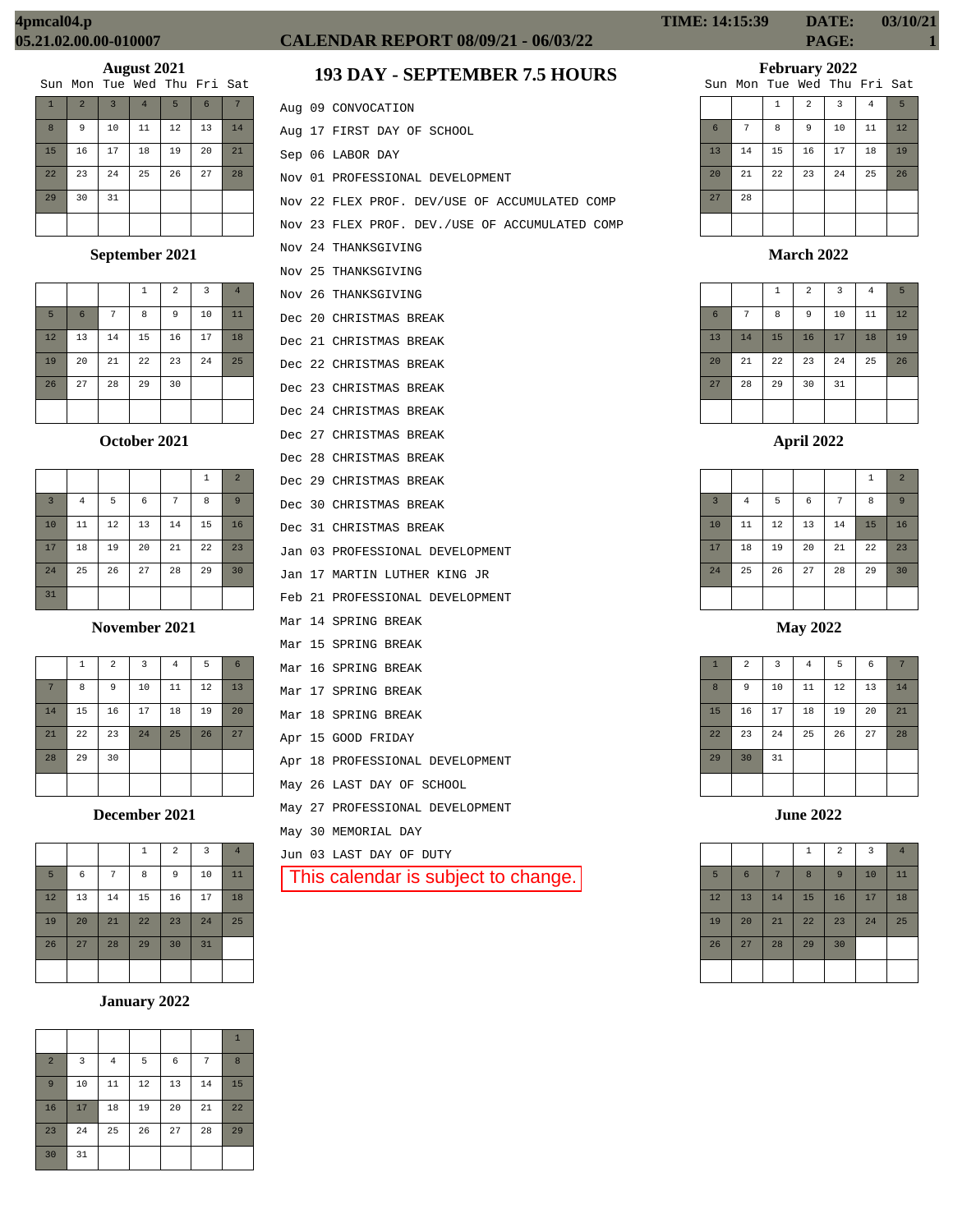| Sun Mon Tue Wed Thu Fri Sat |  |  |  |
|-----------------------------|--|--|--|
|                             |  |  |  |

| $\mathbf{1}$ | $\overline{2}$ | $\overline{3}$ | $\overline{4}$ | 5  | 6  | 7  |
|--------------|----------------|----------------|----------------|----|----|----|
| 8            | 9              | 10             | 11             | 12 | 13 | 14 |
| 15           | 16             | 17             | 18             | 19 | 20 | 21 |
| 22           | 23             | 24             | 25             | 26 | 27 | 28 |
| 29           | 30             | 31             |                |    |    |    |
|              |                |                |                |    |    |    |

# **September 2021**

|    |                 |    | 1  | $\overline{a}$ | 3  | $\overline{4}$ |
|----|-----------------|----|----|----------------|----|----------------|
| 5  | $6\phantom{1}6$ | 7  | 8  | 9              | 10 | 11             |
| 12 | 13              | 14 | 15 | 16             | 17 | 18             |
| 19 | 20              | 21 | 22 | 23             | 24 | 25             |
| 26 | 27              | 28 | 29 | 30             |    |                |
|    |                 |    |    |                |    |                |

# **October 2021**

|                |                |    |    |    | $\mathbf{1}$ | $\overline{2}$ |
|----------------|----------------|----|----|----|--------------|----------------|
| $\overline{3}$ | $\overline{4}$ | 5  | 6  | 7  | 8            | $\overline{9}$ |
| 10             | 11             | 12 | 13 | 14 | 15           | 16             |
| 17             | 18             | 19 | 20 | 21 | 22           | 23             |
| 24             | 25             | 26 | 27 | 28 | 29           | 30             |
| 31             |                |    |    |    |              |                |

**November 2021**

|    | $\mathbf 1$ | $\overline{a}$ | $\overline{3}$ | $\overline{4}$ | 5  | 6  |
|----|-------------|----------------|----------------|----------------|----|----|
| 7  | 8           | 9              | 10             | 11             | 12 | 13 |
| 14 | 15          | 16             | 17             | 18             | 19 | 20 |
| 21 | 22          | 23             | 24             | 25             | 26 | 27 |
| 28 | 29          | 30             |                |                |    |    |
|    |             |                |                |                |    |    |

**December 2021**

|    |    |    | $\mathbf 1$ | $\overline{2}$ | 3  | $\overline{4}$ |
|----|----|----|-------------|----------------|----|----------------|
| 5  | 6  | 7  | 8           | 9              | 10 | 11             |
| 12 | 13 | 14 | 15          | 16             | 17 | 18             |
| 19 | 20 | 21 | 22          | 23             | 24 | 25             |
| 26 | 27 | 28 | 29          | 30             | 31 |                |
|    |    |    |             |                |    |                |

# **January 2022**

|                |    |          |    |    |    | $\mathbf{1}$ |
|----------------|----|----------|----|----|----|--------------|
| $\overline{a}$ | 3  | $\bf{4}$ | 5  | 6  | 7  | 8            |
| 9              | 10 | 11       | 12 | 13 | 14 | 15           |
| 16             | 17 | 18       | 19 | 20 | 21 | 22           |
| 23             | 24 | 25       | 26 | 27 | 28 | 29           |
| 30             | 31 |          |    |    |    |              |

# **CALENDAR REPORT 08/09/21 - 06/03/22 PAGE: 1**

# **193 DAY - SEPTEMBER 7.5 HOURS**

|  | Aug 09 CONVOCATION                             |
|--|------------------------------------------------|
|  | Aug 17 FIRST DAY OF SCHOOL                     |
|  | Sep 06 LABOR DAY                               |
|  | Nov 01 PROFESSIONAL DEVELOPMENT                |
|  | Nov 22 FLEX PROF. DEV/USE OF ACCUMULATED COMP  |
|  | Nov 23 FLEX PROF. DEV./USE OF ACCUMULATED COMP |
|  | Nov 24 THANKSGIVING                            |
|  | Nov 25 THANKSGIVING                            |
|  | Nov 26 THANKSGIVING                            |
|  | Dec 20 CHRISTMAS BREAK                         |
|  | Dec 21 CHRISTMAS BREAK                         |
|  | Dec 22 CHRISTMAS BREAK                         |
|  | Dec 23 CHRISTMAS BREAK                         |
|  | Dec 24 CHRISTMAS BREAK                         |
|  | Dec 27 CHRISTMAS BREAK                         |
|  | Dec 28 CHRISTMAS BREAK                         |
|  | Dec 29 CHRISTMAS BREAK                         |
|  | Dec 30 CHRISTMAS BREAK                         |
|  | Dec 31 CHRISTMAS BREAK                         |
|  | Jan 03 PROFESSIONAL DEVELOPMENT                |
|  | Jan 17 MARTIN LUTHER KING JR                   |
|  | Feb 21 PROFESSIONAL DEVELOPMENT                |
|  | Mar 14 SPRING BREAK                            |
|  | Mar 15 SPRING BREAK                            |
|  | Mar 16 SPRING BREAK                            |
|  | Mar 17 SPRING BREAK                            |
|  | Mar 18 SPRING BREAK                            |
|  | Apr 15 GOOD FRIDAY                             |
|  | Apr 18 PROFESSIONAL DEVELOPMENT                |
|  | May 26 LAST DAY OF SCHOOL                      |
|  | May 27 PROFESSIONAL DEVELOPMENT                |
|  | May 30 MEMORIAL DAY                            |
|  | Jun 03 LAST DAY OF DUTY                        |
|  | This calendar is subject to change.            |
|  |                                                |

| <b>TIME: 14:15:39</b> | DATE:        | 03/10/21 |
|-----------------------|--------------|----------|
|                       | <b>PAGE:</b> |          |

# **February 2022**

|    |    |    |                | Sun Mon Tue Wed Thu Fri Sat |    |    |
|----|----|----|----------------|-----------------------------|----|----|
|    |    | 1  | $\overline{a}$ | $\overline{3}$              | 4  | 5  |
| 6  | 7  | 8  | 9              | 10                          | 11 | 12 |
| 13 | 14 | 15 | 16             | 17                          | 18 | 19 |
| 20 | 21 | 22 | 23             | 24                          | 25 | 26 |
| 27 | 28 |    |                |                             |    |    |
|    |    |    |                |                             |    |    |

# **March 2022**

|                 |    | $\,1\,$ | $\overline{a}$ | $\overline{3}$ | $\overline{4}$ | 5  |
|-----------------|----|---------|----------------|----------------|----------------|----|
| $6\phantom{1}6$ | 7  | 8       | 9              | 10             | 11             | 12 |
| 13              | 14 | 15      | 16             | 17             | 18             | 19 |
| 20              | 21 | 22      | 23             | 24             | 25             | 26 |
| 27              | 28 | 29      | 30             | 31             |                |    |
|                 |    |         |                |                |                |    |

|                |                |    |            |                | 1  | $\overline{2}$ |
|----------------|----------------|----|------------|----------------|----|----------------|
| $\overline{3}$ | $\overline{4}$ | 5  | $\epsilon$ | $\overline{7}$ | 8  | 9              |
| 10             | 11             | 12 | 13         | 14             | 15 | 16             |
| 17             | 18             | 19 | 20         | 21             | 22 | 23             |
| 24             | 25             | 26 | 27         | 28             | 29 | 30             |
|                |                |    |            |                |    |                |

**May 2022**

| $\mathbf{1}$ | $\mathbf 2$ | 3  | $\bf{4}$ | 5  | $\epsilon$ | 7  |
|--------------|-------------|----|----------|----|------------|----|
| 8            | 9           | 10 | 11       | 12 | 13         | 14 |
| 15           | 16          | 17 | 18       | 19 | 20         | 21 |
| 22           | 23          | 24 | 25       | 26 | 27         | 28 |
| 29           | 30          | 31 |          |    |            |    |
|              |             |    |          |    |            |    |

**June 2022**

|        |                |    | $1\,$ | $\overline{a}$ | 3  | $\overline{4}$ |
|--------|----------------|----|-------|----------------|----|----------------|
| 5      | $6\phantom{1}$ | 7  | 8     | 9              | 10 | 11             |
| $12\,$ | 13             | 14 | 15    | 16             | 17 | 18             |
| 19     | 20             | 21 | 22    | 23             | 24 | 25             |
| 26     | 27             | 28 | 29    | 30             |    |                |
|        |                |    |       |                |    |                |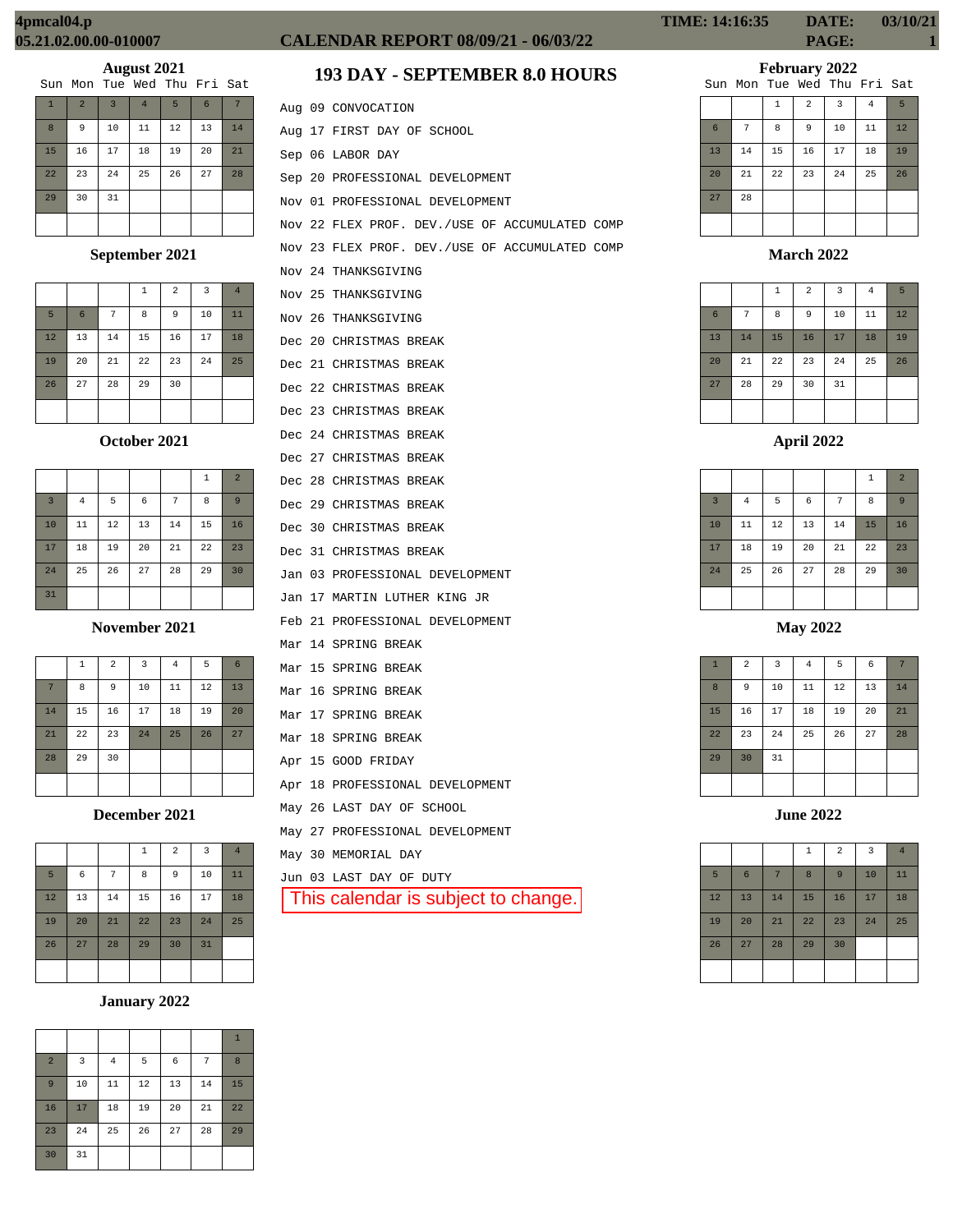| Sun Mon Tue Wed Thu Fri Sat |  |  |  |
|-----------------------------|--|--|--|
|                             |  |  |  |

| $\mathbf{1}$ | $\overline{2}$ | $\overline{3}$ | $\overline{4}$ | 5  | $6\phantom{1}6$ | 7  |
|--------------|----------------|----------------|----------------|----|-----------------|----|
| 8            | 9              | 10             | 11             | 12 | 13              | 14 |
| 15           | 16             | 17             | 18             | 19 | 20              | 21 |
| 22           | 23             | 24             | 25             | 26 | 27              | 28 |
| 29           | 30             | 31             |                |    |                 |    |
|              |                |                |                |    |                 |    |

# **September 2021**

|    |                 |    | 1  | $\overline{2}$ | 3  | $\overline{4}$ |
|----|-----------------|----|----|----------------|----|----------------|
| 5  | $6\phantom{1}6$ | 7  | 8  | 9              | 10 | 11             |
| 12 | 13              | 14 | 15 | 16             | 17 | 18             |
| 19 | 20              | 21 | 22 | 23             | 24 | 25             |
| 26 | 27              | 28 | 29 | 30             |    |                |
|    |                 |    |    |                |    |                |

# **October 2021**

|                |                |    |    |    | 1  | $\overline{2}$ |
|----------------|----------------|----|----|----|----|----------------|
| $\overline{3}$ | $\overline{4}$ | 5  | 6  | 7  | 8  | 9              |
| 10             | 11             | 12 | 13 | 14 | 15 | 16             |
| 17             | 18             | 19 | 20 | 21 | 22 | 23             |
| 24             | 25             | 26 | 27 | 28 | 29 | 30             |
| 31             |                |    |    |    |    |                |

## **November 2021**

|    | $\,1\,$ | $\overline{a}$ | $\overline{\mathbf{3}}$ | $\overline{4}$ | 5  | 6  |
|----|---------|----------------|-------------------------|----------------|----|----|
| 7  | 8       | 9              | 10                      | 11             | 12 | 13 |
| 14 | 15      | 16             | 17                      | 18             | 19 | 20 |
| 21 | 22      | 23             | 24                      | 25             | 26 | 27 |
| 28 | 29      | 30             |                         |                |    |    |
|    |         |                |                         |                |    |    |

**December 2021**

|    |            |    | $\mathbf 1$ | $\overline{2}$ | 3  | $\overline{4}$ |
|----|------------|----|-------------|----------------|----|----------------|
| 5  | $\epsilon$ | 7  | 8           | 9              | 10 | 11             |
| 12 | 13         | 14 | 15          | 16             | 17 | 18             |
| 19 | 20         | 21 | 22          | 23             | 24 | 25             |
| 26 | 27         | 28 | 29          | 30             | 31 |                |
|    |            |    |             |                |    |                |

# **January 2022**

|                |    |                |    |    |    | $\mathbf{1}$ |
|----------------|----|----------------|----|----|----|--------------|
| $\overline{a}$ | 3  | $\overline{4}$ | 5  | 6  | 7  | 8            |
| $\overline{9}$ | 10 | 11             | 12 | 13 | 14 | 15           |
| 16             | 17 | 18             | 19 | 20 | 21 | 22           |
| 23             | 24 | 25             | 26 | 27 | 28 | 29           |
| 30             | 31 |                |    |    |    |              |

# **CALENDAR REPORT 08/09/21 - 06/03/22 PAGE: 1**

# **193 DAY - SEPTEMBER 8.0 HOURS**

|  | Aug 09 CONVOCATION                             |
|--|------------------------------------------------|
|  | Aug 17 FIRST DAY OF SCHOOL                     |
|  | Sep 06 LABOR DAY                               |
|  | Sep 20 PROFESSIONAL DEVELOPMENT                |
|  | Nov 01 PROFESSIONAL DEVELOPMENT                |
|  | Nov 22 FLEX PROF. DEV./USE OF ACCUMULATED COMP |
|  | Nov 23 FLEX PROF. DEV./USE OF ACCUMULATED COMP |
|  | Nov 24 THANKSGIVING                            |
|  | Nov 25 THANKSGIVING                            |
|  | Nov 26 THANKSGIVING                            |
|  | Dec 20 CHRISTMAS BREAK                         |
|  | Dec 21 CHRISTMAS BREAK                         |
|  | Dec 22 CHRISTMAS BREAK                         |
|  | Dec 23 CHRISTMAS BREAK                         |
|  | Dec 24 CHRISTMAS BREAK                         |
|  | Dec 27 CHRISTMAS BREAK                         |
|  | Dec 28 CHRISTMAS BREAK                         |
|  | Dec 29 CHRISTMAS BREAK                         |
|  | Dec 30 CHRISTMAS BREAK                         |
|  | Dec 31 CHRISTMAS BREAK                         |
|  | Jan 03 PROFESSIONAL DEVELOPMENT                |
|  | Jan 17 MARTIN LUTHER KING JR                   |
|  | Feb 21 PROFESSIONAL DEVELOPMENT                |
|  | Mar 14 SPRING BREAK                            |
|  | Mar 15 SPRING BREAK                            |
|  | Mar 16 SPRING BREAK                            |
|  | Mar 17 SPRING BREAK                            |
|  | Mar 18 SPRING BREAK                            |
|  | Apr 15 GOOD FRIDAY                             |
|  | Apr 18 PROFESSIONAL DEVELOPMENT                |
|  | May 26 LAST DAY OF SCHOOL                      |
|  | May 27 PROFESSIONAL DEVELOPMENT                |
|  | May 30 MEMORIAL DAY                            |
|  | Jun 03 LAST DAY OF DUTY                        |
|  | This calendar is subject to change. $\mid$     |
|  |                                                |

# **February 2022**

|    |    | Sun Mon Tue Wed Thu Fri Sat |                |    |                |    |
|----|----|-----------------------------|----------------|----|----------------|----|
|    |    | $\mathbf{1}$                | $\overline{a}$ | 3  | $\overline{4}$ | 5  |
| 6  | 7  | 8                           | 9              | 10 | 11             | 12 |
| 13 | 14 | 15                          | 16             | 17 | 18             | 19 |
| 20 | 21 | 22                          | 23             | 24 | 25             | 26 |
| 27 | 28 |                             |                |    |                |    |
|    |    |                             |                |    |                |    |

**March 2022**

|                 |    | $\mathbf{1}$ | $\overline{2}$ | $\overline{3}$ | $\overline{4}$ | 5  |
|-----------------|----|--------------|----------------|----------------|----------------|----|
| $6\phantom{1}6$ | 7  | 8            | $\overline{9}$ | 10             | 11             | 12 |
| 13              | 14 | 15           | 16             | 17             | 18             | 19 |
| 20              | 21 | 22           | 23             | 24             | 25             | 26 |
| 27              | 28 | 29           | 30             | 31             |                |    |
|                 |    |              |                |                |                |    |

|                |          |    |    |    | $\mathbf{1}$ | $\overline{2}$ |
|----------------|----------|----|----|----|--------------|----------------|
| $\overline{3}$ | $\bf{4}$ | 5  | 6  | 7  | 8            | 9              |
| 10             | 11       | 12 | 13 | 14 | 15           | 16             |
| 17             | 18       | 19 | 20 | 21 | 22           | 23             |
| 24             | 25       | 26 | 27 | 28 | 29           | 30             |
|                |          |    |    |    |              |                |

**May 2022**

| $\mathbf{1}$ | $\overline{2}$ | 3  | $\overline{4}$ | 5  | 6  | 7  |
|--------------|----------------|----|----------------|----|----|----|
| 8            | 9              | 10 | 11             | 12 | 13 | 14 |
| 15           | 16             | 17 | 18             | 19 | 20 | 21 |
| 22           | 23             | 24 | 25             | 26 | 27 | 28 |
| 29           | 30             | 31 |                |    |    |    |
|              |                |    |                |    |    |    |

**June 2022**

|    |    |    | $1\,$ | $\overline{a}$ | $\overline{3}$ | $\overline{4}$ |
|----|----|----|-------|----------------|----------------|----------------|
| 5  | 6  | 7  | 8     | 9              | 10             | 11             |
| 12 | 13 | 14 | 15    | 16             | 17             | 18             |
| 19 | 20 | 21 | 22    | 23             | 24             | 25             |
| 26 | 27 | 28 | 29    | 30             |                |                |
|    |    |    |       |                |                |                |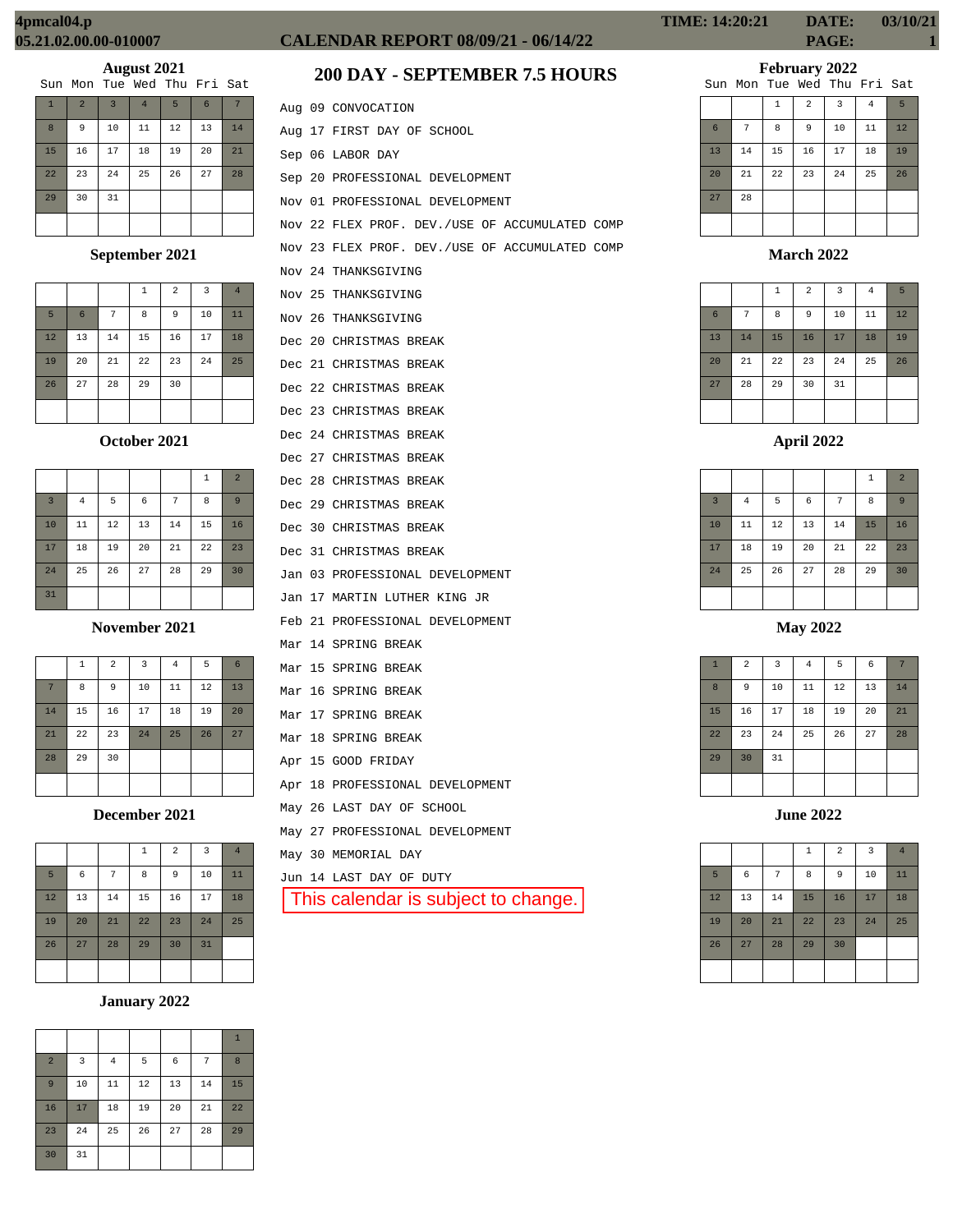| Sun Mon Tue Wed Thu Fri Sat |  |  |
|-----------------------------|--|--|
|-----------------------------|--|--|

| $\mathbf{1}$ | $\overline{2}$ | $\overline{3}$ | $\overline{4}$ | 5  | $6\phantom{1}6$ | 7  |
|--------------|----------------|----------------|----------------|----|-----------------|----|
| 8            | 9              | 10             | 11             | 12 | 13              | 14 |
| 15           | 16             | 17             | 18             | 19 | 20              | 21 |
| 22           | 23             | 24             | 25             | 26 | 27              | 28 |
| 29           | 30             | 31             |                |    |                 |    |
|              |                |                |                |    |                 |    |

# **September 2021**

|    |                 |    | 1  | 2  | $\overline{3}$ | $\overline{4}$ |
|----|-----------------|----|----|----|----------------|----------------|
| 5  | $6\phantom{1}6$ | 7  | 8  | 9  | 10             | 11             |
| 12 | 13              | 14 | 15 | 16 | 17             | 18             |
| 19 | 20              | 21 | 22 | 23 | 24             | 25             |
| 26 | 27              | 28 | 29 | 30 |                |                |
|    |                 |    |    |    |                |                |

# **October 2021**

|                |                |    |    |    | $\mathbf{1}$ | $\overline{2}$ |
|----------------|----------------|----|----|----|--------------|----------------|
| $\overline{3}$ | $\overline{4}$ | 5  | 6  | 7  | 8            | 9              |
| 10             | 11             | 12 | 13 | 14 | 15           | 16             |
| 17             | 18             | 19 | 20 | 21 | 22           | 23             |
| 24             | 25             | 26 | 27 | 28 | 29           | 30             |
| 31             |                |    |    |    |              |                |

#### **November 2021**

|    | 1  | $\overline{a}$ | $\overline{3}$ | $\bf 4$ | 5  | 6  |
|----|----|----------------|----------------|---------|----|----|
| 7  | 8  | 9              | 10             | 11      | 12 | 13 |
| 14 | 15 | 16             | 17             | 18      | 19 | 20 |
| 21 | 22 | 23             | 24             | 25      | 26 | 27 |
| 28 | 29 | 30             |                |         |    |    |
|    |    |                |                |         |    |    |

**December 2021**

|    |    |    | 1  | 2  | $\overline{3}$ | $\overline{4}$ |
|----|----|----|----|----|----------------|----------------|
| 5  | 6  | 7  | 8  | 9  | 10             | 11             |
| 12 | 13 | 14 | 15 | 16 | 17             | 18             |
| 19 | 20 | 21 | 22 | 23 | 24             | 25             |
| 26 | 27 | 28 | 29 | 30 | 31             |                |
|    |    |    |    |    |                |                |

# **January 2022**

| $\overline{2}$ | 3  | $\overline{4}$ | 5  | 6  | 7  | 8  |
|----------------|----|----------------|----|----|----|----|
| 9              | 10 | 11             | 12 | 13 | 14 | 15 |
| 16             | 17 | 18             | 19 | 20 | 21 | 22 |
| 23             | 24 | 25             | 26 | 27 | 28 | 29 |
| 30             | 31 |                |    |    |    |    |

# **CALENDAR REPORT 08/09/21 - 06/14/22 PAGE: 1**

# **200 DAY - SEPTEMBER 7.5 HOURS**

|  | Aug 09 CONVOCATION                             |
|--|------------------------------------------------|
|  | Aug 17 FIRST DAY OF SCHOOL                     |
|  | Sep 06 LABOR DAY                               |
|  | Sep 20 PROFESSIONAL DEVELOPMENT                |
|  | Nov 01 PROFESSIONAL DEVELOPMENT                |
|  | Nov 22 FLEX PROF. DEV./USE OF ACCUMULATED COMP |
|  | Nov 23 FLEX PROF. DEV./USE OF ACCUMULATED COMP |
|  | Nov 24 THANKSGIVING                            |
|  | Nov 25 THANKSGIVING                            |
|  | Nov 26 THANKSGIVING                            |
|  | Dec 20 CHRISTMAS BREAK                         |
|  | Dec 21 CHRISTMAS BREAK                         |
|  | Dec 22 CHRISTMAS BREAK                         |
|  | Dec 23 CHRISTMAS BREAK                         |
|  | Dec 24 CHRISTMAS BREAK                         |
|  | Dec 27 CHRISTMAS BREAK                         |
|  | Dec 28 CHRISTMAS BREAK                         |
|  | Dec 29 CHRISTMAS BREAK                         |
|  | Dec 30 CHRISTMAS BREAK                         |
|  | Dec 31 CHRISTMAS BREAK                         |
|  | Jan 03 PROFESSIONAL DEVELOPMENT                |
|  | Jan 17 MARTIN LUTHER KING JR                   |
|  | Feb 21 PROFESSIONAL DEVELOPMENT                |
|  | Mar 14 SPRING BREAK                            |
|  | Mar 15 SPRING BREAK                            |
|  | Mar 16 SPRING BREAK                            |
|  | Mar 17 SPRING BREAK                            |
|  | Mar 18 SPRING BREAK                            |
|  | Apr 15 GOOD FRIDAY                             |
|  | Apr 18 PROFESSIONAL DEVELOPMENT                |
|  | May 26 LAST DAY OF SCHOOL                      |
|  | May 27 PROFESSIONAL DEVELOPMENT                |
|  | May 30 MEMORIAL DAY                            |
|  | Jun 14 LAST DAY OF DUTY                        |
|  | This calendar is subject to change.            |
|  |                                                |

**TIME: 14:20:21 DATE: 03/10/21**

# **February 2022**

|    |    |    |                | Sun Mon Tue Wed Thu Fri Sat |                |    |
|----|----|----|----------------|-----------------------------|----------------|----|
|    |    | 1  | $\overline{a}$ | 3                           | $\overline{4}$ | 5  |
| 6  | 7  | 8  | 9              | 10                          | 11             | 12 |
| 13 | 14 | 15 | 16             | 17                          | 18             | 19 |
| 20 | 21 | 22 | 23             | 24                          | 25             | 26 |
| 27 | 28 |    |                |                             |                |    |
|    |    |    |                |                             |                |    |

## **March 2022**

|                 |    | $\mathbf{1}$ | $\overline{a}$ | 3  | $\overline{4}$ | 5  |
|-----------------|----|--------------|----------------|----|----------------|----|
| $6\phantom{1}6$ | 7  | 8            | 9              | 10 | 11             | 12 |
| 13              | 14 | 15           | 16             | 17 | 18             | 19 |
| 20              | 21 | 22           | 23             | 24 | 25             | 26 |
| 27              | 28 | 29           | 30             | 31 |                |    |
|                 |    |              |                |    |                |    |

# **April 2022**

|                |          |    |            |    | $\,1\,$ | $\overline{2}$ |
|----------------|----------|----|------------|----|---------|----------------|
| $\overline{3}$ | $\bf{4}$ | 5  | $\epsilon$ | 7  | 8       | 9              |
| 10             | 11       | 12 | 13         | 14 | 15      | 16             |
| 17             | 18       | 19 | 20         | 21 | 22      | 23             |
| 24             | 25       | 26 | 27         | 28 | 29      | 30             |
|                |          |    |            |    |         |                |

## **May 2022**

| $\mathbf{1}$ | $\mathbf 2$ | 3  | $\bf{4}$ | 5  | $\epsilon$ | 7  |
|--------------|-------------|----|----------|----|------------|----|
| 8            | 9           | 10 | 11       | 12 | 13         | 14 |
| 15           | 16          | 17 | 18       | 19 | 20         | 21 |
| 22           | 23          | 24 | 25       | 26 | 27         | 28 |
| 29           | 30          | 31 |          |    |            |    |
|              |             |    |          |    |            |    |

**June 2022**

|    |    |    | $\mathbf{1}$ | $\overline{a}$ | $\overline{3}$ | $\overline{4}$ |
|----|----|----|--------------|----------------|----------------|----------------|
| 5  | 6  | 7  | 8            | 9              | 10             | 11             |
| 12 | 13 | 14 | 15           | 16             | 17             | 18             |
| 19 | 20 | 21 | 22           | 23             | 24             | 25             |
| 26 | 27 | 28 | 29           | 30             |                |                |
|    |    |    |              |                |                |                |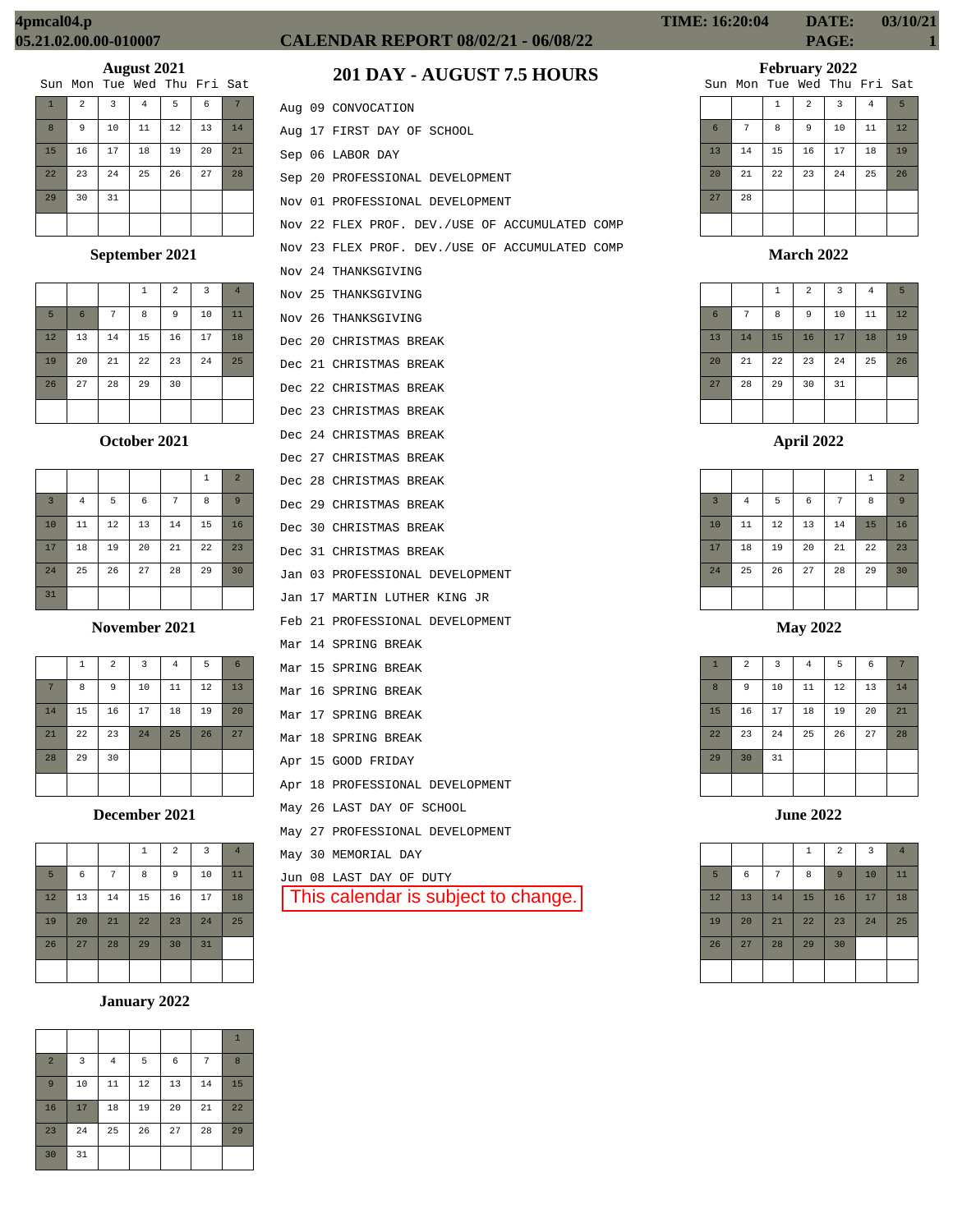|              |                |    | Sun Mon Tue Wed Thu Fri Sat |    |    |    |
|--------------|----------------|----|-----------------------------|----|----|----|
| $\mathbf{1}$ | $\overline{a}$ | 3  | 4                           | 5  | 6  |    |
| 8            | 9              | 10 | 11                          | 12 | 13 | 14 |
| 15           | 16             | 17 | 18                          | 19 | 20 | 21 |
| 22           | 23             | 24 | 25                          | 26 | 27 | 28 |
| 29           | 30             | 31 |                             |    |    |    |
|              |                |    |                             |    |    |    |

# **September 2021**

|    |                 |    | 1  | $\overline{a}$ | $\overline{3}$ | $\overline{4}$ |
|----|-----------------|----|----|----------------|----------------|----------------|
| 5  | $6\phantom{1}6$ | 7  | 8  | 9              | 10             | 11             |
| 12 | 13              | 14 | 15 | 16             | 17             | 18             |
| 19 | 20              | 21 | 22 | 23             | 24             | 25             |
| 26 | 27              | 28 | 29 | 30             |                |                |
|    |                 |    |    |                |                |                |

# **October 2021**

|                |                |    |    |    | 1  | $\overline{2}$ |
|----------------|----------------|----|----|----|----|----------------|
| $\overline{3}$ | $\overline{4}$ | 5  | 6  | 7  | 8  | 9              |
| 10             | 11             | 12 | 13 | 14 | 15 | 16             |
| 17             | 18             | 19 | 20 | 21 | 22 | 23             |
| 24             | 25             | 26 | 27 | 28 | 29 | 30             |
| 31             |                |    |    |    |    |                |

## **November 2021**

|    | 1  | $\overline{a}$ | $\overline{3}$ | $\bf 4$ | 5  | 6  |
|----|----|----------------|----------------|---------|----|----|
| 7  | 8  | 9              | 10             | 11      | 12 | 13 |
| 14 | 15 | 16             | 17             | 18      | 19 | 20 |
| 21 | 22 | 23             | 24             | 25      | 26 | 27 |
| 28 | 29 | 30             |                |         |    |    |
|    |    |                |                |         |    |    |

**December 2021**

|    |    |    | 1  | $\overline{a}$ | $\overline{3}$ | $\overline{4}$ |
|----|----|----|----|----------------|----------------|----------------|
| 5  | 6  | 7  | 8  | 9              | 10             | 11             |
| 12 | 13 | 14 | 15 | 16             | 17             | 18             |
| 19 | 20 | 21 | 22 | 23             | 24             | 25             |
| 26 | 27 | 28 | 29 | 30             | 31             |                |
|    |    |    |    |                |                |                |

# **January 2022**

|                |    |                |    |    |    | $\mathbf{1}$ |
|----------------|----|----------------|----|----|----|--------------|
| $\overline{a}$ | 3  | $\overline{4}$ | 5  | 6  | 7  | 8            |
| $\overline{9}$ | 10 | 11             | 12 | 13 | 14 | 15           |
| 16             | 17 | 18             | 19 | 20 | 21 | 22           |
| 23             | 24 | 25             | 26 | 27 | 28 | 29           |
| 30             | 31 |                |    |    |    |              |

# **CALENDAR REPORT 08/02/21 - 06/08/22 PAGE: 1**

# **201 DAY - AUGUST 7.5 HOURS**

|  | Aug 09 CONVOCATION                             |
|--|------------------------------------------------|
|  | Aug 17 FIRST DAY OF SCHOOL                     |
|  | Sep 06 LABOR DAY                               |
|  | Sep 20 PROFESSIONAL DEVELOPMENT                |
|  | Nov 01 PROFESSIONAL DEVELOPMENT                |
|  | Nov 22 FLEX PROF. DEV./USE OF ACCUMULATED COMP |
|  | Nov 23 FLEX PROF. DEV./USE OF ACCUMULATED COMP |
|  | Nov 24 THANKSGIVING                            |
|  | Nov 25 THANKSGIVING                            |
|  | Nov 26 THANKSGIVING                            |
|  | Dec 20 CHRISTMAS BREAK                         |
|  | Dec 21 CHRISTMAS BREAK                         |
|  | Dec 22 CHRISTMAS BREAK                         |
|  | Dec 23 CHRISTMAS BREAK                         |
|  | Dec 24 CHRISTMAS BREAK                         |
|  | Dec 27 CHRISTMAS BREAK                         |
|  | Dec 28 CHRISTMAS BREAK                         |
|  | Dec 29 CHRISTMAS BREAK                         |
|  | Dec 30 CHRISTMAS BREAK                         |
|  | Dec 31 CHRISTMAS BREAK                         |
|  | Jan 03 PROFESSIONAL DEVELOPMENT                |
|  | Jan 17 MARTIN LUTHER KING JR                   |
|  | Feb 21 PROFESSIONAL DEVELOPMENT                |
|  | Mar 14 SPRING BREAK                            |
|  | Mar 15 SPRING BREAK                            |
|  | Mar 16 SPRING BREAK                            |
|  | Mar 17 SPRING BREAK                            |
|  | Mar 18 SPRING BREAK                            |
|  | Apr 15 GOOD FRIDAY                             |
|  | Apr 18 PROFESSIONAL DEVELOPMENT                |
|  | May 26 LAST DAY OF SCHOOL                      |
|  | May 27 PROFESSIONAL DEVELOPMENT                |
|  | May 30 MEMORIAL DAY                            |
|  | Jun 08 LAST DAY OF DUTY                        |
|  | This calendar is subject to change.            |
|  |                                                |

# **February 2022**

|    |    |              |                | Sun Mon Tue Wed Thu Fri Sat |                |    |
|----|----|--------------|----------------|-----------------------------|----------------|----|
|    |    | $\mathbf{1}$ | $\overline{a}$ | 3                           | $\overline{4}$ | 5  |
| 6  | 7  | 8            | 9              | 10                          | 11             | 12 |
| 13 | 14 | 15           | 16             | 17                          | 18             | 19 |
| 20 | 21 | 22           | 23             | 24                          | 25             | 26 |
| 27 | 28 |              |                |                             |                |    |
|    |    |              |                |                             |                |    |

## **March 2022**

|                 |    | $\mathbf{1}$ | $\overline{a}$ | 3  | $\overline{4}$ | 5  |
|-----------------|----|--------------|----------------|----|----------------|----|
| $6\phantom{1}6$ | 7  | 8            | 9              | 10 | 11             | 12 |
| 13              | 14 | 15           | 16             | 17 | 18             | 19 |
| 20              | 21 | 22           | 23             | 24 | 25             | 26 |
| 27              | 28 | 29           | 30             | 31 |                |    |
|                 |    |              |                |    |                |    |

|                |                |    |            |                | 1  | $\overline{2}$ |
|----------------|----------------|----|------------|----------------|----|----------------|
| $\overline{3}$ | $\overline{4}$ | 5  | $\epsilon$ | $\overline{7}$ | 8  | 9              |
| 10             | 11             | 12 | 13         | 14             | 15 | 16             |
| 17             | 18             | 19 | 20         | 21             | 22 | 23             |
| 24             | 25             | 26 | 27         | 28             | 29 | 30             |
|                |                |    |            |                |    |                |

**May 2022**

| $\mathbf{1}$ | $\overline{2}$ | 3  | $\bf{4}$ | 5  | 6  | 7  |
|--------------|----------------|----|----------|----|----|----|
| 8            | 9              | 10 | 11       | 12 | 13 | 14 |
| 15           | 16             | 17 | 18       | 19 | 20 | 21 |
| 22           | 23             | 24 | 25       | 26 | 27 | 28 |
| 29           | 30             | 31 |          |    |    |    |
|              |                |    |          |    |    |    |

**June 2022**

|    |    |    | $\mathbf{1}$ | $\overline{2}$ | 3  | $\overline{4}$ |
|----|----|----|--------------|----------------|----|----------------|
| 5  | 6  | 7  | 8            | 9              | 10 | 11             |
| 12 | 13 | 14 | 15           | 16             | 17 | 18             |
| 19 | 20 | 21 | 22           | 23             | 24 | 25             |
| 26 | 27 | 28 | 29           | 30             |    |                |
|    |    |    |              |                |    |                |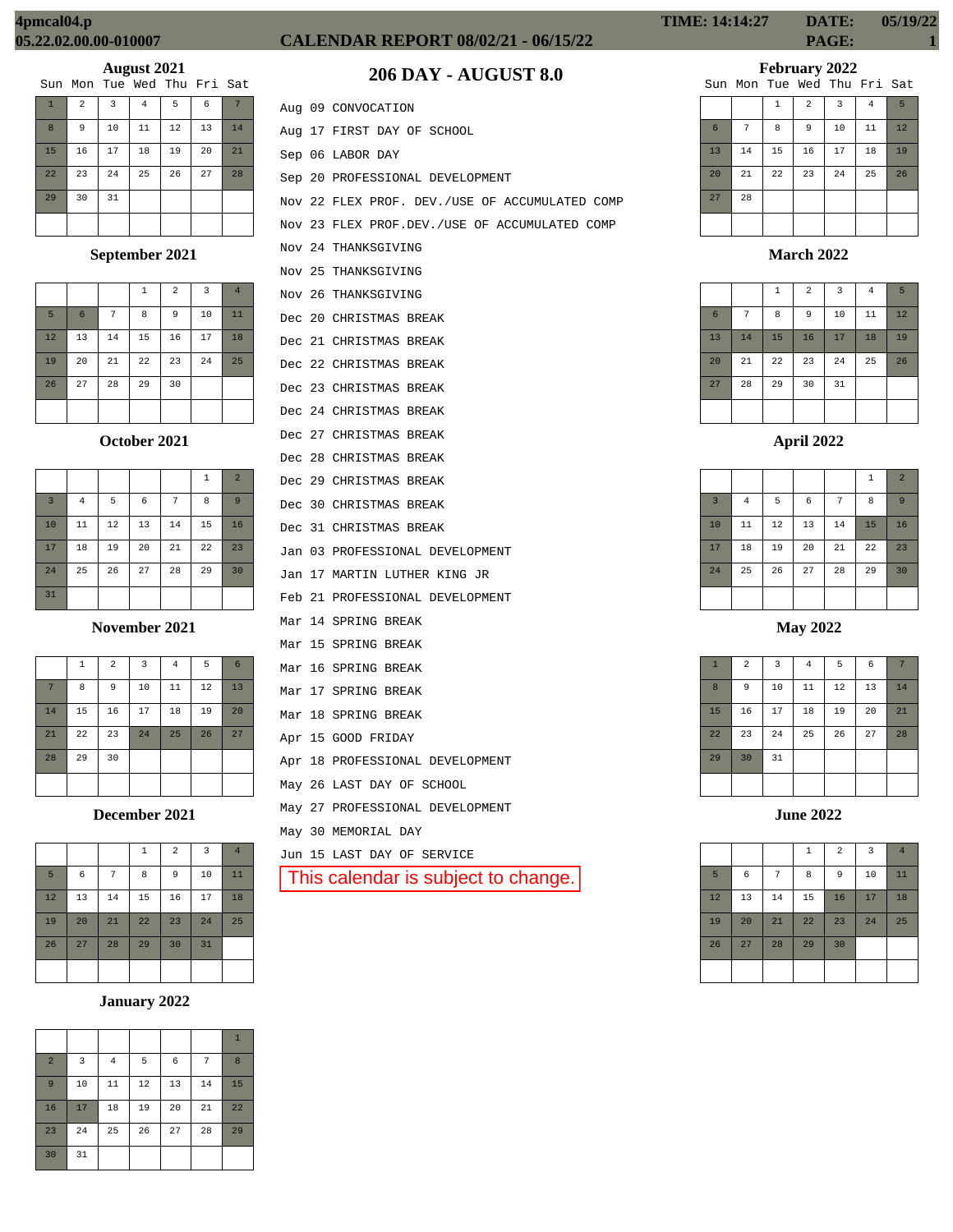# **CALENDAR REPORT 08/02/21 - 06/15/22 PAGE: 1**

# **February 2022**

| Mon Tue Wed Thu Fri Sat |  |  |
|-------------------------|--|--|

|    |    |              |                | Sun Mon Tue Wed Thu Fri Sat |    |    |
|----|----|--------------|----------------|-----------------------------|----|----|
|    |    | $\mathbf{1}$ | $\overline{a}$ | 3                           | 4  | 5  |
| 6  | 7  | 8            | 9              | 10                          | 11 | 12 |
| 13 | 14 | 15           | 16             | 17                          | 18 | 19 |
| 20 | 21 | 22           | 23             | 24                          | 25 | 26 |
| 27 | 28 |              |                |                             |    |    |
|    |    |              |                |                             |    |    |

**March 2022**

|                 |    | $\mathbf{1}$ | $\overline{a}$ | $\overline{3}$ | $\overline{4}$ | 5  |
|-----------------|----|--------------|----------------|----------------|----------------|----|
| $6\phantom{1}6$ | 7  | 8            | 9              | 10             | 11             | 12 |
| 13              | 14 | 15           | 16             | 17             | 18             | 19 |
| 20              | 21 | 22           | 23             | 24             | 25             | 26 |
| 27              | 28 | 29           | 30             | 31             |                |    |
|                 |    |              |                |                |                |    |

**April 2022**

|                |          |    |            |    | 1  | $\overline{2}$ |
|----------------|----------|----|------------|----|----|----------------|
| $\overline{3}$ | $\bf{4}$ | 5  | $\epsilon$ | 7  | 8  | 9              |
| 10             | 11       | 12 | 13         | 14 | 15 | 16             |
| 17             | 18       | 19 | 20         | 21 | 22 | 23             |
| 24             | 25       | 26 | 27         | 28 | 29 | 30             |
|                |          |    |            |    |    |                |

**May 2022**

| $\mathbf{1}$ | $\overline{2}$ | 3  | $\bf{4}$ | 5  | 6  |    |
|--------------|----------------|----|----------|----|----|----|
| 8            | 9              | 10 | $11\,$   | 12 | 13 | 14 |
| 15           | 16             | 17 | 18       | 19 | 20 | 21 |
| 22           | 23             | 24 | 25       | 26 | 27 | 28 |
| 29           | 30             | 31 |          |    |    |    |
|              |                |    |          |    |    |    |

**June 2022**

|    |    |    | $\mathbf{1}$ | $\overline{a}$ | $\overline{\mathbf{3}}$ | $\overline{4}$ |
|----|----|----|--------------|----------------|-------------------------|----------------|
| 5  | 6  | 7  | 8            | 9              | 10                      | 11             |
| 12 | 13 | 14 | 15           | 16             | 17                      | 18             |
| 19 | 20 | 21 | 22           | 23             | 24                      | 25             |
| 26 | 27 | 28 | 29           | 30             |                         |                |
|    |    |    |              |                |                         |                |

**206 DAY - AUGUST 8.0**

|  | Aug 09 CONVOCATION                               |
|--|--------------------------------------------------|
|  | Aug 17 FIRST DAY OF SCHOOL                       |
|  | Sep 06 LABOR DAY                                 |
|  | Sep 20 PROFESSIONAL DEVELOPMENT                  |
|  | Nov 22 FLEX PROF. DEV./USE OF ACCUMULATED COMP   |
|  | Nov 23 FLEX PROF. DEV. / USE OF ACCUMULATED COMP |
|  | Nov 24 THANKSGIVING                              |
|  | Nov 25 THANKSGIVING                              |
|  | Nov 26 THANKSGIVING                              |
|  | Dec 20 CHRISTMAS BREAK                           |
|  | Dec 21 CHRISTMAS BREAK                           |
|  | Dec 22 CHRISTMAS BREAK                           |
|  | Dec 23 CHRISTMAS BREAK                           |
|  | Dec 24 CHRISTMAS BREAK                           |
|  | Dec 27 CHRISTMAS BREAK                           |
|  | Dec 28 CHRISTMAS BREAK                           |
|  | Dec 29 CHRISTMAS BREAK                           |
|  | Dec 30 CHRISTMAS BREAK                           |
|  | Dec 31 CHRISTMAS BREAK                           |
|  | Jan 03 PROFESSIONAL DEVELOPMENT                  |
|  | Jan 17 MARTIN LUTHER KING JR                     |
|  | Feb 21 PROFESSIONAL DEVELOPMENT                  |
|  | Mar 14 SPRING BREAK                              |
|  | Mar 15 SPRING BREAK                              |
|  | Mar 16 SPRING BREAK                              |
|  | Mar 17 SPRING BREAK                              |
|  | Mar 18 SPRING BREAK                              |
|  | Apr 15 GOOD FRIDAY                               |
|  | Apr 18 PROFESSIONAL DEVELOPMENT                  |
|  | May 26 LAST DAY OF SCHOOL                        |
|  | May 27 PROFESSIONAL DEVELOPMENT                  |
|  | May 30 MEMORIAL DAY                              |
|  | Jun 15 LAST DAY OF SERVICE                       |
|  | This calendar is subject to change.              |

1 2 3 4 5 6 7 8 9 10 11 12 13 14 15 16 17 18 19 20 21 22 23 24 25 26 27 28 29 30 31 **August 2021** Sun Mon Tue Wed Thu Fri Sat

## **September 2021**

|    |                 |        | 1  | $\overline{2}$ | 3  | $\overline{4}$ |
|----|-----------------|--------|----|----------------|----|----------------|
| 5  | $6\phantom{1}6$ | 7      | 8  | 9              | 10 | 11             |
| 12 | 13              | 14     | 15 | 16             | 17 | 18             |
| 19 | 20              | $21\,$ | 22 | 23             | 24 | 25             |
| 26 | 27              | 28     | 29 | 30             |    |                |
|    |                 |        |    |                |    |                |

## **October 2021**

|                |                |    |    |    | $1\,$ | $\overline{2}$ |
|----------------|----------------|----|----|----|-------|----------------|
| $\overline{3}$ | $\overline{4}$ | 5  | 6  | 7  | 8     | 9              |
| 10             | 11             | 12 | 13 | 14 | 15    | 16             |
| 17             | 18             | 19 | 20 | 21 | 22    | 23             |
| 24             | 25             | 26 | 27 | 28 | 29    | 30             |
| 31             |                |    |    |    |       |                |

**November 2021**

|    | $\mathbf{1}$ | $\overline{2}$ | 3  | $\overline{4}$ | 5  | $6\phantom{1}6$ |
|----|--------------|----------------|----|----------------|----|-----------------|
| 7  | 8            | $\overline{9}$ | 10 | 11             | 12 | 13              |
| 14 | 15           | 16             | 17 | 18             | 19 | 20              |
| 21 | 22           | 23             | 24 | 25             | 26 | 27              |
| 28 | 29           | 30             |    |                |    |                 |
|    |              |                |    |                |    |                 |

**December 2021**

|    |            |    | $\mathbf{1}$ | $\overline{2}$ | 3  | $\overline{4}$ |
|----|------------|----|--------------|----------------|----|----------------|
| 5  | $\epsilon$ | 7  | 8            | 9              | 10 | 11             |
| 12 | 13         | 14 | 15           | 16             | 17 | 18             |
| 19 | 20         | 21 | 22           | 23             | 24 | 25             |
| 26 | 27         | 28 | 29           | 30             | 31 |                |
|    |            |    |              |                |    |                |

# **January 2022**

|                |    |                |    |    |    | $\mathbf{1}$ |
|----------------|----|----------------|----|----|----|--------------|
| $\overline{a}$ | 3  | $\overline{4}$ | 5  | 6  | 7  | 8            |
| 9              | 10 | 11             | 12 | 13 | 14 | 15           |
| 16             | 17 | 18             | 19 | 20 | 21 | 22           |
| 23             | 24 | 25             | 26 | 27 | 28 | 29           |
| 30             | 31 |                |    |    |    |              |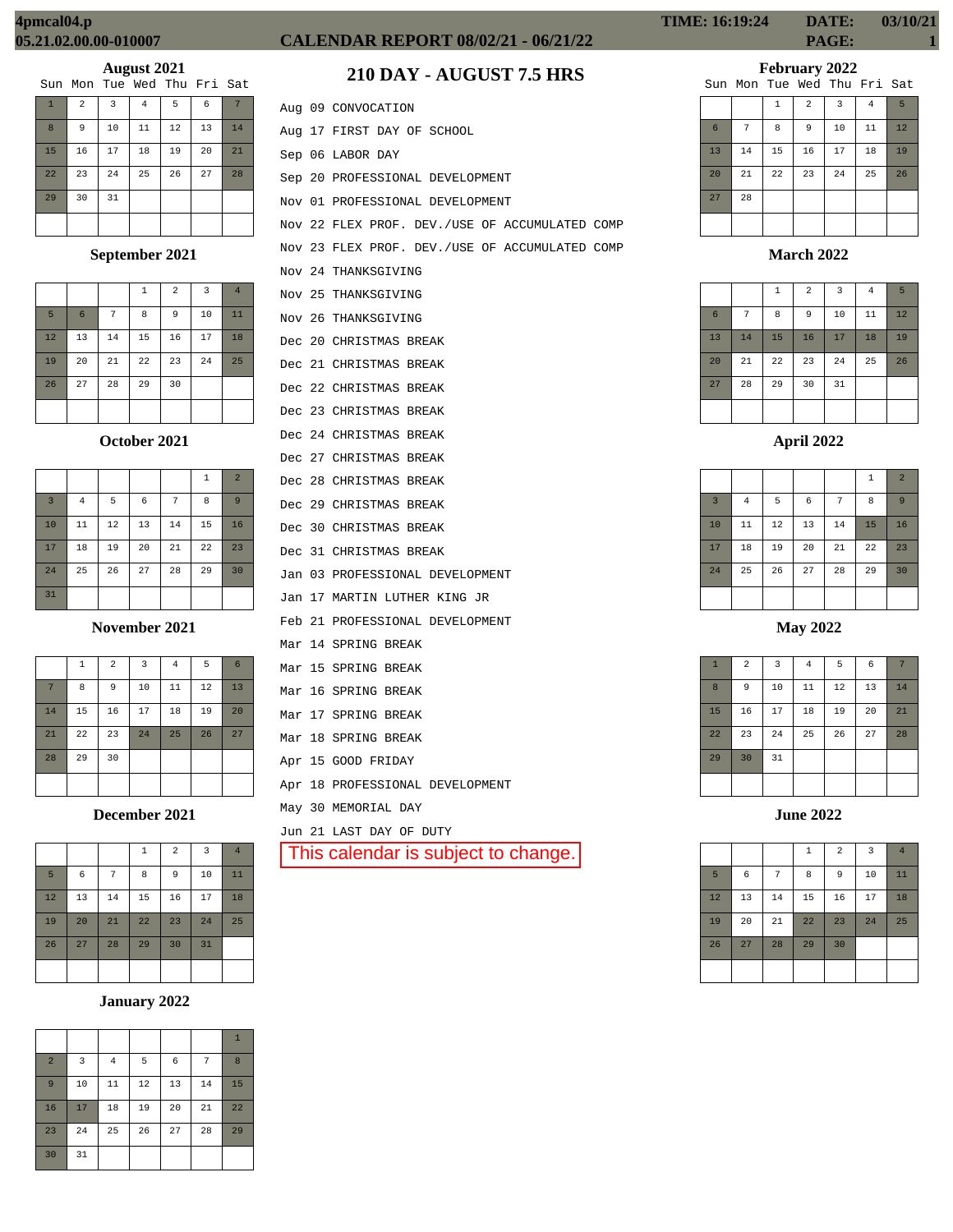# **CALENDAR REPORT 08/02/21 - 06/21/22 PAGE: 1**

**February 2022**

|    |    |    |                | Sun Mon Tue Wed Thu Fri Sat |    |                 |
|----|----|----|----------------|-----------------------------|----|-----------------|
|    |    | 1  | $\overline{a}$ | 3                           | 4  | $5\overline{2}$ |
| 6  | 7  | 8  | 9              | 10                          | 11 | 12              |
| 13 | 14 | 15 | 16             | 17                          | 18 | 19              |
| 20 | 21 | 22 | 23             | 24                          | 25 | 26              |
| 27 | 28 |    |                |                             |    |                 |
|    |    |    |                |                             |    |                 |

**March 2022**

|                 |    | $\mathbf{1}$ | $\overline{a}$ | $\overline{3}$ | 4  | 5  |
|-----------------|----|--------------|----------------|----------------|----|----|
| $6\phantom{1}6$ | 7  | 8            | 9              | 10             | 11 | 12 |
| 13              | 14 | 15           | 16             | 17             | 18 | 19 |
| 20              | 21 | 22           | 23             | 24             | 25 | 26 |
| 27              | 28 | 29           | 30             | 31             |    |    |
|                 |    |              |                |                |    |    |

**April 2022**

|                |                |    |    |    | $\mathbf{1}$ | $\overline{2}$ |
|----------------|----------------|----|----|----|--------------|----------------|
| $\overline{3}$ | $\overline{4}$ | 5  | 6  | 7  | 8            | 9              |
| 10             | 11             | 12 | 13 | 14 | 15           | 16             |
| 17             | 18             | 19 | 20 | 21 | 22           | 23             |
| 24             | 25             | 26 | 27 | 28 | 29           | 30             |
|                |                |    |    |    |              |                |

**May 2022**

| $\mathbf{1}$ | $\overline{a}$ | 3  | $\bf{4}$ | 5  | 6  | 7  |
|--------------|----------------|----|----------|----|----|----|
| 8            | 9              | 10 | 11       | 12 | 13 | 14 |
| 15           | 16             | 17 | 18       | 19 | 20 | 21 |
| 22           | 23             | 24 | 25       | 26 | 27 | 28 |
| 29           | 30             | 31 |          |    |    |    |
|              |                |    |          |    |    |    |

**June 2022**

|    |    |    | $\mathbf{1}$ | $\overline{2}$ | $\overline{\mathbf{3}}$ | $\overline{4}$ |
|----|----|----|--------------|----------------|-------------------------|----------------|
| 5  | 6  | 7  | 8            | 9              | 10                      | 11             |
| 12 | 13 | 14 | 15           | 16             | 17                      | 18             |
| 19 | 20 | 21 | 22           | 23             | 24                      | 25             |
| 26 | 27 | 28 | 29           | 30             |                         |                |
|    |    |    |              |                |                         |                |

# **August 2021**

|                |                |                |    | Sun Mon Tue Wed Thu Fri Sat |    |    |
|----------------|----------------|----------------|----|-----------------------------|----|----|
| $\overline{1}$ | $\overline{a}$ | $\overline{3}$ | 4  | 5                           | 6  | 7  |
| 8              | 9              | 10             | 11 | 12                          | 13 | 14 |
| 15             | 16             | 17             | 18 | 19                          | 20 | 21 |
| 22             | 23             | 24             | 25 | 26                          | 27 | 28 |
| 29             | 30             | 31             |    |                             |    |    |
|                |                |                |    |                             |    |    |

## **September 2021**

|    |                 |    | 1  | $\overline{a}$ | $\overline{3}$ | $\overline{4}$ |
|----|-----------------|----|----|----------------|----------------|----------------|
| 5  | $6\phantom{1}6$ | 7  | 8  | 9              | 10             | 11             |
| 12 | 13              | 14 | 15 | 16             | 17             | 18             |
| 19 | 20              | 21 | 22 | 23             | 24             | 25             |
| 26 | 27              | 28 | 29 | 30             |                |                |
|    |                 |    |    |                |                |                |

**October 2021**

|                |                |    |    |    | $\mathbf{1}$ | $\overline{a}$ |
|----------------|----------------|----|----|----|--------------|----------------|
| $\overline{3}$ | $\overline{4}$ | 5  | 6  | 7  | 8            | 9              |
| 10             | 11             | 12 | 13 | 14 | 15           | 16             |
| 17             | 18             | 19 | 20 | 21 | 22           | 23             |
| 24             | 25             | 26 | 27 | 28 | 29           | 30             |
| 31             |                |    |    |    |              |                |

**November 2021**

|    | $\mathbf{1}$ | $\overline{a}$ | 3  | $\bf 4$ | 5  | 6  |
|----|--------------|----------------|----|---------|----|----|
| 7  | 8            | 9              | 10 | 11      | 12 | 13 |
| 14 | 15           | 16             | 17 | 18      | 19 | 20 |
| 21 | 22           | 23             | 24 | 25      | 26 | 27 |
| 28 | 29           | 30             |    |         |    |    |
|    |              |                |    |         |    |    |

**December 2021**

|    |    |    | 1  | $\overline{2}$ | $\overline{3}$ | $\overline{4}$ |
|----|----|----|----|----------------|----------------|----------------|
| 5  | 6  | 7  | 8  | 9              | 10             | 11             |
| 12 | 13 | 14 | 15 | 16             | 17             | 18             |
| 19 | 20 | 21 | 22 | 23             | 24             | 25             |
| 26 | 27 | 28 | 29 | 30             | 31             |                |
|    |    |    |    |                |                |                |

#### **January 2022**

|                |    |                |    |    |    | $\mathbf{1}$ |
|----------------|----|----------------|----|----|----|--------------|
| $\overline{a}$ | 3  | $\overline{4}$ | 5  | 6  | 7  | 8            |
| 9              | 10 | 11             | 12 | 13 | 14 | 15           |
| 16             | 17 | 18             | 19 | 20 | 21 | 22           |
| 23             | 24 | 25             | 26 | 27 | 28 | 29           |
| 30             | 31 |                |    |    |    |              |

|  | Aug 09 CONVOCATION                             |
|--|------------------------------------------------|
|  | Aug 17 FIRST DAY OF SCHOOL                     |
|  | Sep 06 LABOR DAY                               |
|  | Sep 20 PROFESSIONAL DEVELOPMENT                |
|  | Nov 01 PROFESSIONAL DEVELOPMENT                |
|  | Nov 22 FLEX PROF. DEV./USE OF ACCUMULATED COMP |
|  | Nov 23 FLEX PROF. DEV./USE OF ACCUMULATED COMP |
|  | Nov 24 THANKSGIVING                            |
|  | Nov 25 THANKSGIVING                            |
|  | Nov 26 THANKSGIVING                            |
|  | Dec 20 CHRISTMAS BREAK                         |
|  | Dec 21 CHRISTMAS BREAK                         |
|  | Dec 22 CHRISTMAS BREAK                         |
|  | Dec 23 CHRISTMAS BREAK                         |
|  | Dec 24 CHRISTMAS BREAK                         |
|  | Dec 27 CHRISTMAS BREAK                         |
|  | Dec 28 CHRISTMAS BREAK                         |
|  | Dec 29 CHRISTMAS BREAK                         |
|  | Dec 30 CHRISTMAS BREAK                         |
|  | Dec 31 CHRISTMAS BREAK                         |
|  | Jan 03 PROFESSIONAL DEVELOPMENT                |
|  | Jan 17 MARTIN LUTHER KING JR                   |
|  | Feb 21 PROFESSIONAL DEVELOPMENT                |
|  | Mar 14 SPRING BREAK                            |
|  | Mar 15 SPRING BREAK                            |
|  | Mar 16 SPRING BREAK                            |
|  | Mar 17 SPRING BREAK                            |
|  | Mar 18 SPRING BREAK                            |
|  | Apr 15 GOOD FRIDAY                             |
|  | Apr 18 PROFESSIONAL DEVELOPMENT                |
|  | May 30 MEMORIAL DAY                            |

Jun 21 LAST DAY OF DUTY This calendar is subject to change.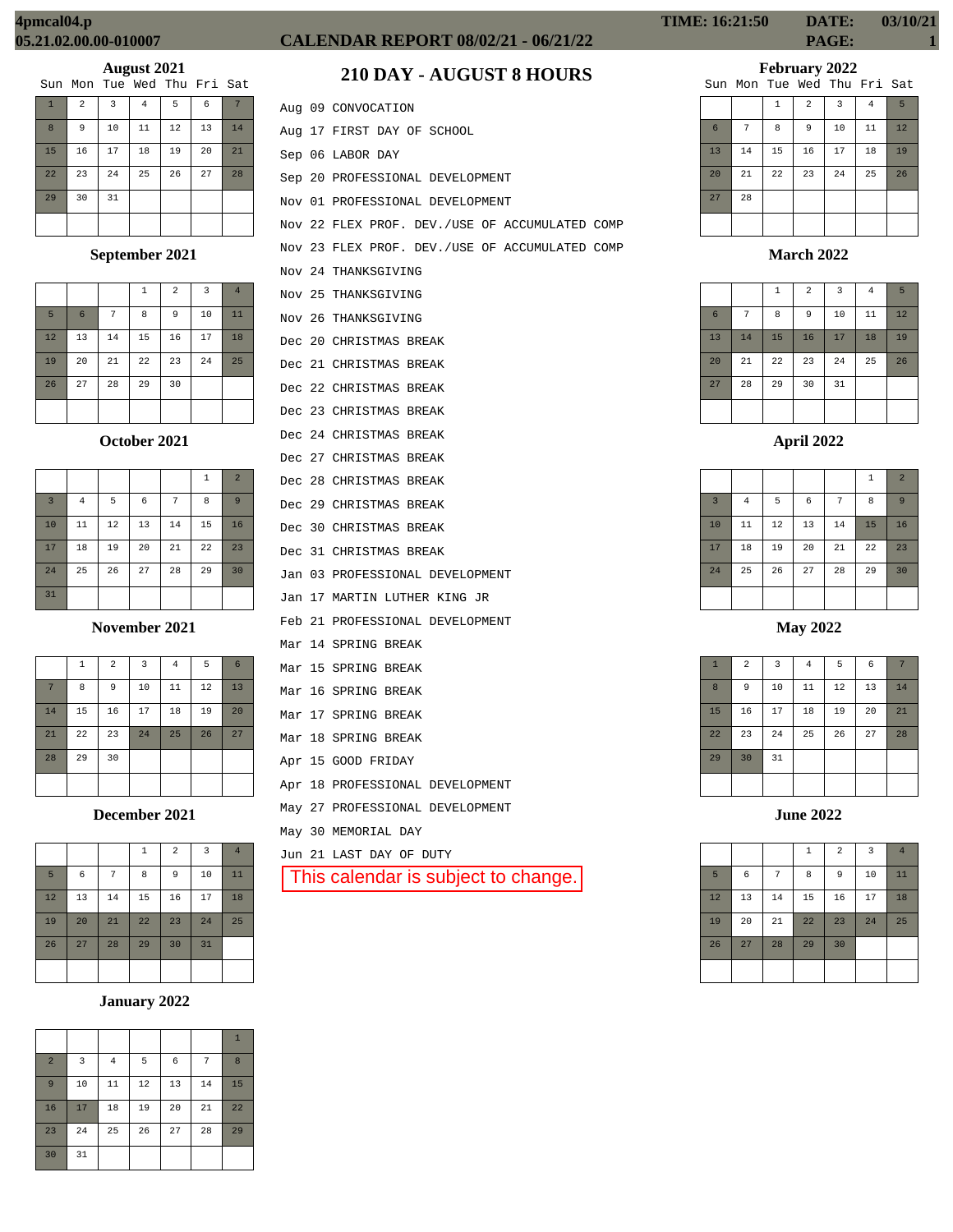|                |                |    | Sun Mon Tue Wed Thu Fri Sat |    |    |    |
|----------------|----------------|----|-----------------------------|----|----|----|
| $\overline{1}$ | $\overline{a}$ | 3  | 4                           | 5  | 6  |    |
| 8              | 9              | 10 | 11                          | 12 | 13 | 14 |
| 15             | 16             | 17 | 18                          | 19 | 20 | 21 |
| 22             | 23             | 24 | 25                          | 26 | 27 | 28 |
| 29             | 30             | 31 |                             |    |    |    |
|                |                |    |                             |    |    |    |

# **September 2021**

|    |                 |    | $\mathbf{1}$ | $\overline{a}$ | 3  | $\overline{4}$ |
|----|-----------------|----|--------------|----------------|----|----------------|
| 5  | $6\phantom{1}6$ | 7  | 8            | 9              | 10 | 11             |
| 12 | 13              | 14 | 15           | 16             | 17 | 18             |
| 19 | 20              | 21 | 22           | 23             | 24 | 25             |
| 26 | 27              | 28 | 29           | 30             |    |                |
|    |                 |    |              |                |    |                |

# **October 2021**

|                |                |    |    |    | 1  | $\overline{2}$ |
|----------------|----------------|----|----|----|----|----------------|
| $\overline{3}$ | $\overline{4}$ | 5  | 6  | 7  | 8  | 9              |
| 10             | 11             | 12 | 13 | 14 | 15 | 16             |
| 17             | 18             | 19 | 20 | 21 | 22 | 23             |
| 24             | 25             | 26 | 27 | 28 | 29 | 30             |
| 31             |                |    |    |    |    |                |

#### **November 2021**

|    | 1  | $\overline{a}$ | $\overline{3}$ | $\bf 4$ | 5  | 6  |
|----|----|----------------|----------------|---------|----|----|
| 7  | 8  | 9              | 10             | 11      | 12 | 13 |
| 14 | 15 | 16             | 17             | 18      | 19 | 20 |
| 21 | 22 | 23             | 24             | 25      | 26 | 27 |
| 28 | 29 | 30             |                |         |    |    |
|    |    |                |                |         |    |    |

**December 2021**

|    |    |    | $\mathbf 1$ | $\overline{2}$ | $\overline{\mathbf{3}}$ | $\overline{4}$ |
|----|----|----|-------------|----------------|-------------------------|----------------|
| 5  | 6  | 7  | 8           | 9              | 10                      | 11             |
| 12 | 13 | 14 | 15          | 16             | 17                      | 18             |
| 19 | 20 | 21 | 22          | 23             | 24                      | 25             |
| 26 | 27 | 28 | 29          | 30             | 31                      |                |
|    |    |    |             |                |                         |                |

# **January 2022**

|                |    |                |    |    |    | $\mathbf{1}$ |
|----------------|----|----------------|----|----|----|--------------|
| $\overline{a}$ | 3  | $\overline{4}$ | 5  | 6  | 7  | 8            |
| 9              | 10 | 11             | 12 | 13 | 14 | 15           |
| 16             | 17 | 18             | 19 | 20 | 21 | 22           |
| 23             | 24 | 25             | 26 | 27 | 28 | 29           |
| 30             | 31 |                |    |    |    |              |

# **CALENDAR REPORT 08/02/21 - 06/21/22 PAGE: 1**

# **210 DAY - AUGUST 8 HOURS**

|  | Aug 09 CONVOCATION                             |
|--|------------------------------------------------|
|  | Aug 17 FIRST DAY OF SCHOOL                     |
|  | Sep 06 LABOR DAY                               |
|  | Sep 20 PROFESSIONAL DEVELOPMENT                |
|  | Nov 01 PROFESSIONAL DEVELOPMENT                |
|  | Nov 22 FLEX PROF. DEV./USE OF ACCUMULATED COMP |
|  | Nov 23 FLEX PROF. DEV./USE OF ACCUMULATED COMP |
|  | Nov 24 THANKSGIVING                            |
|  | Nov 25 THANKSGIVING                            |
|  | Nov 26 THANKSGIVING                            |
|  | Dec 20 CHRISTMAS BREAK                         |
|  | Dec 21 CHRISTMAS BREAK                         |
|  | Dec 22 CHRISTMAS BREAK                         |
|  | Dec 23 CHRISTMAS BREAK                         |
|  | Dec 24 CHRISTMAS BREAK                         |
|  | Dec 27 CHRISTMAS BREAK                         |
|  | Dec 28 CHRISTMAS BREAK                         |
|  | Dec 29 CHRISTMAS BREAK                         |
|  | Dec 30 CHRISTMAS BREAK                         |
|  | Dec 31 CHRISTMAS BREAK                         |
|  | Jan 03 PROFESSIONAL DEVELOPMENT                |
|  | Jan 17 MARTIN LUTHER KING JR                   |
|  | Feb 21 PROFESSIONAL DEVELOPMENT                |
|  | Mar 14 SPRING BREAK                            |
|  | Mar 15 SPRING BREAK                            |
|  | Mar 16 SPRING BREAK                            |
|  | Mar 17 SPRING BREAK                            |
|  | Mar 18 SPRING BREAK                            |
|  | Apr 15 GOOD FRIDAY                             |
|  | Apr 18 PROFESSIONAL DEVELOPMENT                |
|  | May 27 PROFESSIONAL DEVELOPMENT                |
|  | May 30 MEMORIAL DAY                            |
|  | Jun 21 LAST DAY OF DUTY                        |
|  | This calendar is subject to change.            |
|  |                                                |

**TIME: 16:21:50 DATE: 03/10/21**

**February 2022**

|    |    |              |                | Sun Mon Tue Wed Thu Fri Sat |                |    |
|----|----|--------------|----------------|-----------------------------|----------------|----|
|    |    | $\mathbf{1}$ | $\overline{a}$ | 3                           | $\overline{4}$ | 5  |
| 6  | 7  | 8            | 9              | 10                          | 11             | 12 |
| 13 | 14 | 15           | 16             | 17                          | 18             | 19 |
| 20 | 21 | 22           | 23             | 24                          | 25             | 26 |
| 27 | 28 |              |                |                             |                |    |
|    |    |              |                |                             |                |    |

## **March 2022**

|                 |    | $\mathbf{1}$ | $\overline{a}$ | 3  | $\overline{4}$ | 5  |
|-----------------|----|--------------|----------------|----|----------------|----|
| $6\phantom{1}6$ | 7  | 8            | 9              | 10 | 11             | 12 |
| 13              | 14 | 15           | 16             | 17 | 18             | 19 |
| 20              | 21 | 22           | 23             | 24 | 25             | 26 |
| 27              | 28 | 29           | 30             | 31 |                |    |
|                 |    |              |                |    |                |    |

# **April 2022**

|                |          |        |            |    | $\,1\,$ | $\overline{2}$ |
|----------------|----------|--------|------------|----|---------|----------------|
| $\overline{3}$ | $\bf{4}$ | 5      | $\epsilon$ | 7  | 8       | 9              |
| 10             | 11       | $12\,$ | 13         | 14 | 15      | 16             |
| 17             | 18       | 19     | 20         | 21 | 22      | 23             |
| 24             | 25       | 26     | 27         | 28 | 29      | 30             |
|                |          |        |            |    |         |                |

# **May 2022**

| $\mathbf{1}$ | $\overline{2}$ | $\overline{\mathbf{3}}$ | $\bf{4}$ | 5  | $\epsilon$ | 7  |
|--------------|----------------|-------------------------|----------|----|------------|----|
| 8            | 9              | 10                      | $11\,$   | 12 | 13         | 14 |
| 15           | 16             | 17                      | 18       | 19 | 20         | 21 |
| 22           | 23             | 24                      | 25       | 26 | 27         | 28 |
| 29           | 30             | 31                      |          |    |            |    |
|              |                |                         |          |    |            |    |

**June 2022**

|    |    |    | $\,1\,$ | $\overline{a}$ | 3  | $\overline{4}$ |
|----|----|----|---------|----------------|----|----------------|
| 5  | 6  | 7  | 8       | 9              | 10 | 11             |
| 12 | 13 | 14 | 15      | 16             | 17 | 18             |
| 19 | 20 | 21 | 22      | 23             | 24 | 25             |
| 26 | 27 | 28 | 29      | 30             |    |                |
|    |    |    |         |                |    |                |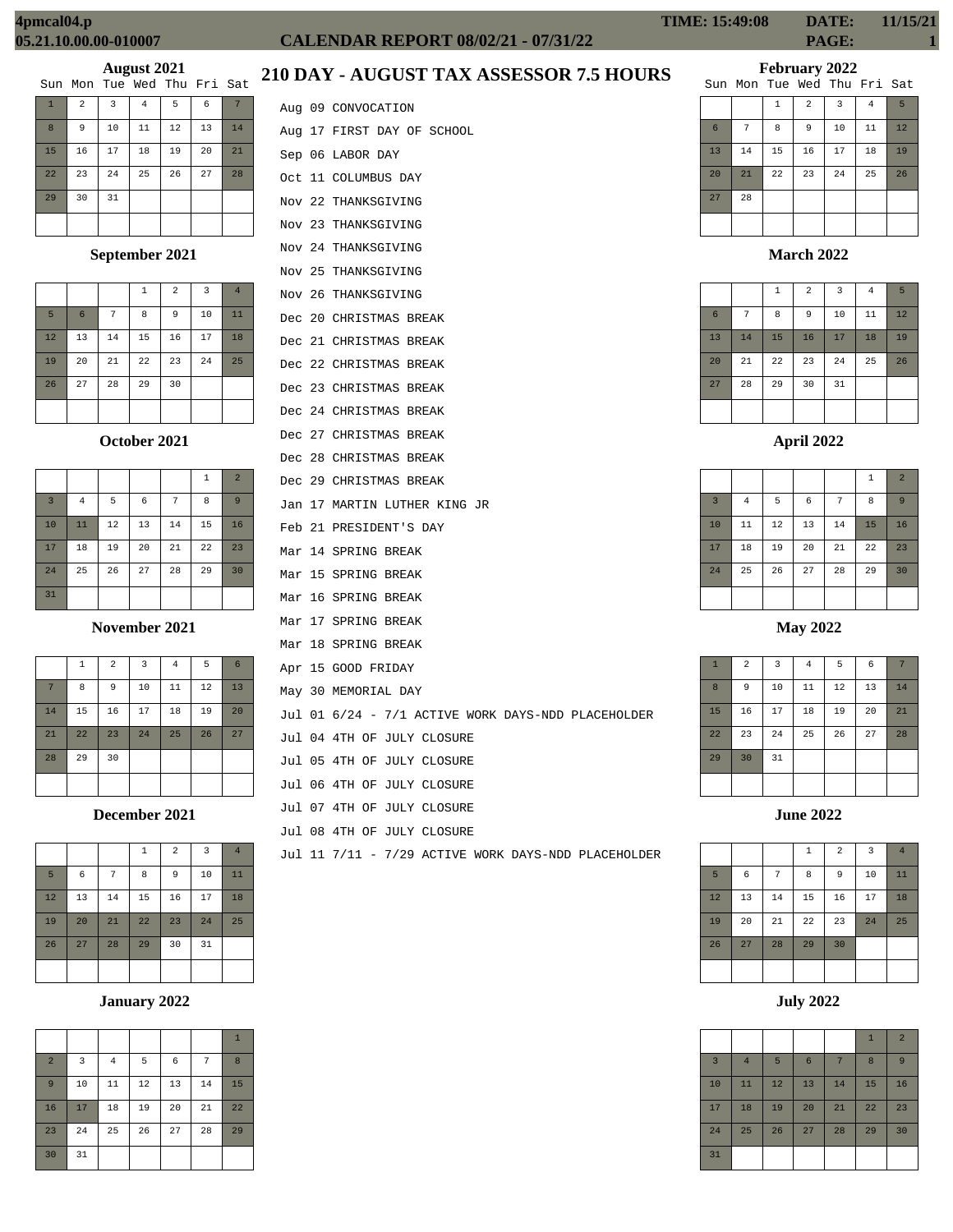# **CALENDAR REPORT 08/02/21 - 07/31/22 PAGE: 1**

# **February 2022**

|    |    |              |                | Sun Mon Tue Wed Thu Fri Sat |    |    |
|----|----|--------------|----------------|-----------------------------|----|----|
|    |    | $\mathbf{1}$ | $\overline{a}$ | 3                           | 4  | 5  |
| 6  | 7  | 8            | 9              | 10                          | 11 | 12 |
| 13 | 14 | 15           | 16             | 17                          | 18 | 19 |
| 20 | 21 | 22           | 23             | 24                          | 25 | 26 |
| 27 | 28 |              |                |                             |    |    |
|    |    |              |                |                             |    |    |

#### **March 2022**

|    |    | $\,1\,$ | $\overline{a}$ | $\overline{\mathbf{3}}$ | $\overline{4}$ | 5  |
|----|----|---------|----------------|-------------------------|----------------|----|
| 6  | 7  | 8       | 9              | 10                      | 11             | 12 |
| 13 | 14 | 15      | 16             | 17                      | 18             | 19 |
| 20 | 21 | 22      | 23             | 24                      | 25             | 26 |
| 27 | 28 | 29      | 30             | 31                      |                |    |
|    |    |         |                |                         |                |    |

## **April 2022**

|                |          |    |    |    | 1  | $\overline{2}$ |
|----------------|----------|----|----|----|----|----------------|
| $\overline{3}$ | $\bf{4}$ | 5  | 6  | 7  | 8  | 9              |
| 10             | 11       | 12 | 13 | 14 | 15 | 16             |
| 17             | 18       | 19 | 20 | 21 | 22 | 23             |
| 24             | 25       | 26 | 27 | 28 | 29 | 30             |
|                |          |    |    |    |    |                |

**May 2022**

| $\mathbf{1}$ | $\overline{a}$ | $\overline{3}$ | $\bf{4}$ | 5  | 6  | 7  |
|--------------|----------------|----------------|----------|----|----|----|
| 8            | 9              | $10$           | 11       | 12 | 13 | 14 |
| 15           | 16             | 17             | 18       | 19 | 20 | 21 |
| 22           | 23             | 24             | 25       | 26 | 27 | 28 |
| 29           | 30             | 31             |          |    |    |    |
|              |                |                |          |    |    |    |

**June 2022**

|    |    |    | $\overline{1}$ | $\overline{a}$ | 3  | $\overline{4}$ |
|----|----|----|----------------|----------------|----|----------------|
| 5  | 6  | 7  | 8              | 9              | 10 | 11             |
| 12 | 13 | 14 | 15             | 16             | 17 | 18             |
| 19 | 20 | 21 | 22             | 23             | 24 | 25             |
| 26 | 27 | 28 | 29             | 30             |    |                |
|    |    |    |                |                |    |                |

**July 2022**

|                |                |    |    |    | $\mathbf{1}$ | $\overline{2}$ |
|----------------|----------------|----|----|----|--------------|----------------|
| $\overline{3}$ | $\overline{4}$ | 5  | 6  | 7  | 8            | 9              |
| 10             | 11             | 12 | 13 | 14 | 15           | 16             |
| 17             | 18             | 19 | 20 | 21 | 22           | 23             |
| 24             | 25             | 26 | 27 | 28 | 29           | 30             |
| 31             |                |    |    |    |              |                |

# **210 DAY - AUGUST TAX ASSESSOR 7.5 HOURS**

|              |                |                | Sun Mon Tue Wed Thu Fri Sat |    |    |    |
|--------------|----------------|----------------|-----------------------------|----|----|----|
| $\mathbf{1}$ | $\overline{a}$ | $\overline{3}$ | $\overline{4}$              | 5  | 6  |    |
| 8            | 9              | 10             | 11                          | 12 | 13 | 14 |
| 15           | 16             | 17             | 18                          | 19 | 20 | 21 |
| 22           | 23             | 24             | 25                          | 26 | 27 | 28 |
| 29           | 30             | 31             |                             |    |    |    |
|              |                |                |                             |    |    |    |

**August 2021**

# **September 2021**

|    |                 |    | $\mathbf{1}$ | $\overline{2}$ | 3  | $\overline{4}$ |
|----|-----------------|----|--------------|----------------|----|----------------|
| 5  | $6\phantom{1}6$ | 7  | 8            | 9              | 10 | 11             |
| 12 | 13              | 14 | 15           | 16             | 17 | 18             |
| 19 | 20              | 21 | 22           | 23             | 24 | 25             |
| 26 | 27              | 28 | 29           | 30             |    |                |
|    |                 |    |              |                |    |                |

# **October 2021**

|                         |    |    |    |    | 1  | $\overline{2}$ |
|-------------------------|----|----|----|----|----|----------------|
| $\overline{\mathbf{3}}$ | 4  | 5  | 6  | 7  | 8  | $\overline{9}$ |
| 10                      | 11 | 12 | 13 | 14 | 15 | 16             |
| 17                      | 18 | 19 | 20 | 21 | 22 | 23             |
| 24                      | 25 | 26 | 27 | 28 | 29 | 30             |
| 31                      |    |    |    |    |    |                |

**November 2021**

|    | $\mathbf{1}$ | $\overline{a}$ | $\overline{\mathbf{3}}$ | $\overline{4}$ | 5  | 6  |
|----|--------------|----------------|-------------------------|----------------|----|----|
| 7  | 8            | 9              | 10                      | 11             | 12 | 13 |
| 14 | 15           | 16             | 17                      | 18             | 19 | 20 |
| 21 | 22           | 23             | 24                      | 25             | 26 | 27 |
| 28 | 29           | 30             |                         |                |    |    |
|    |              |                |                         |                |    |    |

**December 2021**

|    |    |    | 1  | $\overline{2}$ | 3  | $\overline{4}$ |
|----|----|----|----|----------------|----|----------------|
| 5  | 6  | 7  | 8  | 9              | 10 | 11             |
| 12 | 13 | 14 | 15 | 16             | 17 | 18             |
| 19 | 20 | 21 | 22 | 23             | 24 | 25             |
| 26 | 27 | 28 | 29 | 30             | 31 |                |
|    |    |    |    |                |    |                |

# **January 2022**

|                |    |                |    |    |    | $\mathbf{1}$ |
|----------------|----|----------------|----|----|----|--------------|
| $\overline{a}$ | 3  | $\overline{4}$ | 5  | 6  | 7  | 8            |
| 9              | 10 | 11             | 12 | 13 | 14 | 15           |
| 16             | 17 | 18             | 19 | 20 | 21 | 22           |
| 23             | 24 | 25             | 26 | 27 | 28 | 29           |
| 30             | 31 |                |    |    |    |              |

|  | Aug 09 CONVOCATION                                  |
|--|-----------------------------------------------------|
|  | Aug 17 FIRST DAY OF SCHOOL                          |
|  | Sep 06 LABOR DAY                                    |
|  | Oct 11 COLUMBUS DAY                                 |
|  | Nov 22 THANKSGIVING                                 |
|  | Nov 23 THANKSGIVING                                 |
|  | Nov 24 THANKSGIVING                                 |
|  | Nov 25 THANKSGIVING                                 |
|  | Nov 26 THANKSGIVING                                 |
|  | Dec 20 CHRISTMAS BREAK                              |
|  | Dec 21 CHRISTMAS BREAK                              |
|  | Dec 22 CHRISTMAS BREAK                              |
|  | Dec 23 CHRISTMAS BREAK                              |
|  | Dec 24 CHRISTMAS BREAK                              |
|  | Dec 27 CHRISTMAS BREAK                              |
|  | Dec 28 CHRISTMAS BREAK                              |
|  | Dec 29 CHRISTMAS BREAK                              |
|  | Jan 17 MARTIN LUTHER KING JR                        |
|  | Feb 21 PRESIDENT'S DAY                              |
|  | Mar 14 SPRING BREAK                                 |
|  | Mar 15 SPRING BREAK                                 |
|  | Mar 16 SPRING BREAK                                 |
|  | Mar 17 SPRING BREAK                                 |
|  | Mar 18 SPRING BREAK                                 |
|  | Apr 15 GOOD FRIDAY                                  |
|  | May 30 MEMORIAL DAY                                 |
|  | Jul 01 6/24 - 7/1 ACTIVE WORK DAYS-NDD PLACEHOLDER  |
|  | Jul 04 4TH OF JULY CLOSURE                          |
|  | Jul 05 4TH OF JULY CLOSURE                          |
|  | Jul 06 4TH OF JULY CLOSURE                          |
|  | Jul 07 4TH OF JULY CLOSURE                          |
|  | Jul 08 4TH OF JULY CLOSURE                          |
|  | Jul 11 7/11 - 7/29 ACTIVE WORK DAYS-NDD PLACEHOLDER |
|  |                                                     |
|  |                                                     |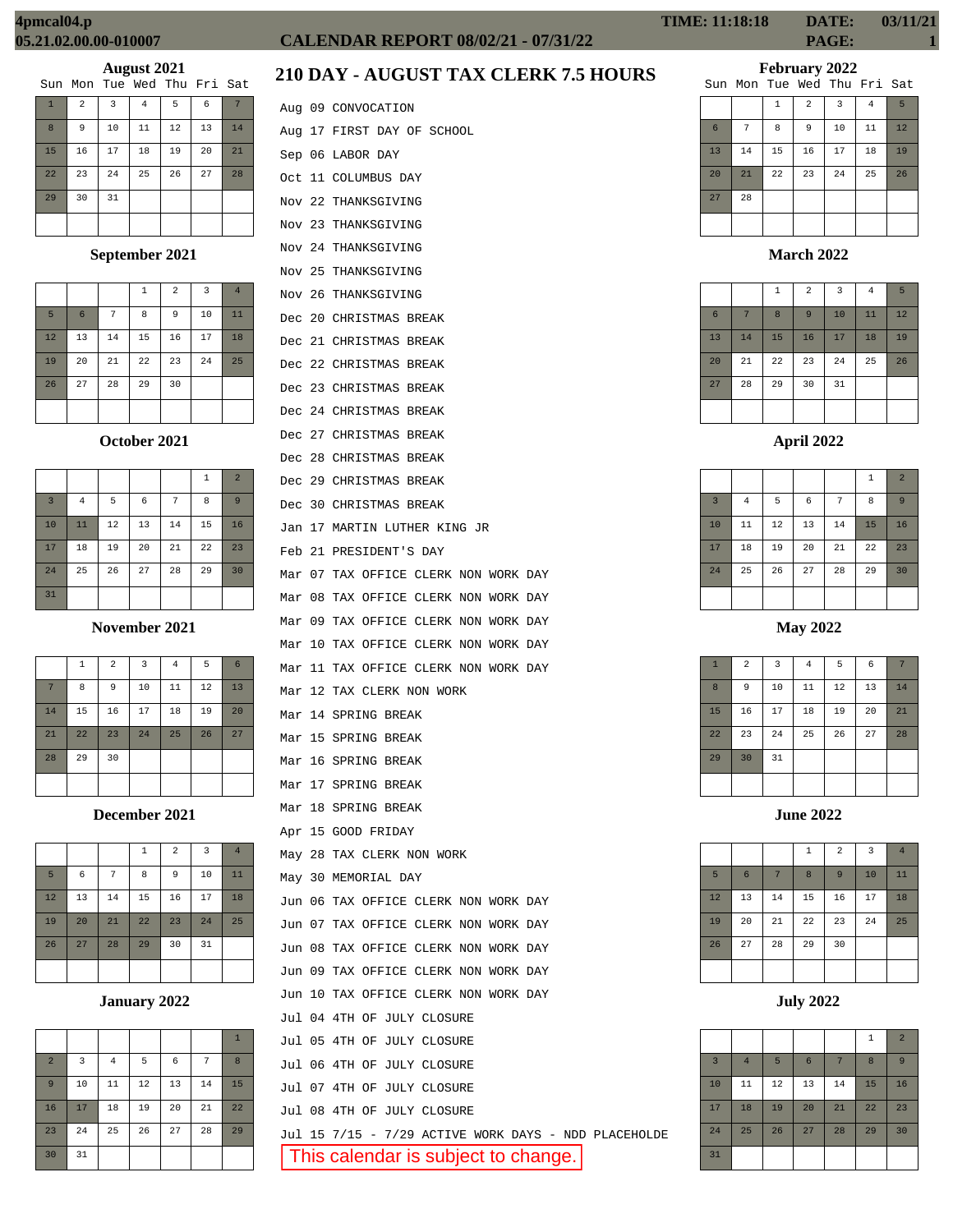|              | Sun Mon Tue Wed Thu Fri Sat |                |                |    |    |    |
|--------------|-----------------------------|----------------|----------------|----|----|----|
| $\mathbf{1}$ | $\overline{a}$              | $\overline{3}$ | $\overline{4}$ | 5  | 6  |    |
| 8            | 9                           | 10             | 11             | 12 | 13 | 14 |
| 15           | 16                          | 17             | 18             | 19 | 20 | 21 |
| 22           | 23                          | 24             | 25             | 26 | 27 | 28 |
| 29           | 30                          | 31             |                |    |    |    |
|              |                             |                |                |    |    |    |

# **September 2021**

|    |                 |    | 1  | $\overline{a}$ | $\overline{3}$ | $\overline{4}$ |
|----|-----------------|----|----|----------------|----------------|----------------|
| 5  | $6\phantom{1}6$ | 7  | 8  | 9              | 10             | 11             |
| 12 | 13              | 14 | 15 | 16             | 17             | 18             |
| 19 | 20              | 21 | 22 | 23             | 24             | 25             |
| 26 | 27              | 28 | 29 | 30             |                |                |
|    |                 |    |    |                |                |                |

#### **October 2021**

|                |         |    |    |    | $\mathbf 1$ | $\overline{2}$ |
|----------------|---------|----|----|----|-------------|----------------|
| $\overline{3}$ | $\bf 4$ | 5  | 6  | 7  | 8           | 9              |
| 10             | 11      | 12 | 13 | 14 | 15          | 16             |
| 17             | 18      | 19 | 20 | 21 | 22          | 23             |
| 24             | 25      | 26 | 27 | 28 | 29          | 30             |
| 31             |         |    |    |    |             |                |

#### **November 2021**

|                | $\mathbf{1}$ | $\overline{a}$ | 3  | $\overline{4}$ | 5  | 6  |
|----------------|--------------|----------------|----|----------------|----|----|
| $\overline{7}$ | 8            | 9              | 10 | 11             | 12 | 13 |
| 14             | 15           | 16             | 17 | 18             | 19 | 20 |
| 21             | 22           | 23             | 24 | 25             | 26 | 27 |
| 28             | 29           | 30             |    |                |    |    |
|                |              |                |    |                |    |    |

# **December 2021**

|    |    |    | 1  | $\overline{a}$ | 3  | $\overline{4}$ |
|----|----|----|----|----------------|----|----------------|
| 5  | 6  | 7  | 8  | 9              | 10 | 11             |
| 12 | 13 | 14 | 15 | 16             | 17 | 18             |
| 19 | 20 | 21 | 22 | 23             | 24 | 25             |
| 26 | 27 | 28 | 29 | 30             | 31 |                |
|    |    |    |    |                |    |                |

#### **January 2022**

|                |                |          |    |    |    | $\mathbf{1}$ |
|----------------|----------------|----------|----|----|----|--------------|
| $\overline{a}$ | $\overline{3}$ | $\bf{4}$ | 5  | 6  | 7  | 8            |
| $\overline{9}$ | 10             | 11       | 12 | 13 | 14 | 15           |
| 16             | 17             | 18       | 19 | 20 | 21 | 22           |
| 23             | 24             | 25       | 26 | 27 | 28 | 29           |
| 30             | 31             |          |    |    |    |              |

# **CALENDAR REPORT 08/02/21 - 07/31/22 PAGE: 1**

Aug 09 CONVOCATION

Sep 06 LABOR DAY Oct 11 COLUMBUS DAY Nov 22 THANKSGIVING Nov 23 THANKSGIVING Nov 24 THANKSGIVING Nov 25 THANKSGIVING Nov 26 THANKSGIVING Dec 20 CHRISTMAS BREAK Dec 21 CHRISTMAS BREAK Dec 22 CHRISTMAS BREAK Dec 23 CHRISTMAS BREAK Dec 24 CHRISTMAS BREAK Dec 27 CHRISTMAS BREAK Dec 28 CHRISTMAS BREAK Dec 29 CHRISTMAS BREAK Dec 30 CHRISTMAS BREAK

Aug 17 FIRST DAY OF SCHOOL

Jan 17 MARTIN LUTHER KING JR

Mar 07 TAX OFFICE CLERK NON WORK DAY Mar 08 TAX OFFICE CLERK NON WORK DAY Mar 09 TAX OFFICE CLERK NON WORK DAY Mar 10 TAX OFFICE CLERK NON WORK DAY Mar 11 TAX OFFICE CLERK NON WORK DAY

Feb 21 PRESIDENT'S DAY

Mar 12 TAX CLERK NON WORK

May 28 TAX CLERK NON WORK

Jul 04 4TH OF JULY CLOSURE Jul 05 4TH OF JULY CLOSURE Jul 06 4TH OF JULY CLOSURE Jul 07 4TH OF JULY CLOSURE Jul 08 4TH OF JULY CLOSURE

Jun 06 TAX OFFICE CLERK NON WORK DAY Jun 07 TAX OFFICE CLERK NON WORK DAY Jun 08 TAX OFFICE CLERK NON WORK DAY Jun 09 TAX OFFICE CLERK NON WORK DAY Jun 10 TAX OFFICE CLERK NON WORK DAY

May 30 MEMORIAL DAY

Mar 14 SPRING BREAK Mar 15 SPRING BREAK Mar 16 SPRING BREAK Mar 17 SPRING BREAK Mar 18 SPRING BREAK Apr 15 GOOD FRIDAY

# **210 DAY - AUGUST TAX CLERK 7.5 HOURS**

| <b>TIME: 11:18:18</b> | DATE:        | 03/11/21 |
|-----------------------|--------------|----------|
|                       | <b>PAGE:</b> |          |

#### **February 2022**

|    |    |    |                         | Sun Mon Tue Wed Thu Fri Sat |    |    |
|----|----|----|-------------------------|-----------------------------|----|----|
|    |    | 1  | $\overline{\mathbf{c}}$ | 3                           | 4  | 5  |
| 6  | 7  | 8  | 9                       | 10                          | 11 | 12 |
| 13 | 14 | 15 | 16                      | 17                          | 18 | 19 |
| 20 | 21 | 22 | 23                      | 24                          | 25 | 26 |
| 27 | 28 |    |                         |                             |    |    |
|    |    |    |                         |                             |    |    |

#### **March 2022**

|                |    | $\mathbf{1}$ | $\overline{a}$ | $\overline{3}$ | 4  | 5  |
|----------------|----|--------------|----------------|----------------|----|----|
| $6\phantom{1}$ | 7  | 8            | 9              | 10             | 11 | 12 |
| 13             | 14 | 15           | 16             | 17             | 18 | 19 |
| 20             | 21 | 22           | 23             | 24             | 25 | 26 |
| 27             | 28 | 29           | 30             | 31             |    |    |
|                |    |              |                |                |    |    |

#### **April 2022**

|                |                |    |            |    | 1  | $\overline{2}$ |
|----------------|----------------|----|------------|----|----|----------------|
| $\overline{3}$ | $\overline{4}$ | 5  | $\epsilon$ | 7  | 8  | 9              |
| 10             | 11             | 12 | 13         | 14 | 15 | 16             |
| 17             | 18             | 19 | 20         | 21 | 22 | 23             |
| 24             | 25             | 26 | 27         | 28 | 29 | 30             |
|                |                |    |            |    |    |                |

#### **May 2022**

| $\mathbf{1}$ | $\overline{a}$ | $\overline{3}$ | $\overline{4}$ | 5  | 6  | 7  |
|--------------|----------------|----------------|----------------|----|----|----|
| 8            | 9              | 10             | 11             | 12 | 13 | 14 |
| 15           | 16             | 17             | 18             | 19 | 20 | 21 |
| 22           | 23             | 24             | 25             | 26 | 27 | 28 |
| 29           | 30             | 31             |                |    |    |    |
|              |                |                |                |    |    |    |

**June 2022**

|    |                |    | $\mathbf{1}$ | $\overline{2}$ | $\overline{3}$ | $\overline{4}$ |
|----|----------------|----|--------------|----------------|----------------|----------------|
| 5  | $6\phantom{1}$ |    | 8            | 9              | 10             | 11             |
| 12 | 13             | 14 | 15           | 16             | 17             | 18             |
| 19 | 20             | 21 | 22           | 23             | 24             | 25             |
| 26 | 27             | 28 | 29           | 30             |                |                |
|    |                |    |              |                |                |                |

**July 2022**

|                |                |    |                 |    | 1  | $\overline{2}$ |
|----------------|----------------|----|-----------------|----|----|----------------|
| $\overline{3}$ | $\overline{4}$ | 5  | $6\phantom{1}6$ | 7  | 8  | 9              |
| 10             | 11             | 12 | 13              | 14 | 15 | 16             |
| 17             | 18             | 19 | 20              | 21 | 22 | 23             |
| 24             | 25             | 26 | 27              | 28 | 29 | 30             |
| 31             |                |    |                 |    |    |                |

Jul 15 7/15 - 7/29 ACTIVE WORK DAYS - NDD PLACEHOLDE

This calendar is subject to change.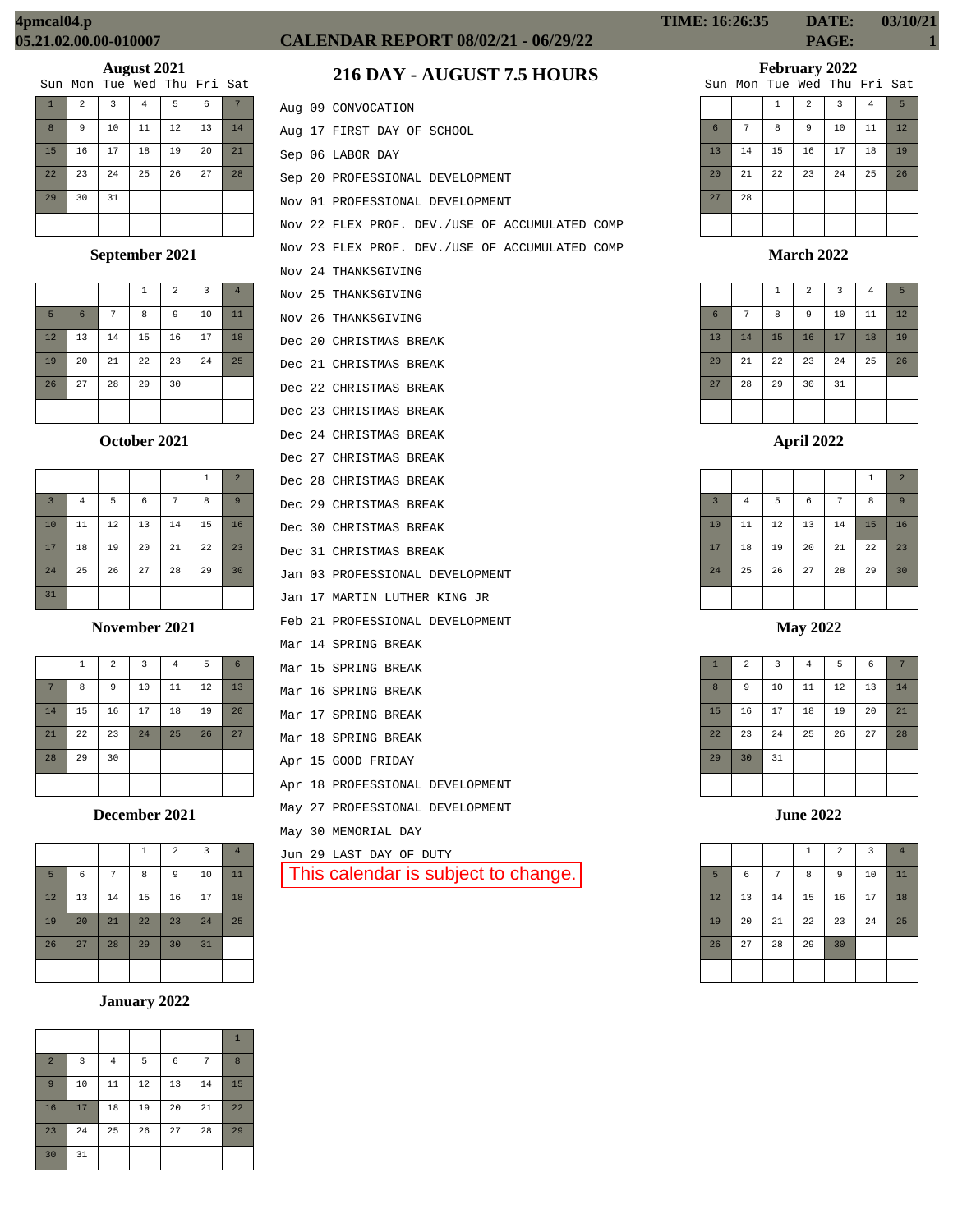# **August 2021**<br>The Med Thu

|              | Sun Mon Tue Wed Thu Fri Sat |    |                |    |    |    |
|--------------|-----------------------------|----|----------------|----|----|----|
| $\mathbf{1}$ | $\overline{a}$              | 3  | $\overline{4}$ | 5  | 6  |    |
| 8            | 9                           | 10 | 11             | 12 | 13 | 14 |
| 15           | 16                          | 17 | 18             | 19 | 20 | 21 |
| 22           | 23                          | 24 | 25             | 26 | 27 | 28 |
| 29           | 30                          | 31 |                |    |    |    |
|              |                             |    |                |    |    |    |

## **September 2021**

|    |                 |    | 1  | 2  | 3  | $\overline{4}$ |
|----|-----------------|----|----|----|----|----------------|
| 5  | $6\phantom{1}6$ | 7  | 8  | 9  | 10 | 11             |
| 12 | 13              | 14 | 15 | 16 | 17 | 18             |
| 19 | 20              | 21 | 22 | 23 | 24 | 25             |
| 26 | 27              | 28 | 29 | 30 |    |                |
|    |                 |    |    |    |    |                |

#### **October 2021**

|                |                |    |    |    | 1  | $\overline{2}$ |
|----------------|----------------|----|----|----|----|----------------|
| $\overline{3}$ | $\overline{4}$ | 5  | 6  | 7  | 8  | 9              |
| 10             | 11             | 12 | 13 | 14 | 15 | 16             |
| 17             | 18             | 19 | 20 | 21 | 22 | 23             |
| 24             | 25             | 26 | 27 | 28 | 29 | 30             |
| 31             |                |    |    |    |    |                |

#### **November 2021**

|    | $\mathbf{1}$ | $\overline{a}$ | $\overline{3}$ | $\overline{4}$ | 5  | 6  |
|----|--------------|----------------|----------------|----------------|----|----|
| 7  | 8            | 9              | 10             | 11             | 12 | 13 |
| 14 | 15           | 16             | 17             | 18             | 19 | 20 |
| 21 | 22           | 23             | 24             | 25             | 26 | 27 |
| 28 | 29           | 30             |                |                |    |    |
|    |              |                |                |                |    |    |

**December 2021**

|    |    |    | $\mathbf 1$ | $\overline{2}$ | $\overline{\mathbf{3}}$ | $\overline{4}$ |
|----|----|----|-------------|----------------|-------------------------|----------------|
| 5  | 6  | 7  | 8           | 9              | 10                      | 11             |
| 12 | 13 | 14 | 15          | 16             | 17                      | 18             |
| 19 | 20 | 21 | 22          | 23             | 24                      | 25             |
| 26 | 27 | 28 | 29          | 30             | 31                      |                |
|    |    |    |             |                |                         |                |

# **January 2022**

|                |    |          |    |    |    | $\mathbf{1}$ |
|----------------|----|----------|----|----|----|--------------|
| $\overline{2}$ | 3  | $\bf{4}$ | 5  | 6  | 7  | 8            |
| 9              | 10 | 11       | 12 | 13 | 14 | 15           |
| 16             | 17 | 18       | 19 | 20 | 21 | 22           |
| 23             | 24 | 25       | 26 | 27 | 28 | 29           |
| 30             | 31 |          |    |    |    |              |

# **CALENDAR REPORT 08/02/21 - 06/29/22 PAGE: 1**

# **216 DAY - AUGUST 7.5 HOURS**

|  | Aug 09 CONVOCATION                             |
|--|------------------------------------------------|
|  | Aug 17 FIRST DAY OF SCHOOL                     |
|  | Sep 06 LABOR DAY                               |
|  | Sep 20 PROFESSIONAL DEVELOPMENT                |
|  | Nov 01 PROFESSIONAL DEVELOPMENT                |
|  | Nov 22 FLEX PROF. DEV./USE OF ACCUMULATED COMP |
|  | Nov 23 FLEX PROF. DEV./USE OF ACCUMULATED COMP |
|  | Nov 24 THANKSGIVING                            |
|  | Nov 25 THANKSGIVING                            |
|  | Nov 26 THANKSGIVING                            |
|  | Dec 20 CHRISTMAS BREAK                         |
|  | Dec 21 CHRISTMAS BREAK                         |
|  | Dec 22 CHRISTMAS BREAK                         |
|  | Dec 23 CHRISTMAS BREAK                         |
|  | Dec 24 CHRISTMAS BREAK                         |
|  | Dec 27 CHRISTMAS BREAK                         |
|  | Dec 28 CHRISTMAS BREAK                         |
|  | Dec 29 CHRISTMAS BREAK                         |
|  | Dec 30 CHRISTMAS BREAK                         |
|  | Dec 31 CHRISTMAS BREAK                         |
|  | Jan 03 PROFESSIONAL DEVELOPMENT                |
|  | Jan 17 MARTIN LUTHER KING JR                   |
|  | Feb 21 PROFESSIONAL DEVELOPMENT                |
|  | Mar 14 SPRING BREAK                            |
|  | Mar 15 SPRING BREAK                            |
|  | Mar 16 SPRING BREAK                            |
|  | Mar 17 SPRING BREAK                            |
|  | Mar 18 SPRING BREAK                            |
|  | Apr 15 GOOD FRIDAY                             |
|  | Apr 18 PROFESSIONAL DEVELOPMENT                |
|  | May 27 PROFESSIONAL DEVELOPMENT                |
|  | May 30 MEMORIAL DAY                            |
|  | Jun 29 LAST DAY OF DUTY                        |
|  | This calendar is subject to change.            |

# **February 2022**

|    |    |    |                | Sun Mon Tue Wed Thu Fri Sat |                |    |
|----|----|----|----------------|-----------------------------|----------------|----|
|    |    | 1  | $\overline{a}$ | 3                           | $\overline{4}$ | 5  |
| 6  | 7  | 8  | 9              | 10                          | 11             | 12 |
| 13 | 14 | 15 | 16             | 17                          | 18             | 19 |
| 20 | 21 | 22 | 23             | 24                          | 25             | 26 |
| 27 | 28 |    |                |                             |                |    |
|    |    |    |                |                             |                |    |

## **March 2022**

|                 |    | $\mathbf{1}$ | $\overline{a}$ | 3  | $\overline{4}$ | 5  |
|-----------------|----|--------------|----------------|----|----------------|----|
| $6\phantom{1}6$ | 7  | 8            | 9              | 10 | 11             | 12 |
| 13              | 14 | 15           | 16             | 17 | 18             | 19 |
| 20              | 21 | 22           | 23             | 24 | 25             | 26 |
| 27              | 28 | 29           | 30             | 31 |                |    |
|                 |    |              |                |    |                |    |

## **April 2022**

|                |                |    |            |                | 1  | $\overline{2}$ |
|----------------|----------------|----|------------|----------------|----|----------------|
| $\overline{3}$ | $\overline{4}$ | 5  | $\epsilon$ | $\overline{7}$ | 8  | 9              |
| 10             | 11             | 12 | 13         | 14             | 15 | 16             |
| 17             | 18             | 19 | 20         | 21             | 22 | 23             |
| 24             | 25             | 26 | 27         | 28             | 29 | 30             |
|                |                |    |            |                |    |                |

## **May 2022**

| $\mathbf{1}$ | $\overline{2}$ | $\overline{\mathbf{3}}$ | $\bf{4}$ | 5  | $\epsilon$ | 7  |
|--------------|----------------|-------------------------|----------|----|------------|----|
| 8            | 9              | 10                      | $11\,$   | 12 | 13         | 14 |
| 15           | 16             | 17                      | 18       | 19 | 20         | 21 |
| 22           | 23             | 24                      | 25       | 26 | 27         | 28 |
| 29           | 30             | 31                      |          |    |            |    |
|              |                |                         |          |    |            |    |

|    |    |    | $1\,$ | $\overline{a}$ | $\overline{\mathbf{3}}$ | $\overline{4}$ |
|----|----|----|-------|----------------|-------------------------|----------------|
| 5  | 6  | 7  | 8     | $\overline{9}$ | 10                      | 11             |
| 12 | 13 | 14 | 15    | 16             | 17                      | 18             |
| 19 | 20 | 21 | 22    | 23             | 24                      | 25             |
| 26 | 27 | 28 | 29    | 30             |                         |                |
|    |    |    |       |                |                         |                |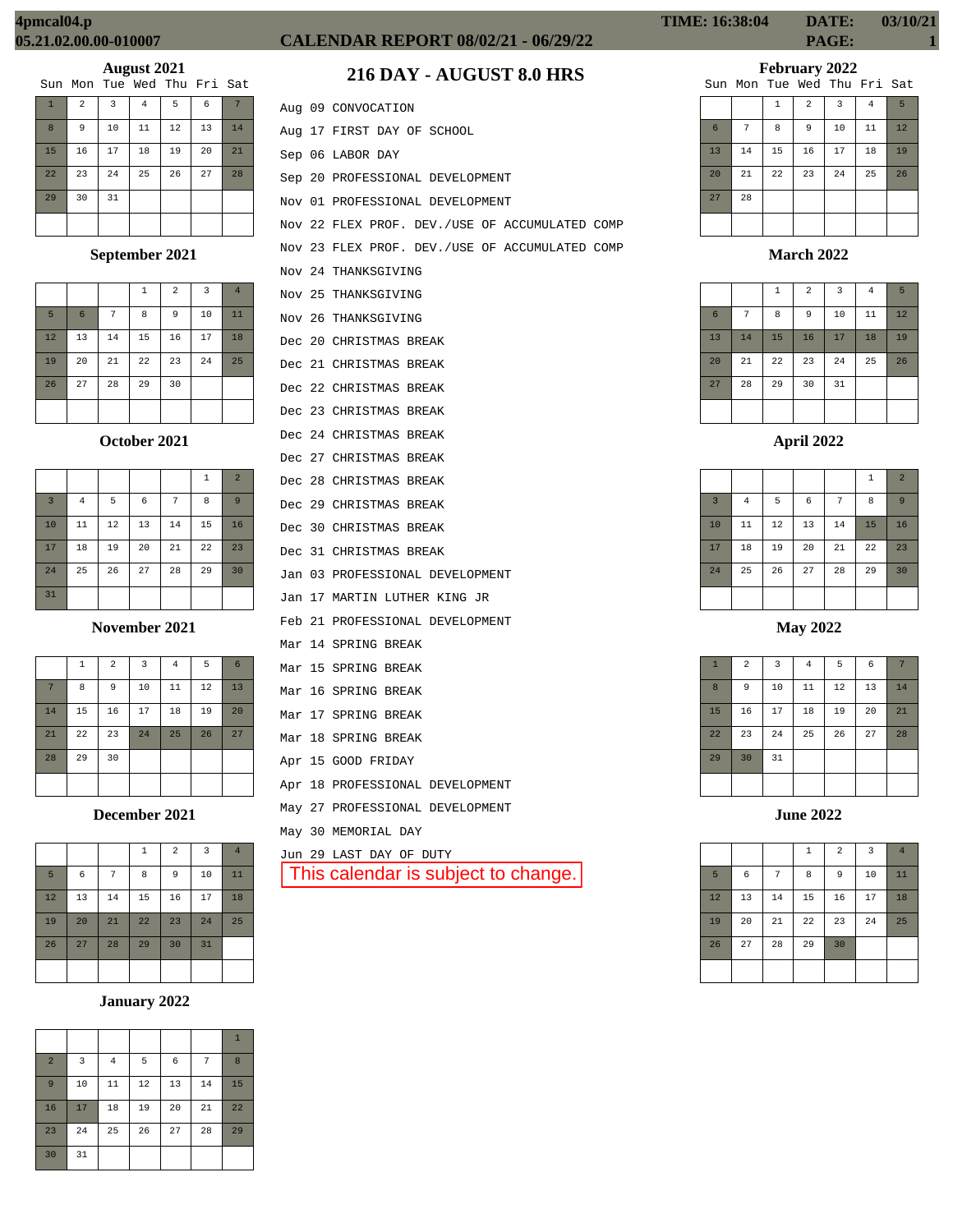|  |  | Sun Mon Tue Wed Thu Fri Sat |  |
|--|--|-----------------------------|--|
|  |  |                             |  |

| $\mathbf{1}$ | $\overline{a}$ | 3  | $\overline{4}$ | 5  | 6  | 7  |
|--------------|----------------|----|----------------|----|----|----|
| 8            | 9              | 10 | 11             | 12 | 13 | 14 |
| 15           | 16             | 17 | 18             | 19 | 20 | 21 |
| 22           | 23             | 24 | 25             | 26 | 27 | 28 |
| 29           | 30             | 31 |                |    |    |    |
|              |                |    |                |    |    |    |

# **September 2021**

|    |    |    | 1  | $\overline{2}$ | 3  | $\overline{4}$ |
|----|----|----|----|----------------|----|----------------|
| 5  | 6  | 7  | 8  | 9              | 10 | 11             |
| 12 | 13 | 14 | 15 | 16             | 17 | 18             |
| 19 | 20 | 21 | 22 | 23             | 24 | 25             |
| 26 | 27 | 28 | 29 | 30             |    |                |
|    |    |    |    |                |    |                |

**October 2021**

|                         |                |    |    |    | $\mathbf{1}$ | $\overline{a}$ |
|-------------------------|----------------|----|----|----|--------------|----------------|
| $\overline{\mathbf{3}}$ | $\overline{4}$ | 5  | 6  | 7  | 8            | 9              |
| 10                      | 11             | 12 | 13 | 14 | 15           | 16             |
| 17                      | 18             | 19 | 20 | 21 | 22           | 23             |
| 24                      | 25             | 26 | 27 | 28 | 29           | 30             |
| 31                      |                |    |    |    |              |                |

**November 2021**

|    | $\mathbf{1}$ | $\overline{2}$ | 3  | $\overline{4}$ | 5  | 6  |
|----|--------------|----------------|----|----------------|----|----|
| 7  | 8            | 9              | 10 | 11             | 12 | 13 |
| 14 | 15           | 16             | 17 | 18             | 19 | 20 |
| 21 | 22           | 23             | 24 | 25             | 26 | 27 |
| 28 | 29           | 30             |    |                |    |    |
|    |              |                |    |                |    |    |

**December 2021**

|    |    |    | $\mathbf 1$ | $\overline{2}$ | 3  | $\overline{4}$ |
|----|----|----|-------------|----------------|----|----------------|
| 5  | 6  | 7  | 8           | 9              | 10 | 11             |
| 12 | 13 | 14 | 15          | 16             | 17 | 18             |
| 19 | 20 | 21 | 22          | 23             | 24 | 25             |
| 26 | 27 | 28 | 29          | 30             | 31 |                |
|    |    |    |             |                |    |                |

# **January 2022**

| $\overline{a}$ | 3  | $\overline{4}$ | 5  | 6  | 7  | 8  |
|----------------|----|----------------|----|----|----|----|
| 9              | 10 | 11             | 12 | 13 | 14 | 15 |
| 16             | 17 | 18             | 19 | 20 | 21 | 22 |
| 23             | 24 | 25             | 26 | 27 | 28 | 29 |
| 30             | 31 |                |    |    |    |    |

# **CALENDAR REPORT 08/02/21 - 06/29/22 PAGE: 1**

# **216 DAY - AUGUST 8.0 HRS**

|  | Aug 09 CONVOCATION                             |
|--|------------------------------------------------|
|  | Aug 17 FIRST DAY OF SCHOOL                     |
|  | Sep 06 LABOR DAY                               |
|  | Sep 20 PROFESSIONAL DEVELOPMENT                |
|  | Nov 01 PROFESSIONAL DEVELOPMENT                |
|  | Nov 22 FLEX PROF. DEV./USE OF ACCUMULATED COMP |
|  | Nov 23 FLEX PROF. DEV./USE OF ACCUMULATED COMP |
|  | Nov 24 THANKSGIVING                            |
|  | Nov 25 THANKSGIVING                            |
|  | Nov 26 THANKSGIVING                            |
|  | Dec 20 CHRISTMAS BREAK                         |
|  | Dec 21 CHRISTMAS BREAK                         |
|  | Dec 22 CHRISTMAS BREAK                         |
|  | Dec 23 CHRISTMAS BREAK                         |
|  | Dec 24 CHRISTMAS BREAK                         |
|  | Dec 27 CHRISTMAS BREAK                         |
|  | Dec 28 CHRISTMAS BREAK                         |
|  | Dec 29 CHRISTMAS BREAK                         |
|  | Dec 30 CHRISTMAS BREAK                         |
|  | Dec 31 CHRISTMAS BREAK                         |
|  | Jan 03 PROFESSIONAL DEVELOPMENT                |
|  | Jan 17 MARTIN LUTHER KING JR                   |
|  | Feb 21 PROFESSIONAL DEVELOPMENT                |
|  | Mar 14 SPRING BREAK                            |
|  | Mar 15 SPRING BREAK                            |
|  | Mar 16 SPRING BREAK                            |
|  | Mar 17 SPRING BREAK                            |
|  | Mar 18 SPRING BREAK                            |
|  | Apr 15 GOOD FRIDAY                             |
|  | Apr 18 PROFESSIONAL DEVELOPMENT                |
|  | May 27 PROFESSIONAL DEVELOPMENT                |
|  | May 30 MEMORIAL DAY                            |
|  | Jun 29 LAST DAY OF DUTY                        |
|  | This calendar is subject to change.            |
|  |                                                |

**TIME: 16:38:04 DATE: 03/10/21**

**February 2022**

|    |    |              |                | Sun Mon Tue Wed Thu Fri Sat |                |    |
|----|----|--------------|----------------|-----------------------------|----------------|----|
|    |    | $\mathbf{1}$ | $\overline{a}$ | 3                           | $\overline{4}$ | 5  |
| 6  | 7  | 8            | 9              | 10                          | 11             | 12 |
| 13 | 14 | 15           | 16             | 17                          | 18             | 19 |
| 20 | 21 | 22           | 23             | 24                          | 25             | 26 |
| 27 | 28 |              |                |                             |                |    |
|    |    |              |                |                             |                |    |

**March 2022**

|                 |    | $\mathbf{1}$ | $\overline{a}$ | $\overline{3}$ | $\overline{4}$ | 5  |
|-----------------|----|--------------|----------------|----------------|----------------|----|
| $6\phantom{1}6$ | 7  | 8            | 9              | 10             | 11             | 12 |
| 13              | 14 | 15           | 16             | 17             | 18             | 19 |
| 20              | 21 | 22           | 23             | 24             | 25             | 26 |
| 27              | 28 | 29           | 30             | 31             |                |    |
|                 |    |              |                |                |                |    |

|                |          |        |            |    | 1  | $\overline{2}$ |
|----------------|----------|--------|------------|----|----|----------------|
| $\overline{3}$ | $\bf{4}$ | 5      | $\epsilon$ | 7  | 8  | 9              |
| 10             | 11       | $12\,$ | 13         | 14 | 15 | 16             |
| 17             | 18       | 19     | 20         | 21 | 22 | 23             |
| 24             | 25       | 26     | 27         | 28 | 29 | 30             |
|                |          |        |            |    |    |                |

**May 2022**

| $\mathbf{1}$ | $\overline{a}$ | 3  | $\bf{4}$ | 5  | 6  | 7  |
|--------------|----------------|----|----------|----|----|----|
| 8            | 9              | 10 | $11\,$   | 12 | 13 | 14 |
| 15           | 16             | 17 | 18       | 19 | 20 | 21 |
| 22           | 23             | 24 | 25       | 26 | 27 | 28 |
| 29           | 30             | 31 |          |    |    |    |
|              |                |    |          |    |    |    |

**June 2022**

|    |    |    | $\,1\,$ | $\overline{a}$ | $\overline{3}$ | $\overline{4}$ |
|----|----|----|---------|----------------|----------------|----------------|
| 5  | 6  | 7  | 8       | 9              | 10             | 11             |
| 12 | 13 | 14 | 15      | 16             | 17             | 18             |
| 19 | 20 | 21 | 22      | 23             | 24             | 25             |
| 26 | 27 | 28 | 29      | 30             |                |                |
|    |    |    |         |                |                |                |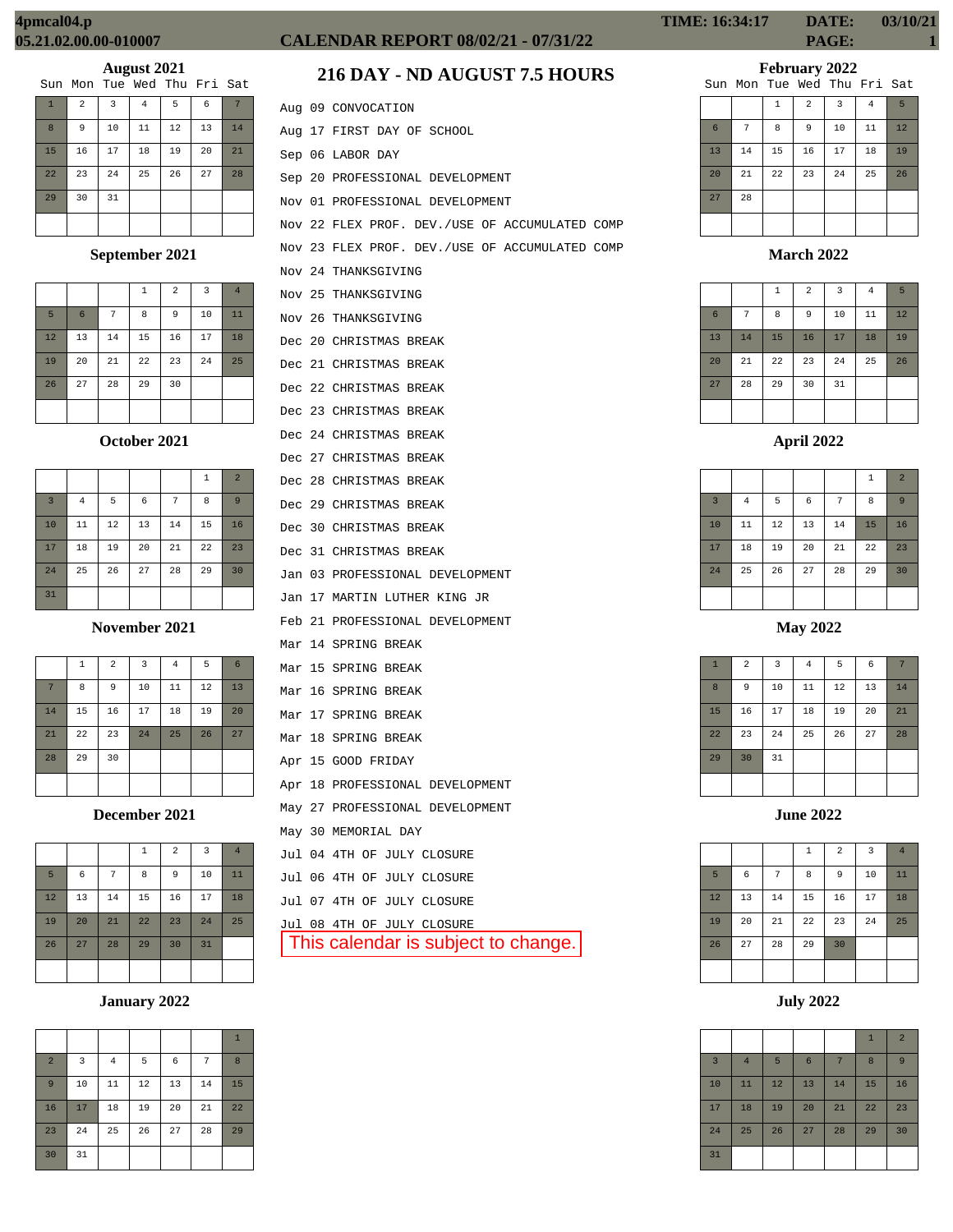|                |                |    | Sun Mon Tue Wed Thu Fri Sat |    |    |    |
|----------------|----------------|----|-----------------------------|----|----|----|
| $\overline{1}$ | $\overline{2}$ | 3  | 4                           | 5  | 6  |    |
| 8              | 9              | 10 | 11                          | 12 | 13 | 14 |
| 15             | 16             | 17 | 18                          | 19 | 20 | 21 |
| 22             | 23             | 24 | 25                          | 26 | 27 | 28 |
| 29             | 30             | 31 |                             |    |    |    |
|                |                |    |                             |    |    |    |

## **September 2021**

|    |    |    | 1  | 2  | $\overline{3}$ | $\overline{4}$ |
|----|----|----|----|----|----------------|----------------|
| 5  | 6  | 7  | 8  | 9  | 10             | 11             |
| 12 | 13 | 14 | 15 | 16 | 17             | 18             |
| 19 | 20 | 21 | 22 | 23 | 24             | 25             |
| 26 | 27 | 28 | 29 | 30 |                |                |
|    |    |    |    |    |                |                |

#### **October 2021**

|                |                |    |    |    | 1  | $\overline{2}$ |
|----------------|----------------|----|----|----|----|----------------|
| $\overline{3}$ | $\overline{4}$ | 5  | 6  | 7  | 8  | 9              |
| 10             | 11             | 12 | 13 | 14 | 15 | 16             |
| 17             | 18             | 19 | 20 | 21 | 22 | 23             |
| 24             | 25             | 26 | 27 | 28 | 29 | 30             |
| 31             |                |    |    |    |    |                |

#### **November 2021**

|    | 1  | $\overline{a}$ | 3  | $\overline{4}$ | 5  | 6  |
|----|----|----------------|----|----------------|----|----|
| 7  | 8  | 9              | 10 | 11             | 12 | 13 |
| 14 | 15 | 16             | 17 | 18             | 19 | 20 |
| 21 | 22 | 23             | 24 | 25             | 26 | 27 |
| 28 | 29 | 30             |    |                |    |    |
|    |    |                |    |                |    |    |

## **December 2021**

|    |            |    | $\mathbf{1}$ | $\overline{2}$ | 3  | $\overline{4}$ |
|----|------------|----|--------------|----------------|----|----------------|
| 5  | $\epsilon$ | 7  | 8            | 9              | 10 | 11             |
| 12 | 13         | 14 | 15           | 16             | 17 | 18             |
| 19 | 20         | 21 | 22           | 23             | 24 | 25             |
| 26 | 27         | 28 | 29           | 30             | 31 |                |
|    |            |    |              |                |    |                |

# **January 2022**

|                |                |                |    |    |    | $\mathbf{1}$ |
|----------------|----------------|----------------|----|----|----|--------------|
| $\overline{a}$ | $\overline{3}$ | $\overline{4}$ | 5  | 6  | 7  | 8            |
| 9              | 10             | 11             | 12 | 13 | 14 | 15           |
| 16             | 17             | 18             | 19 | 20 | 21 | 22           |
| 23             | 24             | 25             | 26 | 27 | 28 | 29           |
| 30             | 31             |                |    |    |    |              |

# **CALENDAR REPORT 08/02/21 - 07/31/22 PAGE: 1**

# **216 DAY - ND AUGUST 7.5 HOURS**

|  | Aug 09 CONVOCATION                             |
|--|------------------------------------------------|
|  | Aug 17 FIRST DAY OF SCHOOL                     |
|  | Sep 06 LABOR DAY                               |
|  | Sep 20 PROFESSIONAL DEVELOPMENT                |
|  | Nov 01 PROFESSIONAL DEVELOPMENT                |
|  | Nov 22 FLEX PROF. DEV./USE OF ACCUMULATED COMP |
|  | Nov 23 FLEX PROF. DEV./USE OF ACCUMULATED COMP |
|  | Nov 24 THANKSGIVING                            |
|  | Nov 25 THANKSGIVING                            |
|  | Nov 26 THANKSGIVING                            |
|  | Dec 20 CHRISTMAS BREAK                         |
|  | Dec 21 CHRISTMAS BREAK                         |
|  | Dec 22 CHRISTMAS BREAK                         |
|  | Dec 23 CHRISTMAS BREAK                         |
|  | Dec 24 CHRISTMAS BREAK                         |
|  | Dec 27 CHRISTMAS BREAK                         |
|  | Dec 28 CHRISTMAS BREAK                         |
|  | Dec 29 CHRISTMAS BREAK                         |
|  | Dec 30 CHRISTMAS BREAK                         |
|  | Dec 31 CHRISTMAS BREAK                         |
|  | Jan 03 PROFESSIONAL DEVELOPMENT                |
|  | Jan 17 MARTIN LUTHER KING JR                   |
|  | Feb 21 PROFESSIONAL DEVELOPMENT                |
|  | Mar 14 SPRING BREAK                            |
|  | Mar 15 SPRING BREAK                            |
|  | Mar 16 SPRING BREAK                            |
|  | Mar 17 SPRING BREAK                            |
|  | Mar 18 SPRING BREAK                            |
|  | Apr 15 GOOD FRIDAY                             |
|  | Apr 18 PROFESSIONAL DEVELOPMENT                |
|  | May 27 PROFESSIONAL DEVELOPMENT                |
|  | May 30 MEMORIAL DAY                            |
|  | Jul 04 4TH OF JULY CLOSURE                     |
|  | Jul 06 4TH OF JULY CLOSURE                     |
|  | Jul 07 4TH OF JULY CLOSURE                     |
|  | Jul 08 4TH OF JULY CLOSURE                     |
|  | This calendar is subject to change.            |
|  |                                                |

# **TIME: 16:34:17 DATE: 03/10/21**

# **February 2022**

|    |    |    |                | Sun Mon Tue Wed Thu Fri Sat |                |    |
|----|----|----|----------------|-----------------------------|----------------|----|
|    |    | 1  | $\overline{a}$ | $\overline{3}$              | $\overline{4}$ | 5  |
| 6  | 7  | 8  | 9              | 10                          | 11             | 12 |
| 13 | 14 | 15 | 16             | 17                          | 18             | 19 |
| 20 | 21 | 22 | 23             | 24                          | 25             | 26 |
| 27 | 28 |    |                |                             |                |    |
|    |    |    |                |                             |                |    |

**March 2022**

|                 |    | $\,1\,$ | $\overline{a}$ | 3  | $\overline{4}$ | 5  |
|-----------------|----|---------|----------------|----|----------------|----|
| $6\phantom{1}6$ | 7  | 8       | 9              | 10 | 11             | 12 |
| 13              | 14 | 15      | 16             | 17 | 18             | 19 |
| 20              | 21 | 22      | 23             | 24 | 25             | 26 |
| 27              | 28 | 29      | 30             | 31 |                |    |
|                 |    |         |                |    |                |    |

|                |                |    |            |                | 1  | $\overline{2}$ |
|----------------|----------------|----|------------|----------------|----|----------------|
| $\overline{3}$ | $\overline{4}$ | 5  | $\epsilon$ | $\overline{7}$ | 8  | 9              |
| 10             | 11             | 12 | 13         | 14             | 15 | 16             |
| 17             | 18             | 19 | 20         | 21             | 22 | 23             |
| 24             | 25             | 26 | 27         | 28             | 29 | 30             |
|                |                |    |            |                |    |                |

**May 2022**

| $\mathbf{1}$ | $\overline{a}$ | 3  | $\bf{4}$ | 5  | $\epsilon$ | 7  |
|--------------|----------------|----|----------|----|------------|----|
| 8            | 9              | 10 | 11       | 12 | 13         | 14 |
| 15           | 16             | 17 | 18       | 19 | 20         | 21 |
| 22           | 23             | 24 | 25       | 26 | 27         | 28 |
| 29           | 30             | 31 |          |    |            |    |
|              |                |    |          |    |            |    |

**June 2022**

|    |    |    | $\,1\,$ | $\overline{a}$ | $\overline{\mathbf{3}}$ | $\overline{4}$ |
|----|----|----|---------|----------------|-------------------------|----------------|
| 5  | 6  | 7  | 8       | 9              | 10                      | 11             |
| 12 | 13 | 14 | 15      | 16             | 17                      | 18             |
| 19 | 20 | 21 | 22      | 23             | 24                      | 25             |
| 26 | 27 | 28 | 29      | 30             |                         |                |
|    |    |    |         |                |                         |                |

**July 2022**

|                |                |    |                 |    | $\mathbf{1}$ | $\overline{2}$ |
|----------------|----------------|----|-----------------|----|--------------|----------------|
| $\overline{3}$ | $\overline{4}$ | 5  | $6\phantom{1}6$ | 7  | 8            | 9              |
| 10             | 11             | 12 | 13              | 14 | 15           | 16             |
| 17             | 18             | 19 | 20              | 21 | 22           | 23             |
| 24             | 25             | 26 | 27              | 28 | 29           | 30             |
| 31             |                |    |                 |    |              |                |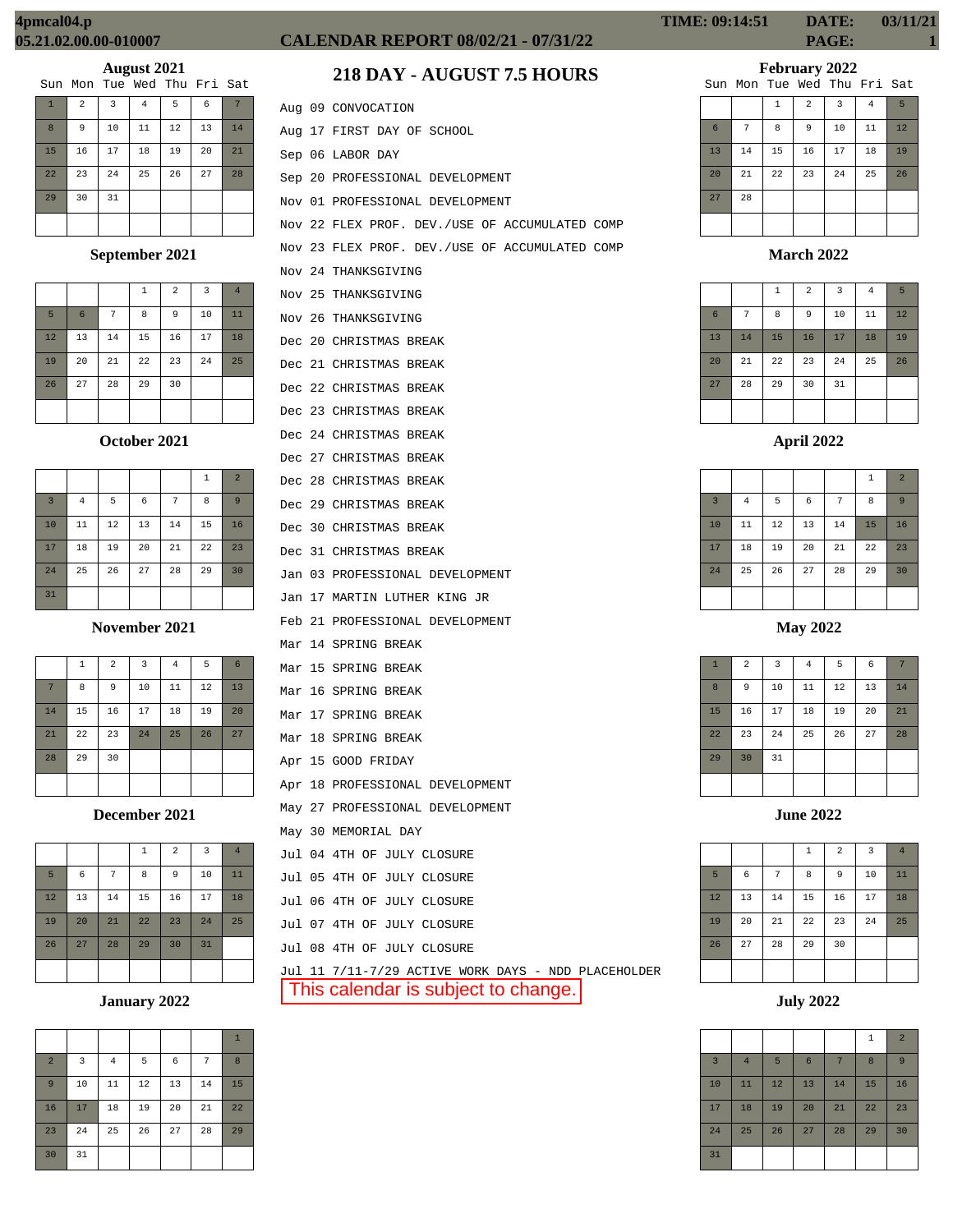|                |                |                | Sun Mon Tue Wed Thu Fri Sat |    |    |    |
|----------------|----------------|----------------|-----------------------------|----|----|----|
| $\overline{1}$ | $\overline{a}$ | $\overline{3}$ | 4                           | 5  | 6  |    |
| 8              | 9              | 10             | 11                          | 12 | 13 | 14 |
| 15             | 16             | 17             | 18                          | 19 | 20 | 21 |
| 22             | 23             | 24             | 25                          | 26 | 27 | 28 |
| 29             | 30             | 31             |                             |    |    |    |
|                |                |                |                             |    |    |    |

## **September 2021**

|    |                 |    | $\mathbf{1}$ | $\overline{a}$ | $\overline{3}$ | $\overline{4}$ |
|----|-----------------|----|--------------|----------------|----------------|----------------|
| 5  | $6\phantom{1}6$ | 7  | 8            | 9              | 10             | 11             |
| 12 | 13              | 14 | 15           | 16             | 17             | 18             |
| 19 | 20              | 21 | 22           | 23             | 24             | 25             |
| 26 | 27              | 28 | 29           | 30             |                |                |
|    |                 |    |              |                |                |                |

#### **October 2021**

|                |                |    |    |    | 1  | $\overline{2}$ |
|----------------|----------------|----|----|----|----|----------------|
| $\overline{3}$ | $\overline{4}$ | 5  | 6  | 7  | 8  | 9              |
| 10             | 11             | 12 | 13 | 14 | 15 | 16             |
| 17             | 18             | 19 | 20 | 21 | 22 | 23             |
| 24             | 25             | 26 | 27 | 28 | 29 | 30             |
| 31             |                |    |    |    |    |                |

#### **November 2021**

|    | 1  | $\overline{a}$ | 3  | $\overline{4}$ | 5  | 6  |
|----|----|----------------|----|----------------|----|----|
| 7  | 8  | 9              | 10 | 11             | 12 | 13 |
| 14 | 15 | 16             | 17 | 18             | 19 | 20 |
| 21 | 22 | 23             | 24 | 25             | 26 | 27 |
| 28 | 29 | 30             |    |                |    |    |
|    |    |                |    |                |    |    |

#### **December 2021**

|    |    |    | $\mathbf{1}$ | $\overline{a}$ | $\overline{3}$ | $\overline{4}$ |
|----|----|----|--------------|----------------|----------------|----------------|
| 5  | 6  | 7  | 8            | 9              | 10             | 11             |
| 12 | 13 | 14 | 15           | 16             | 17             | 18             |
| 19 | 20 | 21 | 22           | 23             | 24             | 25             |
| 26 | 27 | 28 | 29           | 30             | 31             |                |
|    |    |    |              |                |                |                |

# **January 2022**

|                |    |                |    |    |    | $\mathbf{1}$ |
|----------------|----|----------------|----|----|----|--------------|
| $\overline{a}$ | 3  | $\overline{4}$ | 5  | 6  | 7  | 8            |
| 9              | 10 | 11             | 12 | 13 | 14 | 15           |
| 16             | 17 | 18             | 19 | 20 | 21 | 22           |
| 23             | 24 | 25             | 26 | 27 | 28 | 29           |
| 30             | 31 |                |    |    |    |              |

# **CALENDAR REPORT 08/02/21 - 07/31/22 PAGE: 1**

# **218 DAY - AUGUST 7.5 HOURS**

|  | Aug 09 CONVOCATION                                  |
|--|-----------------------------------------------------|
|  | Aug 17 FIRST DAY OF SCHOOL                          |
|  | Sep 06 LABOR DAY                                    |
|  | Sep 20 PROFESSIONAL DEVELOPMENT                     |
|  | Nov 01 PROFESSIONAL DEVELOPMENT                     |
|  | Nov 22 FLEX PROF. DEV./USE OF ACCUMULATED COMP      |
|  | Nov 23 FLEX PROF. DEV./USE OF ACCUMULATED COMP      |
|  | Nov 24 THANKSGIVING                                 |
|  | Nov 25 THANKSGIVING                                 |
|  | Nov 26 THANKSGIVING                                 |
|  | Dec 20 CHRISTMAS BREAK                              |
|  | Dec 21 CHRISTMAS BREAK                              |
|  | Dec 22 CHRISTMAS BREAK                              |
|  | Dec 23 CHRISTMAS BREAK                              |
|  | Dec 24 CHRISTMAS BREAK                              |
|  | Dec 27 CHRISTMAS BREAK                              |
|  | Dec 28 CHRISTMAS BREAK                              |
|  | Dec 29 CHRISTMAS BREAK                              |
|  | Dec 30 CHRISTMAS BREAK                              |
|  | Dec 31 CHRISTMAS BREAK                              |
|  | Jan 03 PROFESSIONAL DEVELOPMENT                     |
|  | Jan 17 MARTIN LUTHER KING JR                        |
|  | Feb 21 PROFESSIONAL DEVELOPMENT                     |
|  | Mar 14 SPRING BREAK                                 |
|  | Mar 15 SPRING BREAK                                 |
|  | Mar 16 SPRING BREAK                                 |
|  | Mar 17 SPRING BREAK                                 |
|  | Mar 18 SPRING BREAK                                 |
|  | Apr 15 GOOD FRIDAY                                  |
|  | Apr 18 PROFESSIONAL DEVELOPMENT                     |
|  | May 27 PROFESSIONAL DEVELOPMENT                     |
|  | May 30 MEMORIAL DAY                                 |
|  | Jul 04 4TH OF JULY CLOSURE                          |
|  | Jul 05 4TH OF JULY CLOSURE                          |
|  | Jul 06 4TH OF JULY CLOSURE                          |
|  | Jul 07 4TH OF JULY CLOSURE                          |
|  | Jul 08 4TH OF JULY CLOSURE                          |
|  | Jul 11 7/11-7/29 ACTIVE WORK DAYS - NDD PLACEHOLDER |
|  | This calendar is subject to change.                 |

1 2 3 4 5

|    |    | <b>+</b> | ∼  | ◡  | т. | -  |
|----|----|----------|----|----|----|----|
| 6  | 7  | 8        | 9  | 10 | 11 | 12 |
| 13 | 14 | 15       | 16 | 17 | 18 | 19 |
| 20 | 21 | 22       | 23 | 24 | 25 | 26 |
| 27 | 28 |          |    |    |    |    |
|    |    |          |    |    |    |    |

#### **March 2022**

|                 |    | $\mathbf{1}$ | $\overline{a}$ | 3  | $\overline{4}$ | 5  |
|-----------------|----|--------------|----------------|----|----------------|----|
| $6\phantom{1}6$ | 7  | 8            | 9              | 10 | 11             | 12 |
| 13              | 14 | 15           | 16             | 17 | 18             | 19 |
| 20              | 21 | 22           | 23             | 24 | 25             | 26 |
| 27              | 28 | 29           | 30             | 31 |                |    |
|                 |    |              |                |    |                |    |

## **April 2022**

|                |                |    |            |    | $\,1\,$ | $\overline{2}$ |
|----------------|----------------|----|------------|----|---------|----------------|
| $\overline{3}$ | $\overline{4}$ | 5  | $\epsilon$ | 7  | 8       | 9              |
| 10             | 11             | 12 | 13         | 14 | 15      | 16             |
| 17             | 18             | 19 | 20         | 21 | 22      | 23             |
| 24             | 25             | 26 | 27         | 28 | 29      | 30             |
|                |                |    |            |    |         |                |

## **May 2022**

| $\mathbf{1}$ | $\overline{2}$ | 3  | $\bf 4$ | 5  | $\epsilon$ | 7  |
|--------------|----------------|----|---------|----|------------|----|
| 8            | 9              | 10 | $11\,$  | 12 | 13         | 14 |
| 15           | 16             | 17 | 18      | 19 | 20         | 21 |
| 22           | 23             | 24 | 25      | 26 | 27         | 28 |
| 29           | 30             | 31 |         |    |            |    |
|              |                |    |         |    |            |    |

## **June 2022**

|    |    |    | 1  | $\overline{2}$ | 3  | $\overline{4}$ |
|----|----|----|----|----------------|----|----------------|
| 5  | 6  | 7  | 8  | 9              | 10 | 11             |
| 12 | 13 | 14 | 15 | 16             | 17 | 18             |
| 19 | 20 | 21 | 22 | 23             | 24 | 25             |
| 26 | 27 | 28 | 29 | 30             |    |                |
|    |    |    |    |                |    |                |

**July 2022**

|                |                |    |                 |    | 1  | $\overline{2}$ |
|----------------|----------------|----|-----------------|----|----|----------------|
| $\overline{3}$ | $\overline{4}$ | 5  | $6\phantom{1}6$ | 7  | 8  | 9              |
| 10             | 11             | 12 | 13              | 14 | 15 | 16             |
| 17             | 18             | 19 | 20              | 21 | 22 | 23             |
| 24             | 25             | 26 | 27              | 28 | 29 | 30             |
| 31             |                |    |                 |    |    |                |

# **TIME: 09:14:51 DATE: 03/11/21**

#### **February 2022** Sun Mon Tue Wed Thu Fri Sat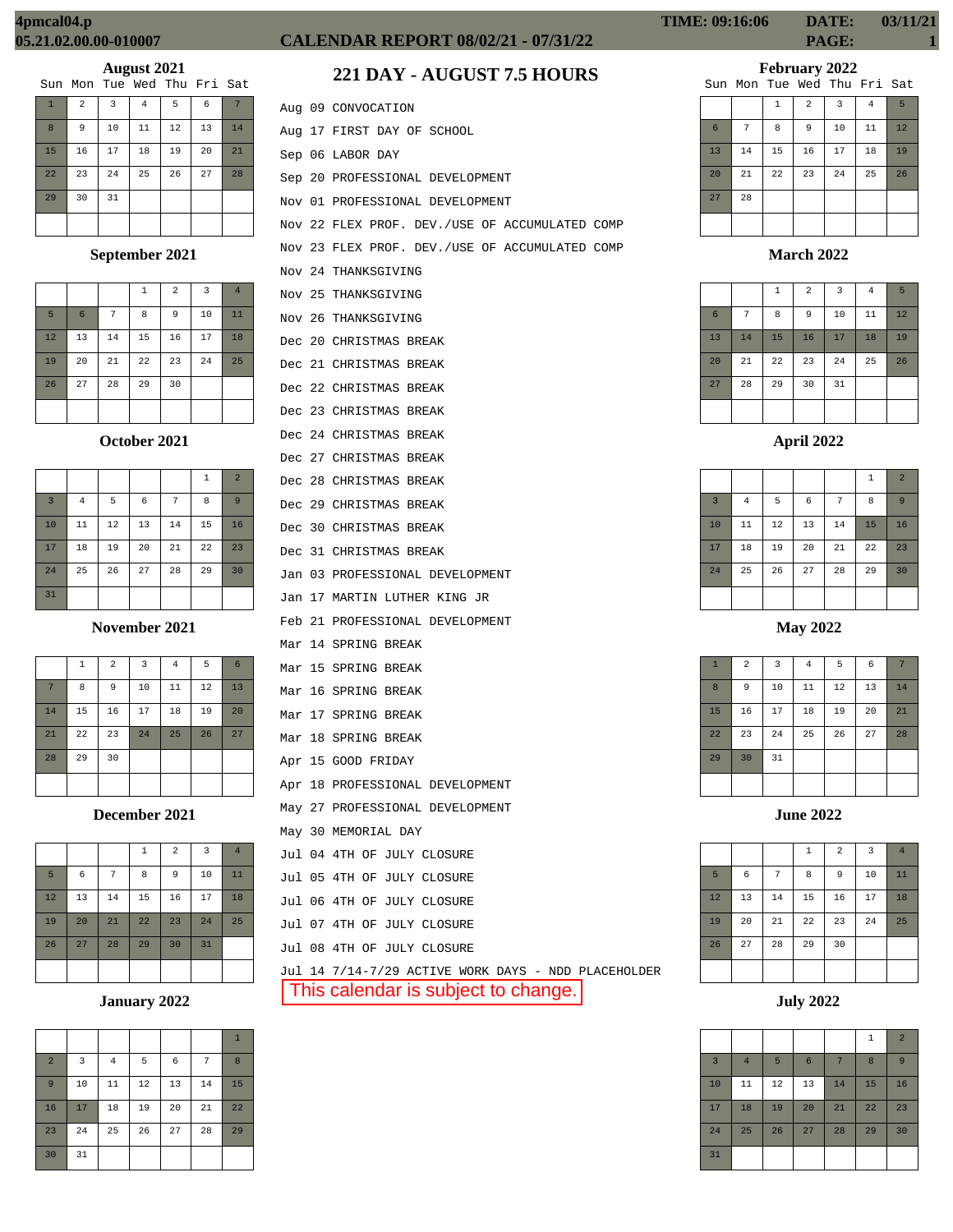|                |                |                | Sun Mon Tue Wed Thu Fri Sat |    |    |    |
|----------------|----------------|----------------|-----------------------------|----|----|----|
| $\overline{1}$ | $\overline{a}$ | $\overline{3}$ | 4                           | 5  | 6  |    |
| 8              | 9              | 10             | 11                          | 12 | 13 | 14 |
| 15             | 16             | 17             | 18                          | 19 | 20 | 21 |
| 22             | 23             | 24             | 25                          | 26 | 27 | 28 |
| 29             | 30             | 31             |                             |    |    |    |
|                |                |                |                             |    |    |    |

## **September 2021**

|    |                 |    | $\mathbf{1}$ | $\overline{a}$ | 3  | $\overline{4}$ |
|----|-----------------|----|--------------|----------------|----|----------------|
| 5  | $6\phantom{1}6$ | 7  | 8            | 9              | 10 | 11             |
| 12 | 13              | 14 | 15           | 16             | 17 | 18             |
| 19 | 20              | 21 | 22           | 23             | 24 | 25             |
| 26 | 27              | 28 | 29           | 30             |    |                |
|    |                 |    |              |                |    |                |

#### **October 2021**

|                |                |    |    |    | 1  | $\overline{2}$ |
|----------------|----------------|----|----|----|----|----------------|
| $\overline{3}$ | $\overline{4}$ | 5  | 6  | 7  | 8  | 9              |
| 10             | 11             | 12 | 13 | 14 | 15 | 16             |
| 17             | 18             | 19 | 20 | 21 | 22 | 23             |
| 24             | 25             | 26 | 27 | 28 | 29 | 30             |
| 31             |                |    |    |    |    |                |

#### **November 2021**

|    | 1  | $\overline{a}$ | $\overline{3}$ | $\bf 4$ | 5  | 6  |
|----|----|----------------|----------------|---------|----|----|
| 7  | 8  | 9              | 10             | 11      | 12 | 13 |
| 14 | 15 | 16             | 17             | 18      | 19 | 20 |
| 21 | 22 | 23             | 24             | 25      | 26 | 27 |
| 28 | 29 | 30             |                |         |    |    |
|    |    |                |                |         |    |    |

## **December 2021**

|    |    |    | $\mathbf{1}$ | $\overline{a}$ | $\overline{3}$ | $\overline{4}$ |
|----|----|----|--------------|----------------|----------------|----------------|
| 5  | 6  | 7  | 8            | 9              | 10             | 11             |
| 12 | 13 | 14 | 15           | 16             | 17             | 18             |
| 19 | 20 | 21 | 22           | 23             | 24             | 25             |
| 26 | 27 | 28 | 29           | 30             | 31             |                |
|    |    |    |              |                |                |                |

# **January 2022**

|                |    |                |    |    |    | $\mathbf{1}$ |
|----------------|----|----------------|----|----|----|--------------|
| $\overline{a}$ | 3  | $\overline{4}$ | 5  | 6  | 7  | 8            |
| $\overline{9}$ | 10 | 11             | 12 | 13 | 14 | 15           |
| 16             | 17 | 18             | 19 | 20 | 21 | 22           |
| 23             | 24 | 25             | 26 | 27 | 28 | 29           |
| 30             | 31 |                |    |    |    |              |

# **CALENDAR REPORT 08/02/21 - 07/31/22 PAGE: 1**

# **221 DAY - AUGUST 7.5 HOURS**

|  | Aug 09 CONVOCATION                                  |
|--|-----------------------------------------------------|
|  | Aug 17 FIRST DAY OF SCHOOL                          |
|  | Sep 06 LABOR DAY                                    |
|  | Sep 20 PROFESSIONAL DEVELOPMENT                     |
|  | Nov 01 PROFESSIONAL DEVELOPMENT                     |
|  | Nov 22 FLEX PROF. DEV./USE OF ACCUMULATED COMP      |
|  | Nov 23 FLEX PROF. DEV./USE OF ACCUMULATED COMP      |
|  | Nov 24 THANKSGIVING                                 |
|  | Nov 25 THANKSGIVING                                 |
|  | Nov 26 THANKSGIVING                                 |
|  | Dec 20 CHRISTMAS BREAK                              |
|  | Dec 21 CHRISTMAS BREAK                              |
|  | Dec 22 CHRISTMAS BREAK                              |
|  | Dec 23 CHRISTMAS BREAK                              |
|  | Dec 24 CHRISTMAS BREAK                              |
|  | Dec 27 CHRISTMAS BREAK                              |
|  | Dec 28 CHRISTMAS BREAK                              |
|  | Dec 29 CHRISTMAS BREAK                              |
|  | Dec 30 CHRISTMAS BREAK                              |
|  | Dec 31 CHRISTMAS BREAK                              |
|  | Jan 03 PROFESSIONAL DEVELOPMENT                     |
|  | Jan 17 MARTIN LUTHER KING JR                        |
|  | Feb 21 PROFESSIONAL DEVELOPMENT                     |
|  | Mar 14 SPRING BREAK                                 |
|  | Mar 15 SPRING BREAK                                 |
|  | Mar 16 SPRING BREAK                                 |
|  | Mar 17 SPRING BREAK                                 |
|  | Mar 18 SPRING BREAK                                 |
|  | Apr 15 GOOD FRIDAY                                  |
|  | Apr 18 PROFESSIONAL DEVELOPMENT                     |
|  | May 27 PROFESSIONAL DEVELOPMENT                     |
|  | May 30 MEMORIAL DAY                                 |
|  | Jul 04 4TH OF JULY CLOSURE                          |
|  | Jul 05 4TH OF JULY CLOSURE                          |
|  | Jul 06 4TH OF JULY CLOSURE                          |
|  | Jul 07 4TH OF JULY CLOSURE                          |
|  | Jul 08 4TH OF JULY CLOSURE                          |
|  | Jul 14 7/14-7/29 ACTIVE WORK DAYS - NDD PLACEHOLDER |

This calendar is subject to change.

# **February 2022**

|    |    |              |                | Sun Mon Tue Wed Thu Fri Sat |                |                 |
|----|----|--------------|----------------|-----------------------------|----------------|-----------------|
|    |    | $\mathbf{1}$ | $\overline{a}$ | 3                           | $\overline{4}$ | $5\overline{5}$ |
| 6  | 7  | 8            | 9              | 10                          | 11             | 12              |
| 13 | 14 | 15           | 16             | 17                          | 18             | 19              |
| 20 | 21 | 22           | 23             | 24                          | 25             | 26              |
| 27 | 28 |              |                |                             |                |                 |
|    |    |              |                |                             |                |                 |

#### **March 2022**

|                 |    | $\mathbf{1}$ | $\overline{a}$ | 3  | 4  | 5  |
|-----------------|----|--------------|----------------|----|----|----|
| $6\phantom{1}6$ | 7  | 8            | 9              | 10 | 11 | 12 |
| 13              | 14 | 15           | 16             | 17 | 18 | 19 |
| 20              | 21 | 22           | 23             | 24 | 25 | 26 |
| 27              | 28 | 29           | 30             | 31 |    |    |
|                 |    |              |                |    |    |    |

## **April 2022**

|                |          |    |            |    | $\,1\,$ | $\overline{2}$ |
|----------------|----------|----|------------|----|---------|----------------|
| $\overline{3}$ | $\bf{4}$ | 5  | $\epsilon$ | 7  | 8       | 9              |
| 10             | 11       | 12 | 13         | 14 | 15      | 16             |
| 17             | 18       | 19 | 20         | 21 | 22      | 23             |
| 24             | 25       | 26 | 27         | 28 | 29      | 30             |
|                |          |    |            |    |         |                |

## **May 2022**

| $\mathbf{1}$ | $\overline{a}$ | $\overline{3}$ | $\bf{4}$ | 5  | 6  | 7  |
|--------------|----------------|----------------|----------|----|----|----|
| 8            | 9              | 10             | $11\,$   | 12 | 13 | 14 |
| 15           | 16             | 17             | 18       | 19 | 20 | 21 |
| 22           | 23             | 24             | 25       | 26 | 27 | 28 |
| 29           | 30             | 31             |          |    |    |    |
|              |                |                |          |    |    |    |

|    |    |    | $\mathbf{1}$ | $\overline{2}$ | 3  | $\overline{4}$ |
|----|----|----|--------------|----------------|----|----------------|
| 5  | 6  | 7  | 8            | 9              | 10 | 11             |
| 12 | 13 | 14 | 15           | 16             | 17 | 18             |
| 19 | 20 | 21 | 22           | 23             | 24 | 25             |
| 26 | 27 | 28 | 29           | 30             |    |                |
|    |    |    |              |                |    |                |

**July 2022**

|                |                |    |    |    | $\mathbf{1}$ | $\overline{2}$ |
|----------------|----------------|----|----|----|--------------|----------------|
| $\overline{3}$ | $\overline{4}$ | 5  | 6  |    | 8            | 9              |
| 10             | 11             | 12 | 13 | 14 | 15           | 16             |
| 17             | 18             | 19 | 20 | 21 | 22           | 23             |
| 24             | 25             | 26 | 27 | 28 | 29           | 30             |
| 31             |                |    |    |    |              |                |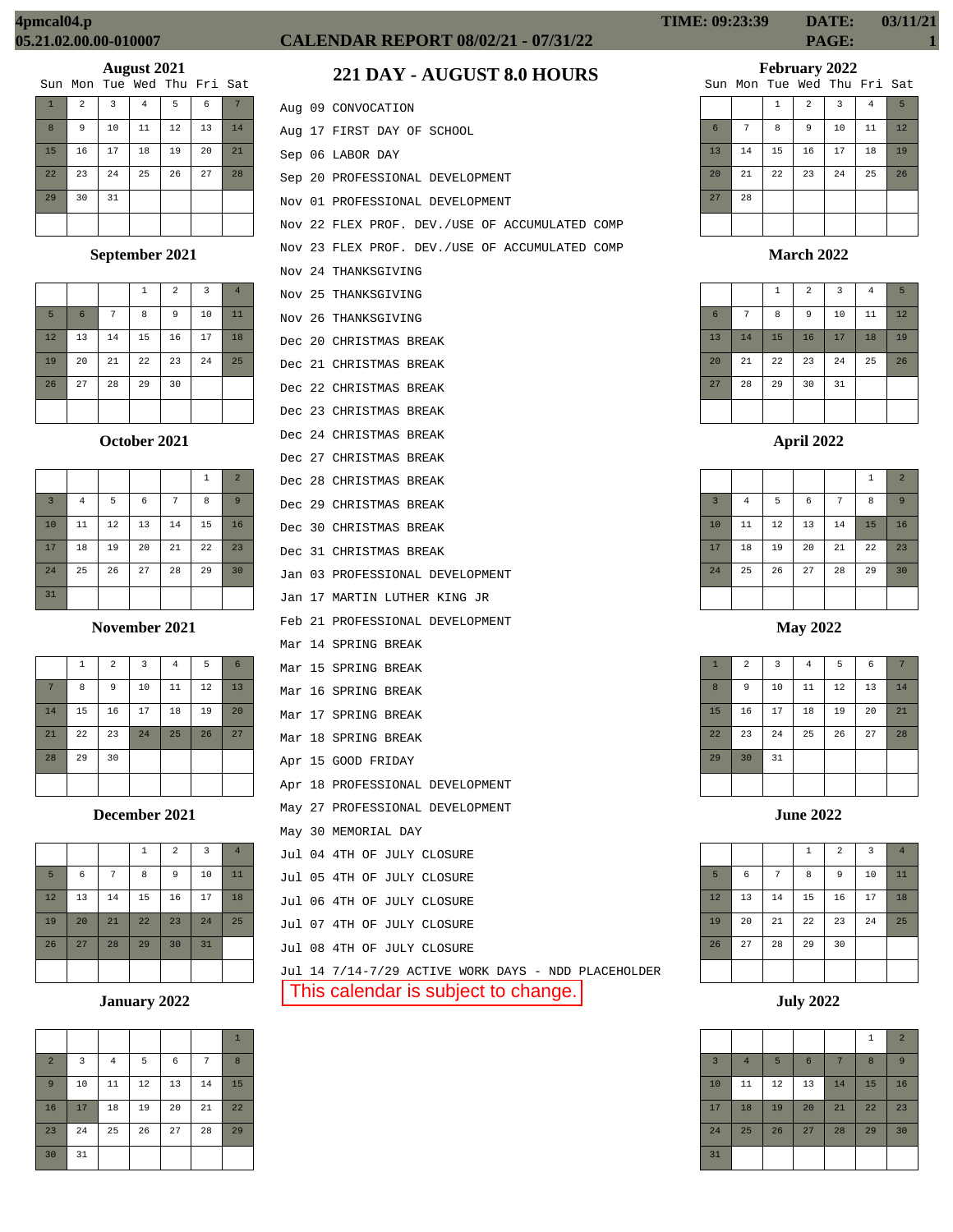|                |                |                | Sun Mon Tue Wed Thu Fri Sat |    |    |    |
|----------------|----------------|----------------|-----------------------------|----|----|----|
| $\overline{1}$ | $\overline{a}$ | $\overline{3}$ | 4                           | 5  | 6  |    |
| 8              | 9              | 10             | 11                          | 12 | 13 | 14 |
| 15             | 16             | 17             | 18                          | 19 | 20 | 21 |
| 22             | 23             | 24             | 25                          | 26 | 27 | 28 |
| 29             | 30             | 31             |                             |    |    |    |
|                |                |                |                             |    |    |    |

## **September 2021**

|    |                 |        | 1  | $\overline{2}$ | $\overline{3}$ | $\overline{4}$ |
|----|-----------------|--------|----|----------------|----------------|----------------|
| 5  | $6\phantom{1}6$ | 7      | 8  | 9              | 10             | 11             |
| 12 | 13              | $1\,4$ | 15 | 16             | 17             | 18             |
| 19 | 20              | 21     | 22 | 23             | 24             | 25             |
| 26 | 27              | 28     | 29 | 30             |                |                |
|    |                 |        |    |                |                |                |

#### **October 2021**

|                |                |    |    |    | 1  | $\overline{2}$ |
|----------------|----------------|----|----|----|----|----------------|
| $\overline{3}$ | $\overline{4}$ | 5  | 6  | 7  | 8  | 9              |
| 10             | 11             | 12 | 13 | 14 | 15 | 16             |
| 17             | 18             | 19 | 20 | 21 | 22 | 23             |
| 24             | 25             | 26 | 27 | 28 | 29 | 30             |
| 31             |                |    |    |    |    |                |

#### **November 2021**

|    | 1  | $\overline{a}$ | 3  | $\bf 4$ | 5  | 6  |
|----|----|----------------|----|---------|----|----|
| 7  | 8  | 9              | 10 | 11      | 12 | 13 |
| 14 | 15 | 16             | 17 | 18      | 19 | 20 |
| 21 | 22 | 23             | 24 | 25      | 26 | 27 |
| 28 | 29 | 30             |    |         |    |    |
|    |    |                |    |         |    |    |

## **December 2021**

|    |    |    | $\mathbf{1}$ | $\overline{a}$ | $\overline{3}$ | $\overline{4}$ |
|----|----|----|--------------|----------------|----------------|----------------|
| 5  | 6  | 7  | 8            | 9              | 10             | 11             |
| 12 | 13 | 14 | 15           | 16             | 17             | 18             |
| 19 | 20 | 21 | 22           | 23             | 24             | 25             |
| 26 | 27 | 28 | 29           | 30             | 31             |                |
|    |    |    |              |                |                |                |

# **January 2022**

|                |    |                |    |    |    | $\mathbf{1}$ |
|----------------|----|----------------|----|----|----|--------------|
| $\overline{2}$ | 3  | $\overline{4}$ | 5  | 6  | 7  | 8            |
| $\overline{9}$ | 10 | 11             | 12 | 13 | 14 | 15           |
| 16             | 17 | 18             | 19 | 20 | 21 | 22           |
| 23             | 24 | 25             | 26 | 27 | 28 | 29           |
| 30             | 31 |                |    |    |    |              |

# **CALENDAR REPORT 08/02/21 - 07/31/22 PAGE: 1**

# **221 DAY - AUGUST 8.0 HOURS**

|  | Aug 09 CONVOCATION                                  |
|--|-----------------------------------------------------|
|  | Aug 17 FIRST DAY OF SCHOOL                          |
|  | Sep 06 LABOR DAY                                    |
|  | Sep 20 PROFESSIONAL DEVELOPMENT                     |
|  | Nov 01 PROFESSIONAL DEVELOPMENT                     |
|  | Nov 22 FLEX PROF. DEV./USE OF ACCUMULATED COMP      |
|  | Nov 23 FLEX PROF. DEV./USE OF ACCUMULATED COMP      |
|  | Nov 24 THANKSGIVING                                 |
|  | Nov 25 THANKSGIVING                                 |
|  | Nov 26 THANKSGIVING                                 |
|  | Dec 20 CHRISTMAS BREAK                              |
|  | Dec 21 CHRISTMAS BREAK                              |
|  | Dec 22 CHRISTMAS BREAK                              |
|  | Dec 23 CHRISTMAS BREAK                              |
|  | Dec 24 CHRISTMAS BREAK                              |
|  | Dec 27 CHRISTMAS BREAK                              |
|  | Dec 28 CHRISTMAS BREAK                              |
|  | Dec 29 CHRISTMAS BREAK                              |
|  | Dec 30 CHRISTMAS BREAK                              |
|  | Dec 31 CHRISTMAS BREAK                              |
|  | Jan 03 PROFESSIONAL DEVELOPMENT                     |
|  | Jan 17 MARTIN LUTHER KING JR                        |
|  | Feb 21 PROFESSIONAL DEVELOPMENT                     |
|  | Mar 14 SPRING BREAK                                 |
|  | Mar 15 SPRING BREAK                                 |
|  | Mar 16 SPRING BREAK                                 |
|  | Mar 17 SPRING BREAK                                 |
|  | Mar 18 SPRING BREAK                                 |
|  | Apr 15 GOOD FRIDAY                                  |
|  | Apr 18 PROFESSIONAL DEVELOPMENT                     |
|  | May 27 PROFESSIONAL DEVELOPMENT                     |
|  | May 30 MEMORIAL DAY                                 |
|  | Jul 04 4TH OF JULY CLOSURE                          |
|  | Jul 05 4TH OF JULY CLOSURE                          |
|  | Jul 06 4TH OF JULY CLOSURE                          |
|  | Jul 07 4TH OF JULY CLOSURE                          |
|  | Jul 08 4TH OF JULY CLOSURE                          |
|  | Jul 14 7/14-7/29 ACTIVE WORK DAYS - NDD PLACEHOLDER |

This calendar is subject to change.

# **February 2022**

|    |    |    |                | Sun Mon Tue Wed Thu Fri Sat |                |    |
|----|----|----|----------------|-----------------------------|----------------|----|
|    |    | 1  | $\overline{a}$ | 3                           | $\overline{4}$ | 5  |
| 6  | 7  | 8  | 9              | 10                          | 11             | 12 |
| 13 | 14 | 15 | 16             | 17                          | 18             | 19 |
| 20 | 21 | 22 | 23             | 24                          | 25             | 26 |
| 27 | 28 |    |                |                             |                |    |
|    |    |    |                |                             |                |    |

#### **March 2022**

|                 |    | $\mathbf{1}$ | $\overline{a}$ | 3  | $\overline{4}$ | 5  |
|-----------------|----|--------------|----------------|----|----------------|----|
| $6\phantom{1}6$ | 7  | 8            | 9              | 10 | 11             | 12 |
| 13              | 14 | 15           | 16             | 17 | 18             | 19 |
| 20              | 21 | 22           | 23             | 24 | 25             | 26 |
| 27              | 28 | 29           | 30             | 31 |                |    |
|                 |    |              |                |    |                |    |

## **April 2022**

|                |          |    |            |    | $\,1\,$ | $\overline{2}$ |
|----------------|----------|----|------------|----|---------|----------------|
| $\overline{3}$ | $\bf{4}$ | 5  | $\epsilon$ | 7  | 8       | 9              |
| 10             | 11       | 12 | 13         | 14 | 15      | 16             |
| 17             | 18       | 19 | 20         | 21 | 22      | 23             |
| 24             | 25       | 26 | 27         | 28 | 29      | 30             |
|                |          |    |            |    |         |                |

**May 2022**

| $\mathbf{1}$ | $\overline{a}$ | 3  | $\bf{4}$ | 5  | 6  | 7  |
|--------------|----------------|----|----------|----|----|----|
| 8            | 9              | 10 | $11\,$   | 12 | 13 | 14 |
| 15           | 16             | 17 | 18       | 19 | 20 | 21 |
| 22           | 23             | 24 | 25       | 26 | 27 | 28 |
| 29           | 30             | 31 |          |    |    |    |
|              |                |    |          |    |    |    |

|    |    |    | $\mathbf 1$ | $\overline{a}$ | $\overline{3}$ | $\overline{4}$ |
|----|----|----|-------------|----------------|----------------|----------------|
| 5  | 6  | 7  | 8           | 9              | 10             | 11             |
| 12 | 13 | 14 | 15          | 16             | 17             | 18             |
| 19 | 20 | 21 | 22          | 23             | 24             | 25             |
| 26 | 27 | 28 | 29          | 30             |                |                |
|    |    |    |             |                |                |                |

**July 2022**

|                |                |    |    |    | $\mathbf{1}$ | $\overline{2}$ |
|----------------|----------------|----|----|----|--------------|----------------|
| $\overline{3}$ | $\overline{4}$ | 5  | 6  | 7  | 8            | 9              |
| 10             | 11             | 12 | 13 | 14 | 15           | 16             |
| 17             | 18             | 19 | 20 | 21 | 22           | 23             |
| 24             | 25             | 26 | 27 | 28 | 29           | 30             |
| 31             |                |    |    |    |              |                |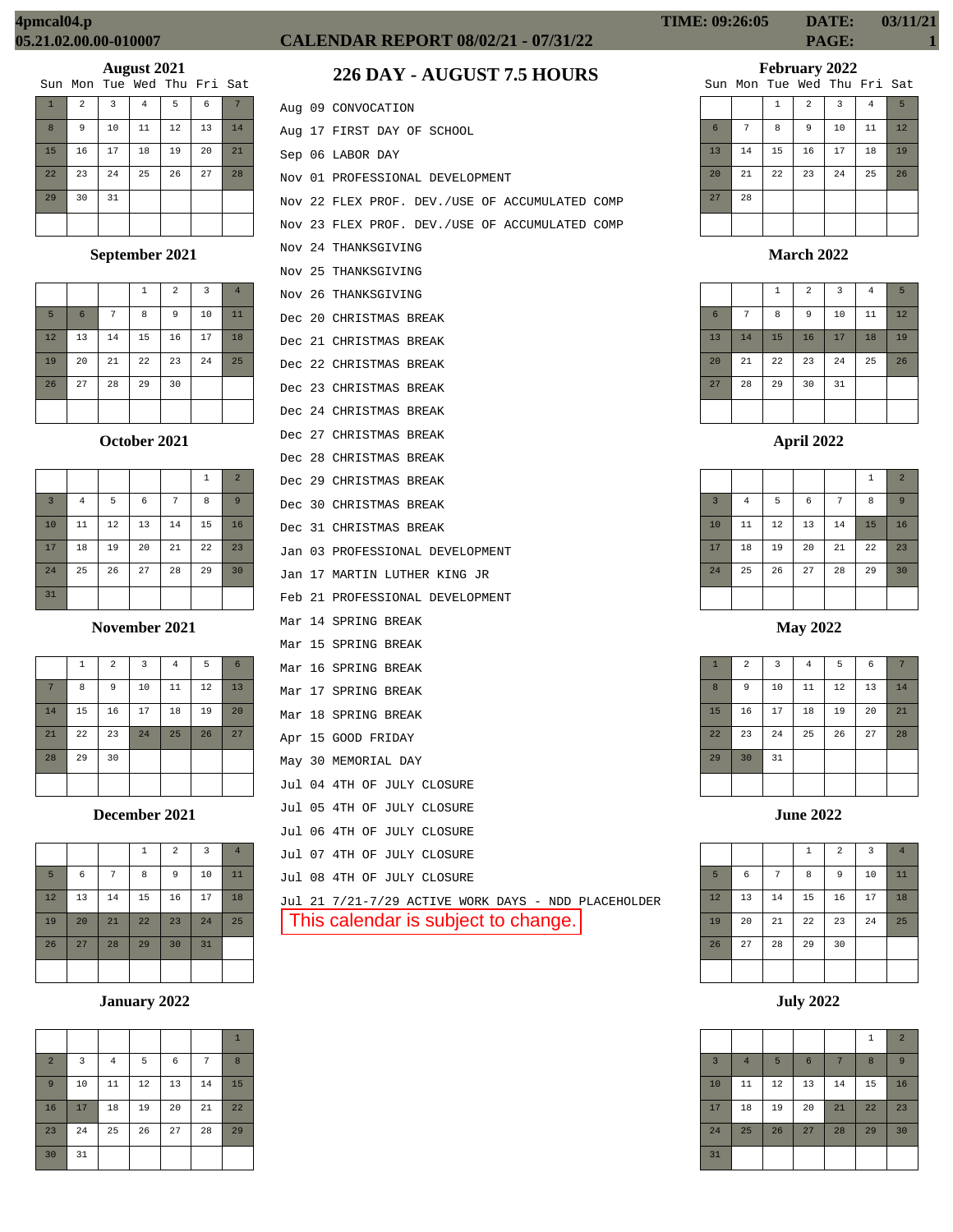|    |                | $\overline{\phantom{a}}$ |                             |    |    |    |
|----|----------------|--------------------------|-----------------------------|----|----|----|
|    |                |                          | Sun Mon Tue Wed Thu Fri Sat |    |    |    |
|    | $\overline{a}$ | 3                        | 4                           | 5  | 6  |    |
| 8  | 9              | 10                       | 11                          | 12 | 13 | 14 |
| 15 | 16             | 17                       | 18                          | 19 | 20 | 21 |
| 22 | 23             | 24                       | 25                          | 26 | 27 | 28 |
| 29 | 30             | 31                       |                             |    |    |    |
|    |                |                          |                             |    |    |    |

## **September 2021**

|    |                 |    | 1  | $\overline{2}$ | 3  | $\overline{4}$ |
|----|-----------------|----|----|----------------|----|----------------|
| 5  | $6\phantom{1}6$ | 7  | 8  | 9              | 10 | 11             |
| 12 | 13              | 14 | 15 | 16             | 17 | 18             |
| 19 | 20              | 21 | 22 | 23             | 24 | 25             |
| 26 | 27              | 28 | 29 | 30             |    |                |
|    |                 |    |    |                |    |                |

## **October 2021**

|                |                |    |    |    | 1  | $\overline{a}$ |
|----------------|----------------|----|----|----|----|----------------|
| $\overline{3}$ | $\overline{4}$ | 5  | 6  | 7  | 8  | 9              |
| 10             | 11             | 12 | 13 | 14 | 15 | 16             |
| 17             | 18             | 19 | 20 | 21 | 22 | 23             |
| 24             | 25             | 26 | 27 | 28 | 29 | 30             |
| 31             |                |    |    |    |    |                |

#### **November 2021**

|    | 1  | $\overline{a}$ | $\overline{3}$ | $\overline{4}$ | 5  | 6  |
|----|----|----------------|----------------|----------------|----|----|
| 7  | 8  | 9              | 10             | 11             | 12 | 13 |
| 14 | 15 | 16             | 17             | 18             | 19 | 20 |
| 21 | 22 | 23             | 24             | 25             | 26 | 27 |
| 28 | 29 | 30             |                |                |    |    |
|    |    |                |                |                |    |    |

#### **December 2021**

|    |            |    | $\mathbf{1}$ | $\overline{2}$ | 3  | $\overline{4}$ |
|----|------------|----|--------------|----------------|----|----------------|
| 5  | $\epsilon$ | 7  | 8            | 9              | 10 | 11             |
| 12 | 13         | 14 | 15           | 16             | 17 | 18             |
| 19 | 20         | 21 | 22           | 23             | 24 | 25             |
| 26 | 27         | 28 | 29           | 30             | 31 |                |
|    |            |    |              |                |    |                |

# **January 2022**

|                |    |                |    |    |    | $\mathbf{1}$ |
|----------------|----|----------------|----|----|----|--------------|
| $\overline{a}$ | 3  | $\overline{4}$ | 5  | 6  | 7  | 8            |
| 9              | 10 | 11             | 12 | 13 | 14 | 15           |
| 16             | 17 | 18             | 19 | 20 | 21 | 22           |
| 23             | 24 | 25             | 26 | 27 | 28 | 29           |
| 30             | 31 |                |    |    |    |              |

# **CALENDAR REPORT 08/02/21 - 07/31/22 PAGE: 1**

# **226 DAY - AUGUST 7.5 HOURS**

|  | Aug 09 CONVOCATION                                  |
|--|-----------------------------------------------------|
|  | Aug 17 FIRST DAY OF SCHOOL                          |
|  | Sep 06 LABOR DAY                                    |
|  | Nov 01 PROFESSIONAL DEVELOPMENT                     |
|  | Nov 22 FLEX PROF. DEV./USE OF ACCUMULATED COMP      |
|  | Nov 23 FLEX PROF. DEV./USE OF ACCUMULATED COMP      |
|  | Nov 24 THANKSGIVING                                 |
|  | Nov 25 THANKSGIVING                                 |
|  | Nov 26 THANKSGIVING                                 |
|  | Dec 20 CHRISTMAS BREAK                              |
|  | Dec 21 CHRISTMAS BREAK                              |
|  | Dec 22 CHRISTMAS BREAK                              |
|  | Dec 23 CHRISTMAS BREAK                              |
|  | Dec 24 CHRISTMAS BREAK                              |
|  | Dec 27 CHRISTMAS BREAK                              |
|  | Dec 28 CHRISTMAS BREAK                              |
|  | Dec 29 CHRISTMAS BREAK                              |
|  | Dec 30 CHRISTMAS BREAK                              |
|  | Dec 31 CHRISTMAS BREAK                              |
|  | Jan 03 PROFESSIONAL DEVELOPMENT                     |
|  | Jan 17 MARTIN LUTHER KING JR                        |
|  | Feb 21 PROFESSIONAL DEVELOPMENT                     |
|  | Mar 14 SPRING BREAK                                 |
|  | Mar 15 SPRING BREAK                                 |
|  | Mar 16 SPRING BREAK                                 |
|  | Mar 17 SPRING BREAK                                 |
|  | Mar 18 SPRING BREAK                                 |
|  | Apr 15 GOOD FRIDAY                                  |
|  | May 30 MEMORIAL DAY                                 |
|  | Jul 04 4TH OF JULY CLOSURE                          |
|  | Jul 05 4TH OF JULY CLOSURE                          |
|  | Jul 06 4TH OF JULY CLOSURE                          |
|  | Jul 07 4TH OF JULY CLOSURE                          |
|  | Jul 08 4TH OF JULY CLOSURE                          |
|  | Jul 21 7/21-7/29 ACTIVE WORK DAYS - NDD PLACEHOLDER |
|  | This calendar is subject to change.                 |
|  |                                                     |

| <b>TIME: 09:26:05</b> | DATE: | 03/11/21 |
|-----------------------|-------|----------|
|                       | PAGE: |          |

# **February 2022**

|    |    |    |                | Sun Mon Tue Wed Thu Fri Sat |    |    |
|----|----|----|----------------|-----------------------------|----|----|
|    |    | 1  | $\overline{a}$ | 3                           | 4  | 5  |
| 6  | 7  | 8  | 9              | 10                          | 11 | 12 |
| 13 | 14 | 15 | 16             | 17                          | 18 | 19 |
| 20 | 21 | 22 | 23             | 24                          | 25 | 26 |
| 27 | 28 |    |                |                             |    |    |
|    |    |    |                |                             |    |    |

#### **March 2022**

|                 |    | $\mathbf{1}$ | $\overline{a}$ | 3  | $\overline{4}$ | 5  |
|-----------------|----|--------------|----------------|----|----------------|----|
| $6\phantom{1}6$ | 7  | 8            | 9              | 10 | 11             | 12 |
| 13              | 14 | 15           | 16             | 17 | 18             | 19 |
| 20              | 21 | 22           | 23             | 24 | 25             | 26 |
| 27              | 28 | 29           | 30             | 31 |                |    |
|                 |    |              |                |    |                |    |

# **April 2022**

|                |          |    |    |    | $\mathbf{1}$ | $\overline{2}$ |
|----------------|----------|----|----|----|--------------|----------------|
| $\overline{3}$ | $\bf{4}$ | 5  | 6  | 7  | 8            | 9              |
| 10             | 11       | 12 | 13 | 14 | 15           | 16             |
| 17             | 18       | 19 | 20 | 21 | 22           | 23             |
| 24             | 25       | 26 | 27 | 28 | 29           | 30             |
|                |          |    |    |    |              |                |

## **May 2022**

| $\mathbf{1}$ | $\overline{c}$ | $\mathsf 3$ | $\bf 4$ | 5  | $\epsilon$ | 7  |
|--------------|----------------|-------------|---------|----|------------|----|
| 8            | 9              | 10          | $11\,$  | 12 | 13         | 14 |
| 15           | 16             | 17          | 18      | 19 | 20         | 21 |
| 22           | 23             | 24          | 25      | 26 | 27         | 28 |
| 29           | 30             | 31          |         |    |            |    |
|              |                |             |         |    |            |    |

|    |    |    | $\,1\,$ | $\overline{2}$ | $\overline{3}$ | $\overline{4}$ |
|----|----|----|---------|----------------|----------------|----------------|
| 5  | 6  | 7  | 8       | 9              | 10             | 11             |
| 12 | 13 | 14 | 15      | 16             | 17             | 18             |
| 19 | 20 | 21 | 22      | 23             | 24             | 25             |
| 26 | 27 | 28 | 29      | 30             |                |                |
|    |    |    |         |                |                |                |

**July 2022**

|                         |                |    |                |    | $1\,$ | $\overline{2}$ |
|-------------------------|----------------|----|----------------|----|-------|----------------|
| $\overline{\mathbf{3}}$ | $\overline{4}$ | 5  | $6\phantom{1}$ | 7  | 8     | 9              |
| 10                      | 11             | 12 | 13             | 14 | 15    | 16             |
| 17                      | 18             | 19 | 20             | 21 | 22    | 23             |
| 24                      | 25             | 26 | 27             | 28 | 29    | 30             |
| 31                      |                |    |                |    |       |                |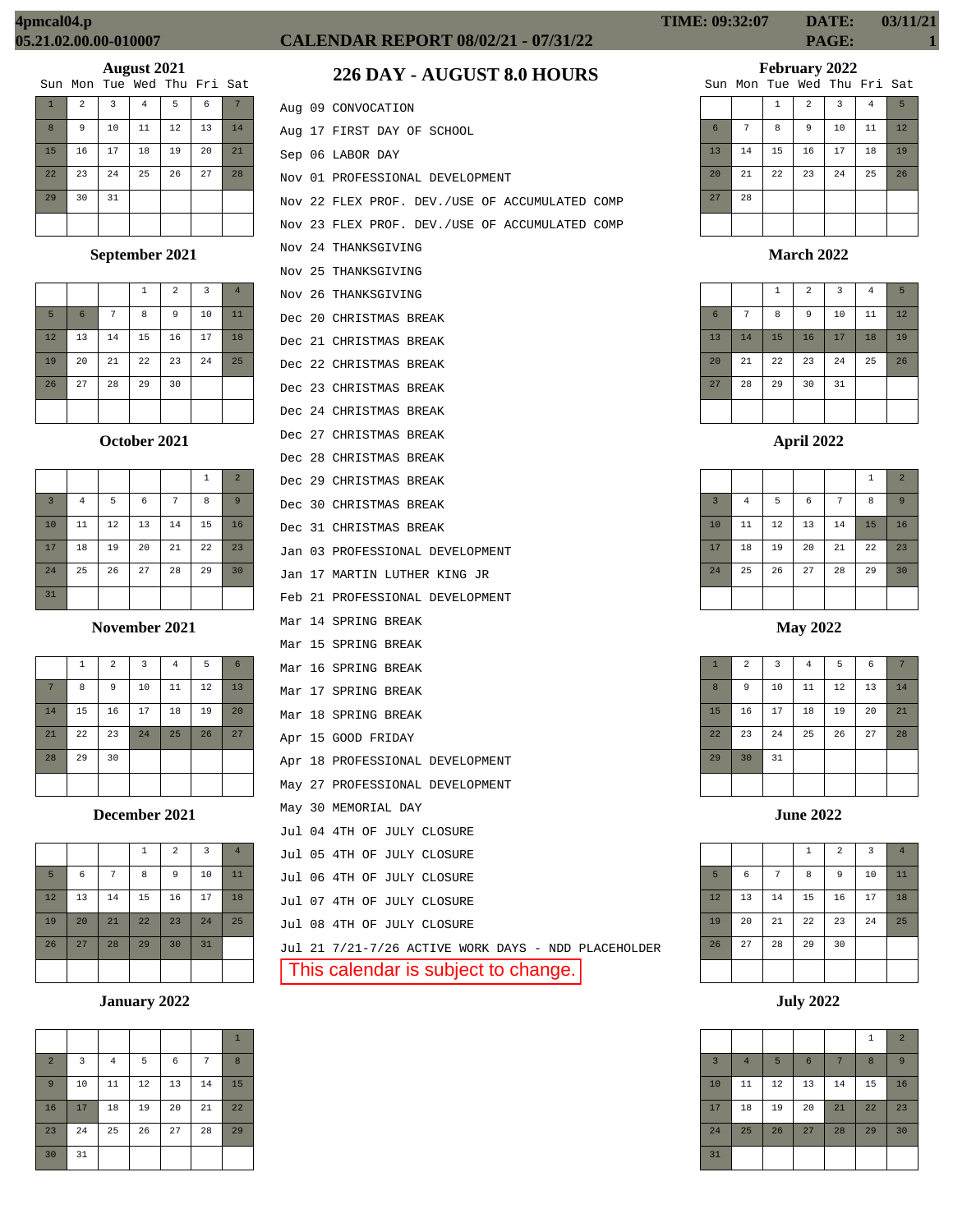# **August 2021**<br>The Med Thu

|              |    | $\overline{\phantom{a}}$ |                             |    |    |    |
|--------------|----|--------------------------|-----------------------------|----|----|----|
|              |    |                          | Sun Mon Tue Wed Thu Fri Sat |    |    |    |
| $\mathbf{1}$ | 2  | $\overline{3}$           | 4                           | 5  | 6  |    |
| 8            | 9  | 10                       | 11                          | 12 | 13 | 14 |
| 15           | 16 | 17                       | 18                          | 19 | 20 | 21 |
| 22           | 23 | 24                       | 25                          | 26 | 27 | 28 |
| 29           | 30 | 31                       |                             |    |    |    |
|              |    |                          |                             |    |    |    |

## **September 2021**

|    |    |    | $\mathbf{1}$ | 2  | 3  | $\overline{4}$ |
|----|----|----|--------------|----|----|----------------|
| 5  | 6  | 7  | 8            | 9  | 10 | 11             |
| 12 | 13 | 14 | 15           | 16 | 17 | 18             |
| 19 | 20 | 21 | 22           | 23 | 24 | 25             |
| 26 | 27 | 28 | 29           | 30 |    |                |
|    |    |    |              |    |    |                |

#### **October 2021**

|                |                |    |    |    | 1  | $\overline{a}$ |
|----------------|----------------|----|----|----|----|----------------|
| $\overline{3}$ | $\overline{4}$ | 5  | 6  | 7  | 8  | 9              |
| 10             | 11             | 12 | 13 | 14 | 15 | 16             |
| 17             | 18             | 19 | 20 | 21 | 22 | 23             |
| 24             | 25             | 26 | 27 | 28 | 29 | 30             |
| 31             |                |    |    |    |    |                |

**November 2021**

|    | $\,1\,$ | $\overline{a}$ | $\overline{\mathbf{3}}$ | $\sqrt{4}$ | 5  | $6\phantom{1}6$ |
|----|---------|----------------|-------------------------|------------|----|-----------------|
| 7  | 8       | 9              | 10                      | 11         | 12 | 13              |
| 14 | 15      | 16             | 17                      | 18         | 19 | 20              |
| 21 | 22      | 23             | 24                      | 25         | 26 | 27              |
| 28 | 29      | 30             |                         |            |    |                 |
|    |         |                |                         |            |    |                 |

**December 2021**

|    |    |    | $\mathbf{1}$ | $\overline{a}$ | 3  | $\overline{4}$ |
|----|----|----|--------------|----------------|----|----------------|
| 5  | 6  | 7  | 8            | 9              | 10 | 11             |
| 12 | 13 | 14 | 15           | 16             | 17 | 18             |
| 19 | 20 | 21 | 22           | 23             | 24 | 25             |
| 26 | 27 | 28 | 29           | 30             | 31 |                |
|    |    |    |              |                |    |                |

## **January 2022**

| $\overline{a}$ | 3  | $\overline{4}$ | 5  | 6  | 7  | 8  |
|----------------|----|----------------|----|----|----|----|
| 9              | 10 | 11             | 12 | 13 | 14 | 15 |
| 16             | 17 | 18             | 19 | 20 | 21 | 22 |
| 23             | 24 | 25             | 26 | 27 | 28 | 29 |
| 30             | 31 |                |    |    |    |    |

# **CALENDAR REPORT 08/02/21 - 07/31/22 PAGE: 1**

# **226 DAY - AUGUST 8.0 HOURS**

|  | Aug 09 CONVOCATION                                  |
|--|-----------------------------------------------------|
|  | Aug 17 FIRST DAY OF SCHOOL                          |
|  | Sep 06 LABOR DAY                                    |
|  | Nov 01 PROFESSIONAL DEVELOPMENT                     |
|  | Nov 22 FLEX PROF. DEV./USE OF ACCUMULATED COMP      |
|  | Nov 23 FLEX PROF. DEV./USE OF ACCUMULATED COMP      |
|  | Nov 24 THANKSGIVING                                 |
|  | Nov 25 THANKSGIVING                                 |
|  | Nov 26 THANKSGIVING                                 |
|  | Dec 20 CHRISTMAS BREAK                              |
|  | Dec 21 CHRISTMAS BREAK                              |
|  | Dec 22 CHRISTMAS BREAK                              |
|  | Dec 23 CHRISTMAS BREAK                              |
|  | Dec 24 CHRISTMAS BREAK                              |
|  | Dec 27 CHRISTMAS BREAK                              |
|  | Dec 28 CHRISTMAS BREAK                              |
|  | Dec 29 CHRISTMAS BREAK                              |
|  | Dec 30 CHRISTMAS BREAK                              |
|  | Dec 31 CHRISTMAS BREAK                              |
|  | Jan 03 PROFESSIONAL DEVELOPMENT                     |
|  | Jan 17 MARTIN LUTHER KING JR                        |
|  | Feb 21 PROFESSIONAL DEVELOPMENT                     |
|  | Mar 14 SPRING BREAK                                 |
|  | Mar 15 SPRING BREAK                                 |
|  | Mar 16 SPRING BREAK                                 |
|  | Mar 17 SPRING BREAK                                 |
|  | Mar 18 SPRING BREAK                                 |
|  | Apr 15 GOOD FRIDAY                                  |
|  | Apr 18 PROFESSIONAL DEVELOPMENT                     |
|  | May 27 PROFESSIONAL DEVELOPMENT                     |
|  | May 30 MEMORIAL DAY                                 |
|  | Jul 04 4TH OF JULY CLOSURE                          |
|  | Jul 05 4TH OF JULY CLOSURE                          |
|  | Jul 06 4TH OF JULY CLOSURE                          |
|  | Jul 07 4TH OF JULY CLOSURE                          |
|  | Jul 08 4TH OF JULY CLOSURE                          |
|  | Jul 21 7/21-7/26 ACTIVE WORK DAYS - NDD PLACEHOLDER |
|  | This calendar is subject to change.                 |

**TIME: 09:32:07 DATE: 03/11/21**

**February 2022**

|    |    |              |                | Sun Mon Tue Wed Thu Fri Sat |    |    |
|----|----|--------------|----------------|-----------------------------|----|----|
|    |    | $\mathbf{1}$ | $\overline{a}$ | 3                           | 4  | 5  |
| 6  | 7  | 8            | 9              | 10                          | 11 | 12 |
| 13 | 14 | 15           | 16             | 17                          | 18 | 19 |
| 20 | 21 | 22           | 23             | 24                          | 25 | 26 |
| 27 | 28 |              |                |                             |    |    |
|    |    |              |                |                             |    |    |

**March 2022**

|                 |    | $\mathbf{1}$ | $\overline{a}$ | $\overline{3}$ | $\overline{4}$ | 5  |
|-----------------|----|--------------|----------------|----------------|----------------|----|
| $6\phantom{1}6$ | 7  | 8            | 9              | 10             | 11             | 12 |
| 13              | 14 | 15           | 16             | 17             | 18             | 19 |
| 20              | 21 | 22           | 23             | 24             | 25             | 26 |
| 27              | 28 | 29           | 30             | 31             |                |    |
|                 |    |              |                |                |                |    |

**April 2022**

|                |                |        |    |    | $\,1\,$ | $\overline{2}$ |
|----------------|----------------|--------|----|----|---------|----------------|
| $\overline{3}$ | $\overline{4}$ | 5      | 6  | 7  | 8       | 9              |
| 10             | 11             | $12\,$ | 13 | 14 | 15      | 16             |
| 17             | 18             | 19     | 20 | 21 | 22      | 23             |
| 24             | 25             | 26     | 27 | 28 | 29      | 30             |
|                |                |        |    |    |         |                |

**May 2022**

| $\mathbf{1}$ | $\overline{a}$ | 3  | $\bf{4}$ | 5  | 6  | 7  |
|--------------|----------------|----|----------|----|----|----|
| 8            | 9              | 10 | 11       | 12 | 13 | 14 |
| 15           | 16             | 17 | 18       | 19 | 20 | 21 |
| 22           | 23             | 24 | 25       | 26 | 27 | 28 |
| 29           | 30             | 31 |          |    |    |    |
|              |                |    |          |    |    |    |

**June 2022**

|    |    |    | $\,1\,$ | $\overline{\mathbf{c}}$ | 3  | $\overline{4}$ |
|----|----|----|---------|-------------------------|----|----------------|
| 5  | 6  | 7  | 8       | 9                       | 10 | 11             |
| 12 | 13 | 14 | 15      | 16                      | 17 | 18             |
| 19 | 20 | 21 | 22      | 23                      | 24 | 25             |
| 26 | 27 | 28 | 29      | 30                      |    |                |
|    |    |    |         |                         |    |                |

**July 2022**

|                         |                |    |                |    | $1\,$ | $\overline{2}$ |
|-------------------------|----------------|----|----------------|----|-------|----------------|
| $\overline{\mathbf{3}}$ | $\overline{4}$ | 5  | $6\phantom{1}$ | 7  | 8     | 9              |
| 10                      | 11             | 12 | 13             | 14 | 15    | 16             |
| 17                      | 18             | 19 | 20             | 21 | 22    | 23             |
| 24                      | 25             | 26 | 27             | 28 | 29    | 30             |
| 31                      |                |    |                |    |       |                |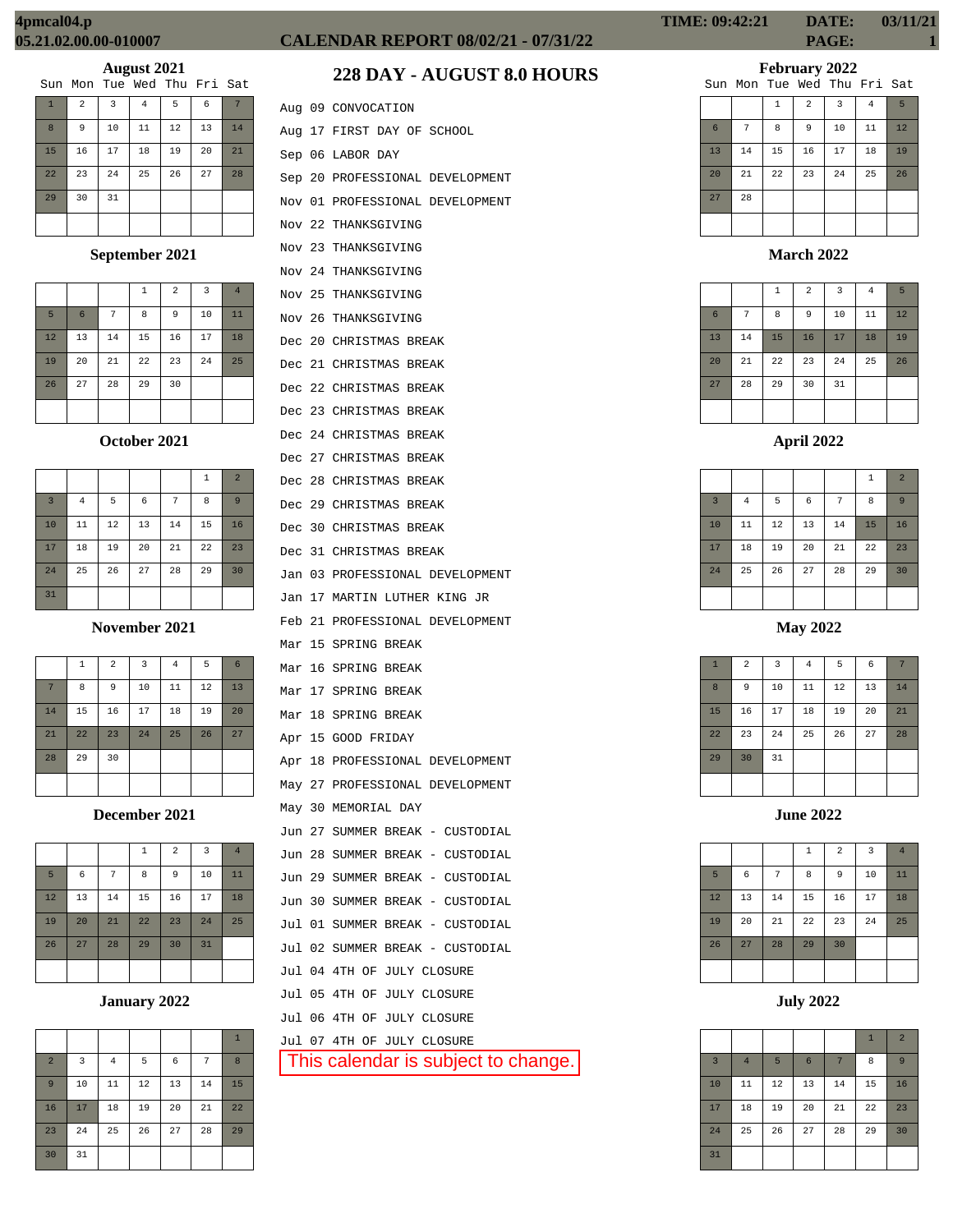|              |                |    | Sun Mon Tue Wed Thu Fri Sat |    |    |    |
|--------------|----------------|----|-----------------------------|----|----|----|
| $\mathbf{1}$ | $\overline{a}$ | 3  | 4                           | 5  | 6  |    |
| $\mathbf{8}$ | 9              | 10 | 11                          | 12 | 13 | 14 |
| 15           | 16             | 17 | 18                          | 19 | 20 | 21 |
| 22           | 23             | 24 | 25                          | 26 | 27 | 28 |
| 29           | 30             | 31 |                             |    |    |    |
|              |                |    |                             |    |    |    |

## **September 2021**

|    |                 |    | 1  | $\overline{a}$ | 3  | $\overline{4}$ |
|----|-----------------|----|----|----------------|----|----------------|
| 5  | $6\phantom{1}6$ | 7  | 8  | 9              | 10 | 11             |
| 12 | 13              | 14 | 15 | 16             | 17 | 18             |
| 19 | 20              | 21 | 22 | 23             | 24 | 25             |
| 26 | 27              | 28 | 29 | 30             |    |                |
|    |                 |    |    |                |    |                |

## **October 2021**

|                |                |    |    |    | 1  | $\overline{2}$ |
|----------------|----------------|----|----|----|----|----------------|
| $\overline{3}$ | $\overline{4}$ | 5  | 6  | 7  | 8  | 9              |
| 10             | 11             | 12 | 13 | 14 | 15 | 16             |
| 17             | 18             | 19 | 20 | 21 | 22 | 23             |
| 24             | 25             | 26 | 27 | 28 | 29 | 30             |
| 31             |                |    |    |    |    |                |

#### **November 2021**

|    | $\mathbf{1}$ | $\overline{a}$ | 3  | $\overline{4}$ | 5  | 6  |
|----|--------------|----------------|----|----------------|----|----|
| 7  | 8            | 9              | 10 | 11             | 12 | 13 |
| 14 | 15           | 16             | 17 | 18             | 19 | 20 |
| 21 | 22           | 23             | 24 | 25             | 26 | 27 |
| 28 | 29           | 30             |    |                |    |    |
|    |              |                |    |                |    |    |

## **December 2021**

|    |    |    | $\mathbf 1$ | $\overline{2}$ | 3  | $\overline{4}$ |
|----|----|----|-------------|----------------|----|----------------|
| 5  | 6  | 7  | 8           | 9              | 10 | 11             |
| 12 | 13 | 14 | 15          | 16             | 17 | 18             |
| 19 | 20 | 21 | 22          | 23             | 24 | 25             |
| 26 | 27 | 28 | 29          | 30             | 31 |                |
|    |    |    |             |                |    |                |

## **January 2022**

|                |    |          |    |    |    | $\mathbf{1}$ |
|----------------|----|----------|----|----|----|--------------|
| $\overline{a}$ | 3  | $\bf{4}$ | 5  | 6  | 7  | 8            |
| 9              | 10 | 11       | 12 | 13 | 14 | 15           |
| 16             | 17 | 18       | 19 | 20 | 21 | 22           |
| 23             | 24 | 25       | 26 | 27 | 28 | 29           |
| 30             | 31 |          |    |    |    |              |

# **CALENDAR REPORT 08/02/21 - 07/31/22 PAGE: 1**

# **228 DAY - AUGUST 8.0 HOURS**

|        |    | Aug 09 CONVOCATION              |
|--------|----|---------------------------------|
| Aug    |    | 17 FIRST DAY OF SCHOOL          |
|        |    | Sep 06 LABOR DAY                |
|        |    | Sep 20 PROFESSIONAL DEVELOPMENT |
| Nov 01 |    | PROFESSIONAL DEVELOPMENT        |
| Nov    |    | 22 THANKSGIVING                 |
| Nov 23 |    | THANKSGIVING                    |
|        |    | Nov 24 THANKSGIVING             |
|        |    | Nov 25 THANKSGIVING             |
|        |    | Nov 26 THANKSGIVING             |
| Dec    |    | 20 CHRISTMAS BREAK              |
|        |    | Dec 21 CHRISTMAS BREAK          |
|        |    | Dec 22 CHRISTMAS BREAK          |
| Dec    |    | 23 CHRISTMAS BREAK              |
| Dec    |    | 24 CHRISTMAS BREAK              |
|        |    | Dec 27 CHRISTMAS BREAK          |
|        |    | Dec 28 CHRISTMAS BREAK          |
|        |    | Dec 29 CHRISTMAS BREAK          |
| Dec    |    | <b>30 CHRISTMAS BREAK</b>       |
| Dec    |    | 31 CHRISTMAS BREAK              |
|        |    | Jan 03 PROFESSIONAL DEVELOPMENT |
|        |    | Jan 17 MARTIN LUTHER KING JR    |
| Feb 21 |    | PROFESSIONAL DEVELOPMENT        |
| Mar    | 15 | SPRING BREAK                    |
| Mar    | 16 | SPRING BREAK                    |
|        |    | Mar 17 SPRING BREAK             |
| Mar    | 18 | SPRING BREAK                    |
|        |    | Apr 15 GOOD FRIDAY              |
|        |    | Apr 18 PROFESSIONAL DEVELOPMENT |
|        |    | May 27 PROFESSIONAL DEVELOPMENT |
|        |    | May 30 MEMORIAL DAY             |
| Jun    | 27 | SUMMER BREAK - CUSTODIAL        |
|        |    | Jun 28 SUMMER BREAK - CUSTODIAL |
|        |    |                                 |

|  | Jun 27 SUMMER BREAK - CUSTODIAL |
|--|---------------------------------|
|  | Jun 28 SUMMER BREAK - CUSTODIAL |
|  | Jun 29 SUMMER BREAK - CUSTODIAL |
|  | Jun 30 SUMMER BREAK - CUSTODIAL |
|  | Jul 01 SUMMER BREAK - CUSTODIAL |
|  | Jul 02 SUMMER BREAK - CUSTODIAL |
|  | Jul 04 4TH OF JULY CLOSURE      |
|  | Jul 05 4TH OF JULY CLOSURE      |
|  | Jul 06 4TH OF JULY CLOSURE      |
|  | Jul 07 4TH OF JULY CLOSURE      |

This calendar is subject to change.

# **February 2022**

|  | Sun Mon Tue Wed Thu Fri Sat |  |  |
|--|-----------------------------|--|--|
|  |                             |  |  |

|                 |    | $\mathbf{1}$ | $\overline{a}$ | $\overline{3}$ | $\overline{4}$ | 5  |
|-----------------|----|--------------|----------------|----------------|----------------|----|
| $6\phantom{1}6$ | 7  | 8            | 9              | 10             | 11             | 12 |
| 13              | 14 | 15           | 16             | 17             | 18             | 19 |
| 20              | 21 | 22           | 23             | 24             | 25             | 26 |
| 27              | 28 |              |                |                |                |    |
|                 |    |              |                |                |                |    |

# **March 2022**

|                 |    | $\,1\,$ | $\overline{a}$ | $\overline{3}$ | 4  | 5  |
|-----------------|----|---------|----------------|----------------|----|----|
| $6\phantom{1}6$ | 7  | 8       | 9              | 10             | 11 | 12 |
| 13              | 14 | 15      | 16             | 17             | 18 | 19 |
| 20              | 21 | 22      | 23             | 24             | 25 | 26 |
| 27              | 28 | 29      | 30             | 31             |    |    |
|                 |    |         |                |                |    |    |

|                |          |    |    |                | $\,1\,$ | $\overline{2}$ |
|----------------|----------|----|----|----------------|---------|----------------|
| $\overline{3}$ | $\bf{4}$ | 5  | 6  | $\overline{7}$ | 8       | 9              |
| 10             | 11       | 12 | 13 | 14             | 15      | 16             |
| 17             | 18       | 19 | 20 | 21             | 22      | 23             |
| 24             | 25       | 26 | 27 | 28             | 29      | 30             |
|                |          |    |    |                |         |                |

**May 2022**

| $\mathbf{1}$ | $\overline{a}$ | 3  | $\bf{4}$ | 5  | 6  | 7  |
|--------------|----------------|----|----------|----|----|----|
| 8            | 9              | 10 | 11       | 12 | 13 | 14 |
| 15           | 16             | 17 | 18       | 19 | 20 | 21 |
| 22           | 23             | 24 | 25       | 26 | 27 | 28 |
| 29           | 30             | 31 |          |    |    |    |
|              |                |    |          |    |    |    |

**June 2022**

|    |    |    | $\,1\,$ | $\overline{2}$ | $\overline{3}$ | $\overline{4}$ |
|----|----|----|---------|----------------|----------------|----------------|
| 5  | 6  | 7  | 8       | 9              | 10             | 11             |
| 12 | 13 | 14 | 15      | 16             | 17             | 18             |
| 19 | 20 | 21 | 22      | 23             | 24             | 25             |
| 26 | 27 | 28 | 29      | 30             |                |                |
|    |    |    |         |                |                |                |

**July 2022**

|                |                |    |                 |    | $\mathbf{1}$ | $\overline{2}$ |
|----------------|----------------|----|-----------------|----|--------------|----------------|
| $\overline{3}$ | $\overline{4}$ | 5  | $6\phantom{1}6$ | 7  | 8            | 9              |
| 10             | 11             | 12 | 13              | 14 | 15           | 16             |
| 17             | 18             | 19 | 20              | 21 | 22           | 23             |
| 24             | 25             | 26 | 27              | 28 | 29           | 30             |
| 31             |                |    |                 |    |              |                |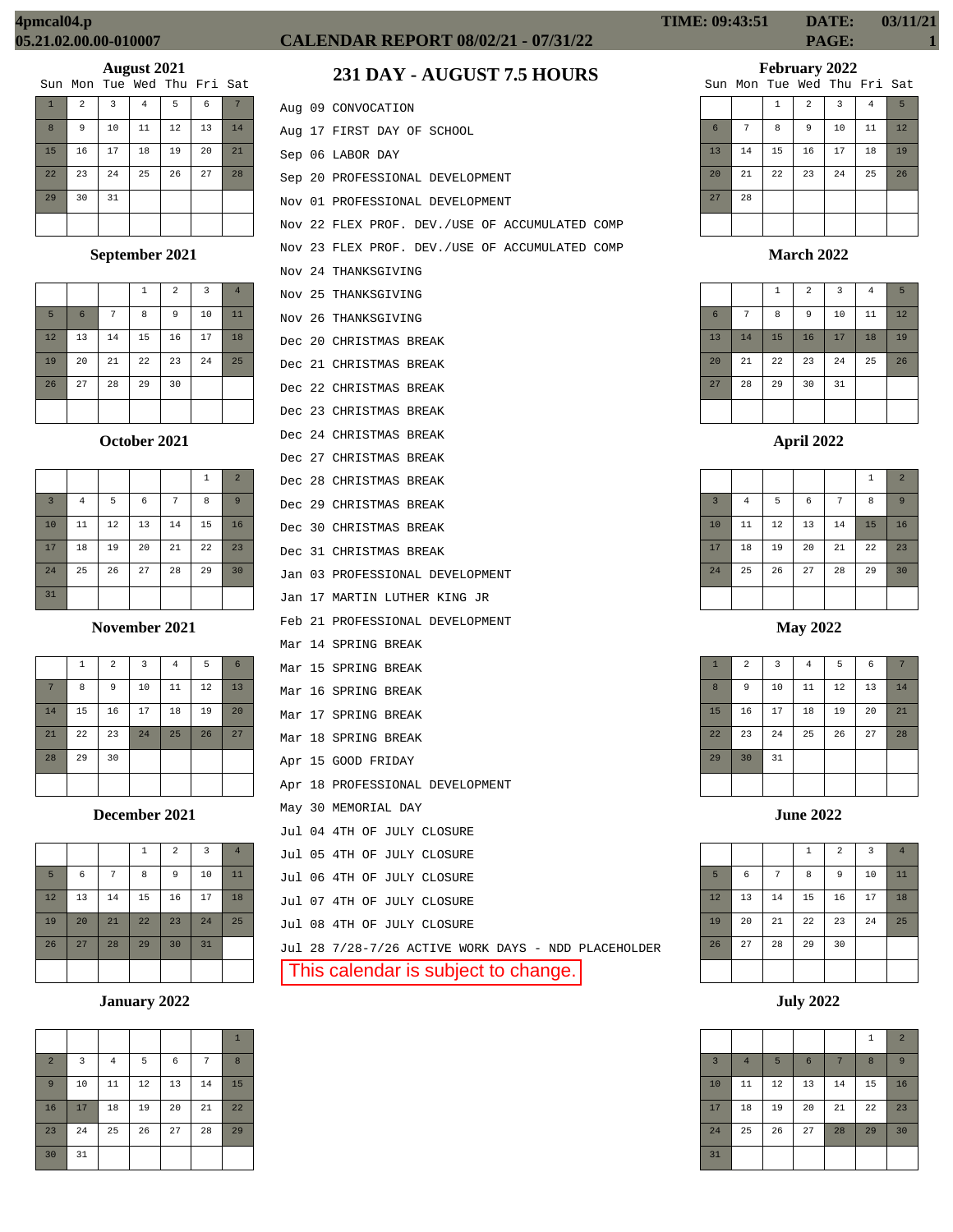|    |                             | $\overline{\phantom{a}}$ |    |    |    |    |
|----|-----------------------------|--------------------------|----|----|----|----|
|    | Sun Mon Tue Wed Thu Fri Sat |                          |    |    |    |    |
|    | $\overline{a}$              | $\overline{3}$           | 4  | 5  | 6  |    |
| 8  | 9                           | 10                       | 11 | 12 | 13 | 14 |
| 15 | 16                          | 17                       | 18 | 19 | 20 | 21 |
| 22 | 23                          | 24                       | 25 | 26 | 27 | 28 |
| 29 | 30                          | 31                       |    |    |    |    |
|    |                             |                          |    |    |    |    |

## **September 2021**

|    |                 |    | $\mathbf{1}$ | 2  | 3  | $\overline{4}$ |
|----|-----------------|----|--------------|----|----|----------------|
| 5  | $6\phantom{1}6$ | 7  | 8            | 9  | 10 | 11             |
| 12 | 13              | 14 | 15           | 16 | 17 | 18             |
| 19 | 20              | 21 | 22           | 23 | 24 | 25             |
| 26 | 27              | 28 | 29           | 30 |    |                |
|    |                 |    |              |    |    |                |

#### **October 2021**

|                |                |    |    |    | 1  | $\overline{a}$ |
|----------------|----------------|----|----|----|----|----------------|
| $\overline{3}$ | $\overline{4}$ | 5  | 6  | 7  | 8  | 9              |
| 10             | 11             | 12 | 13 | 14 | 15 | 16             |
| 17             | 18             | 19 | 20 | 21 | 22 | 23             |
| 24             | 25             | 26 | 27 | 28 | 29 | 30             |
| 31             |                |    |    |    |    |                |

#### **November 2021**

|    | 1  | $\overline{2}$ | $\overline{3}$ | $\bf 4$ | 5  | 6  |
|----|----|----------------|----------------|---------|----|----|
| 7  | 8  | 9              | 10             | 11      | 12 | 13 |
| 14 | 15 | 16             | 17             | 18      | 19 | 20 |
| 21 | 22 | 23             | 24             | 25      | 26 | 27 |
| 28 | 29 | 30             |                |         |    |    |
|    |    |                |                |         |    |    |

**December 2021**

|    |    |    | $\mathbf{1}$ | $\overline{a}$ | 3  | $\overline{4}$ |
|----|----|----|--------------|----------------|----|----------------|
| 5  | 6  | 7  | 8            | 9              | 10 | 11             |
| 12 | 13 | 14 | 15           | 16             | 17 | 18             |
| 19 | 20 | 21 | 22           | 23             | 24 | 25             |
| 26 | 27 | 28 | 29           | 30             | 31 |                |
|    |    |    |              |                |    |                |

#### **January 2022**

| $\overline{a}$ | 3  | $\overline{4}$ | 5  | 6  | 7  | 8  |
|----------------|----|----------------|----|----|----|----|
| 9              | 10 | 11             | 12 | 13 | 14 | 15 |
| 16             | 17 | 18             | 19 | 20 | 21 | 22 |
| 23             | 24 | 25             | 26 | 27 | 28 | 29 |
| 30             | 31 |                |    |    |    |    |

# **CALENDAR REPORT 08/02/21 - 07/31/22 PAGE: 1**

# **231 DAY - AUGUST 7.5 HOURS**

|  | Aug 09 CONVOCATION                             |
|--|------------------------------------------------|
|  | Aug 17 FIRST DAY OF SCHOOL                     |
|  | Sep 06 LABOR DAY                               |
|  | Sep 20 PROFESSIONAL DEVELOPMENT                |
|  | Nov 01 PROFESSIONAL DEVELOPMENT                |
|  | Nov 22 FLEX PROF. DEV./USE OF ACCUMULATED COMP |
|  | Nov 23 FLEX PROF. DEV./USE OF ACCUMULATED COMP |
|  | Nov 24 THANKSGIVING                            |
|  | Nov 25 THANKSGIVING                            |
|  | Nov 26 THANKSGIVING                            |
|  | Dec 20 CHRISTMAS BREAK                         |
|  | Dec 21 CHRISTMAS BREAK                         |
|  | Dec 22 CHRISTMAS BREAK                         |
|  | Dec 23 CHRISTMAS BREAK                         |
|  | Dec 24 CHRISTMAS BREAK                         |
|  | Dec 27 CHRISTMAS BREAK                         |
|  | Dec 28 CHRISTMAS BREAK                         |
|  | Dec 29 CHRISTMAS BREAK                         |
|  | Dec 30 CHRISTMAS BREAK                         |
|  | Dec 31 CHRISTMAS BREAK                         |
|  | Jan 03 PROFESSIONAL DEVELOPMENT                |
|  | Jan 17 MARTIN LUTHER KING JR                   |
|  | Feb 21 PROFESSIONAL DEVELOPMENT                |
|  | Mar 14 SPRING BREAK                            |
|  | Mar 15 SPRING BREAK                            |
|  | Mar 16 SPRING BREAK                            |
|  | Mar 17 SPRING BREAK                            |
|  | Mar 18 SPRING BREAK                            |
|  | Apr 15 GOOD FRIDAY                             |
|  | Apr 18 PROFESSIONAL DEVELOPMENT                |
|  | May 30 MEMORIAL DAY                            |
|  | Jul 04 4TH OF JULY CLOSURE                     |
|  | Jul 05 4TH OF JULY CLOSURE                     |
|  | Jul 06 4TH OF JULY CLOSURE                     |
|  | Jul 07 4TH OF JULY CLOSURE                     |
|  | Jul 08 4TH OF JULY CLOSURE                     |

Jul 28 7/28-7/26 ACTIVE WORK DAYS - NDD PLACEHOLDER

This calendar is subject to change.

# **February 2022**

|    |    |              | Sun Mon Tue Wed Thu Fri Sat |    |                |    |
|----|----|--------------|-----------------------------|----|----------------|----|
|    |    | $\mathbf{1}$ | $\overline{a}$              | 3  | $\overline{4}$ | 5  |
| 6  | 7  | 8            | 9                           | 10 | 11             | 12 |
| 13 | 14 | 15           | 16                          | 17 | 18             | 19 |
| 20 | 21 | 22           | 23                          | 24 | 25             | 26 |
| 27 | 28 |              |                             |    |                |    |

#### **March 2022**

|                |    | $\mathbf{1}$ | $\overline{a}$ | 3  | $\overline{4}$ | 5  |
|----------------|----|--------------|----------------|----|----------------|----|
| $6\phantom{1}$ | 7  | 8            | 9              | 10 | 11             | 12 |
| 13             | 14 | 15           | 16             | 17 | 18             | 19 |
| 20             | 21 | 22           | 23             | 24 | 25             | 26 |
| 27             | 28 | 29           | 30             | 31 |                |    |
|                |    |              |                |    |                |    |

## **April 2022**

|                |          |    |    |    | $\,1\,$ | $\overline{2}$ |
|----------------|----------|----|----|----|---------|----------------|
| $\overline{3}$ | $\bf{4}$ | 5  | 6  | 7  | 8       | 9              |
| 10             | 11       | 12 | 13 | 14 | 15      | 16             |
| 17             | 18       | 19 | 20 | 21 | 22      | 23             |
| 24             | 25       | 26 | 27 | 28 | 29      | 30             |
|                |          |    |    |    |         |                |

## **May 2022**

| $\mathbf{1}$ | $\overline{a}$ | $\overline{\mathbf{3}}$ | $\bf 4$ | 5  | 6  | 7  |
|--------------|----------------|-------------------------|---------|----|----|----|
| 8            | 9              | 10                      | 11      | 12 | 13 | 14 |
| 15           | 16             | 17                      | 18      | 19 | 20 | 21 |
| 22           | 23             | 24                      | 25      | 26 | 27 | 28 |
| 29           | 30             | 31                      |         |    |    |    |
|              |                |                         |         |    |    |    |

|    |    |    | $\mathbf 1$ | $\overline{2}$ | $\overline{3}$ | $\overline{4}$ |
|----|----|----|-------------|----------------|----------------|----------------|
| 5  | 6  | 7  | 8           | 9              | 10             | 11             |
| 12 | 13 | 14 | 15          | 16             | 17             | 18             |
| 19 | 20 | 21 | 22          | 23             | 24             | 25             |
| 26 | 27 | 28 | 29          | 30             |                |                |
|    |    |    |             |                |                |                |

**July 2022**

|                |                |        |    |    | $\,1\,$ | $\overline{2}$ |
|----------------|----------------|--------|----|----|---------|----------------|
| $\overline{3}$ | $\overline{4}$ | 5      | 6  | 7  | 8       | 9              |
| 10             | 11             | $12\,$ | 13 | 14 | 15      | 16             |
| 17             | 18             | 19     | 20 | 21 | 22      | 23             |
| 24             | 25             | 26     | 27 | 28 | 29      | 30             |
| 31             |                |        |    |    |         |                |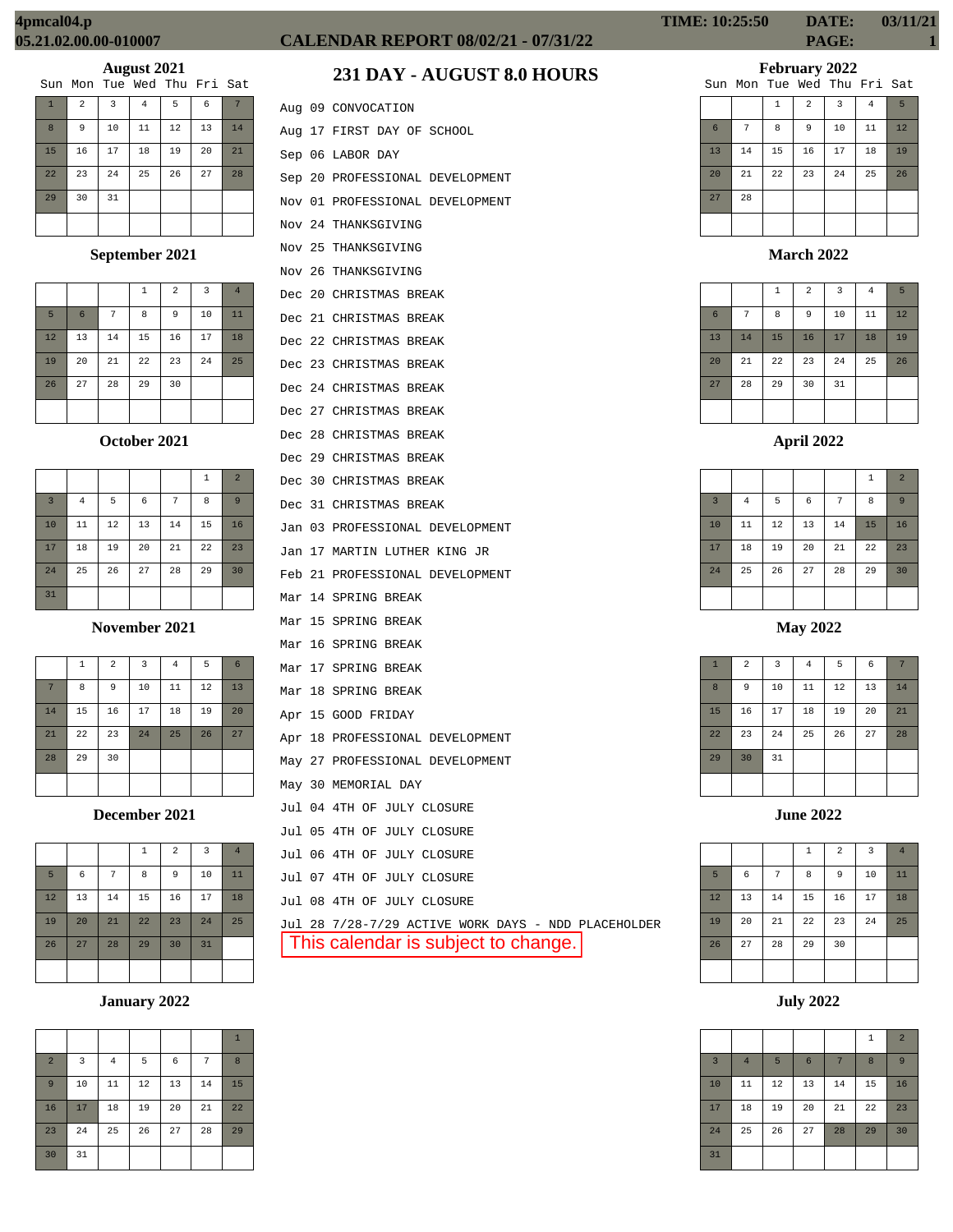|              |                |    | Sun Mon Tue Wed Thu Fri Sat |    |    |    |
|--------------|----------------|----|-----------------------------|----|----|----|
| $\mathbf{T}$ | $\overline{2}$ | 3  | 4                           | 5  | 6  |    |
| 8            | 9              | 10 | 11                          | 12 | 13 | 14 |
| 15           | 16             | 17 | 18                          | 19 | 20 | 21 |
| 22           | 23             | 24 | 25                          | 26 | 27 | 28 |
| 29           | 30             | 31 |                             |    |    |    |
|              |                |    |                             |    |    |    |

## **September 2021**

|    |                 |    | $\mathbf{1}$ | $\overline{2}$ | 3  | $\overline{4}$ |
|----|-----------------|----|--------------|----------------|----|----------------|
| 5  | $6\phantom{1}6$ | 7  | 8            | 9              | 10 | 11             |
| 12 | 13              | 14 | 15           | 16             | 17 | 18             |
| 19 | 20              | 21 | 22           | 23             | 24 | 25             |
| 26 | 27              | 28 | 29           | 30             |    |                |
|    |                 |    |              |                |    |                |

## **October 2021**

|                         |                |    |    |    | 1  | $\overline{2}$ |
|-------------------------|----------------|----|----|----|----|----------------|
| $\overline{\mathbf{3}}$ | $\overline{4}$ | 5  | 6  | 7  | 8  | 9              |
| 10                      | 11             | 12 | 13 | 14 | 15 | 16             |
| 17                      | 18             | 19 | 20 | 21 | 22 | 23             |
| 24                      | 25             | 26 | 27 | 28 | 29 | 30             |
| 31                      |                |    |    |    |    |                |

**November 2021**

|    | $\mathbf{1}$ | $\overline{a}$ | 3  | $\bf 4$ | 5  | $6\phantom{1}6$ |
|----|--------------|----------------|----|---------|----|-----------------|
| 7  | 8            | 9              | 10 | 11      | 12 | 13              |
| 14 | 15           | 16             | 17 | 18      | 19 | 20              |
| 21 | 22           | 23             | 24 | 25      | 26 | 27              |
| 28 | 29           | 30             |    |         |    |                 |
|    |              |                |    |         |    |                 |

**December 2021**

|    |    |    | $\mathbf 1$ | $\overline{2}$ | $\overline{\mathbf{3}}$ | $\overline{4}$ |
|----|----|----|-------------|----------------|-------------------------|----------------|
| 5  | 6  | 7  | 8           | 9              | 10                      | 11             |
| 12 | 13 | 14 | 15          | 16             | 17                      | 18             |
| 19 | 20 | 21 | 22          | 23             | 24                      | 25             |
| 26 | 27 | 28 | 29          | 30             | 31                      |                |
|    |    |    |             |                |                         |                |

## **January 2022**

|                |    |                |    |    |    | $\mathbf{1}$ |
|----------------|----|----------------|----|----|----|--------------|
| $\overline{2}$ | 3  | $\overline{4}$ | 5  | 6  | 7  | 8            |
| $\overline{9}$ | 10 | 11             | 12 | 13 | 14 | 15           |
| 16             | 17 | 18             | 19 | 20 | 21 | 22           |
| 23             | 24 | 25             | 26 | 27 | 28 | 29           |
| 30             | 31 |                |    |    |    |              |

# **CALENDAR REPORT 08/02/21 - 07/31/22 PAGE: 1**

# **231 DAY - AUGUST 8.0 HOURS**

|  | Aug 09 CONVOCATION                |
|--|-----------------------------------|
|  | Aug 17 FIRST DAY OF SCHOOL        |
|  | Sep 06 LABOR DAY                  |
|  | Sep 20 PROFESSIONAL DEVELOPMENT   |
|  | Nov 01 PROFESSIONAL DEVELOPMENT   |
|  | Nov 24 THANKSGIVING               |
|  | Nov 25 THANKSGIVING               |
|  | Nov 26 THANKSGIVING               |
|  | Dec 20 CHRISTMAS BREAK            |
|  | Dec 21 CHRISTMAS BREAK            |
|  | Dec 22 CHRISTMAS BREAK            |
|  | Dec 23 CHRISTMAS BREAK            |
|  | Dec 24 CHRISTMAS BREAK            |
|  | Dec 27 CHRISTMAS BREAK            |
|  | Dec 28 CHRISTMAS BREAK            |
|  | Dec 29 CHRISTMAS BREAK            |
|  | Dec 30 CHRISTMAS BREAK            |
|  | Dec 31 CHRISTMAS BREAK            |
|  | Jan 03 PROFESSIONAL DEVELOPMENT   |
|  | Jan 17 MARTIN LUTHER KING JR      |
|  | Feb 21 PROFESSIONAL DEVELOPMENT   |
|  | Mar 14 SPRING BREAK               |
|  | Mar 15 SPRING BREAK               |
|  | Mar 16 SPRING BREAK               |
|  | Mar 17 SPRING BREAK               |
|  | Mar 18 SPRING BREAK               |
|  | Apr 15 GOOD FRIDAY                |
|  | Apr 18 PROFESSIONAL DEVELOPMENT   |
|  | May 27 PROFESSIONAL DEVELOPMENT   |
|  | May 30 MEMORIAL DAY               |
|  | Jul 04 4TH OF JULY CLOSURE        |
|  | Jul 05 4TH OF JULY CLOSURE        |
|  | Jul 06 4TH OF JULY CLOSURE        |
|  | Jul 07 4TH OF JULY CLOSURE        |
|  | Jul 08 4TH OF JULY CLOSURE        |
|  | Jul 28 7/28-7/29 ACTIVE WORK DAYS |

S - NDD PLACEHOLDER This calendar is subject to change.

# **TIME: 10:25:50 DATE: 03/11/21**

**February 2022**

1 2 3 4 5 6 7 8 9 10 11 12 13 14 15 16 17 18 19 20 21 22 23 24 25 26 27 28 Sun Mon Tue Wed Thu Fri Sat

**March 2022**

|    |    | $\,1\,$ | $\overline{2}$ | 3  | $\overline{4}$ | 5  |
|----|----|---------|----------------|----|----------------|----|
| 6  | 7  | 8       | 9              | 10 | 11             | 12 |
| 13 | 14 | 15      | 16             | 17 | 18             | 19 |
| 20 | 21 | 22      | 23             | 24 | 25             | 26 |
| 27 | 28 | 29      | 30             | 31 |                |    |
|    |    |         |                |    |                |    |

|                |                |    |    |    | $\,1\,$ | $\overline{2}$ |
|----------------|----------------|----|----|----|---------|----------------|
| $\overline{3}$ | $\overline{4}$ | 5  | 6  | 7  | 8       | 9              |
| 10             | 11             | 12 | 13 | 14 | 15      | 16             |
| 17             | 18             | 19 | 20 | 21 | 22      | 23             |
| 24             | 25             | 26 | 27 | 28 | 29      | 30             |
|                |                |    |    |    |         |                |

**May 2022**

| $\mathbf{1}$ | $\overline{a}$ | 3  | $\bf{4}$ | 5  | 6  | 7  |
|--------------|----------------|----|----------|----|----|----|
| 8            | 9              | 10 | 11       | 12 | 13 | 14 |
| 15           | 16             | 17 | 18       | 19 | 20 | 21 |
| 22           | 23             | 24 | 25       | 26 | 27 | 28 |
| 29           | 30             | 31 |          |    |    |    |
|              |                |    |          |    |    |    |

**June 2022**

|    |    |    | $\,1\,$ | $\overline{2}$ | 3  | $\overline{4}$ |
|----|----|----|---------|----------------|----|----------------|
| 5  | 6  | 7  | 8       | 9              | 10 | 11             |
| 12 | 13 | 14 | 15      | 16             | 17 | 18             |
| 19 | 20 | 21 | 22      | 23             | 24 | 25             |
| 26 | 27 | 28 | 29      | 30             |    |                |
|    |    |    |         |                |    |                |

**July 2022**

|                |                |    |    |    | $\mathbf{1}$ | $\overline{2}$ |
|----------------|----------------|----|----|----|--------------|----------------|
| $\overline{3}$ | $\overline{4}$ | 5  | 6  | 7  | 8            | 9              |
| 10             | 11             | 12 | 13 | 14 | 15           | 16             |
| 17             | 18             | 19 | 20 | 21 | 22           | 23             |
| 24             | 25             | 26 | 27 | 28 | 29           | 30             |
| 31             |                |    |    |    |              |                |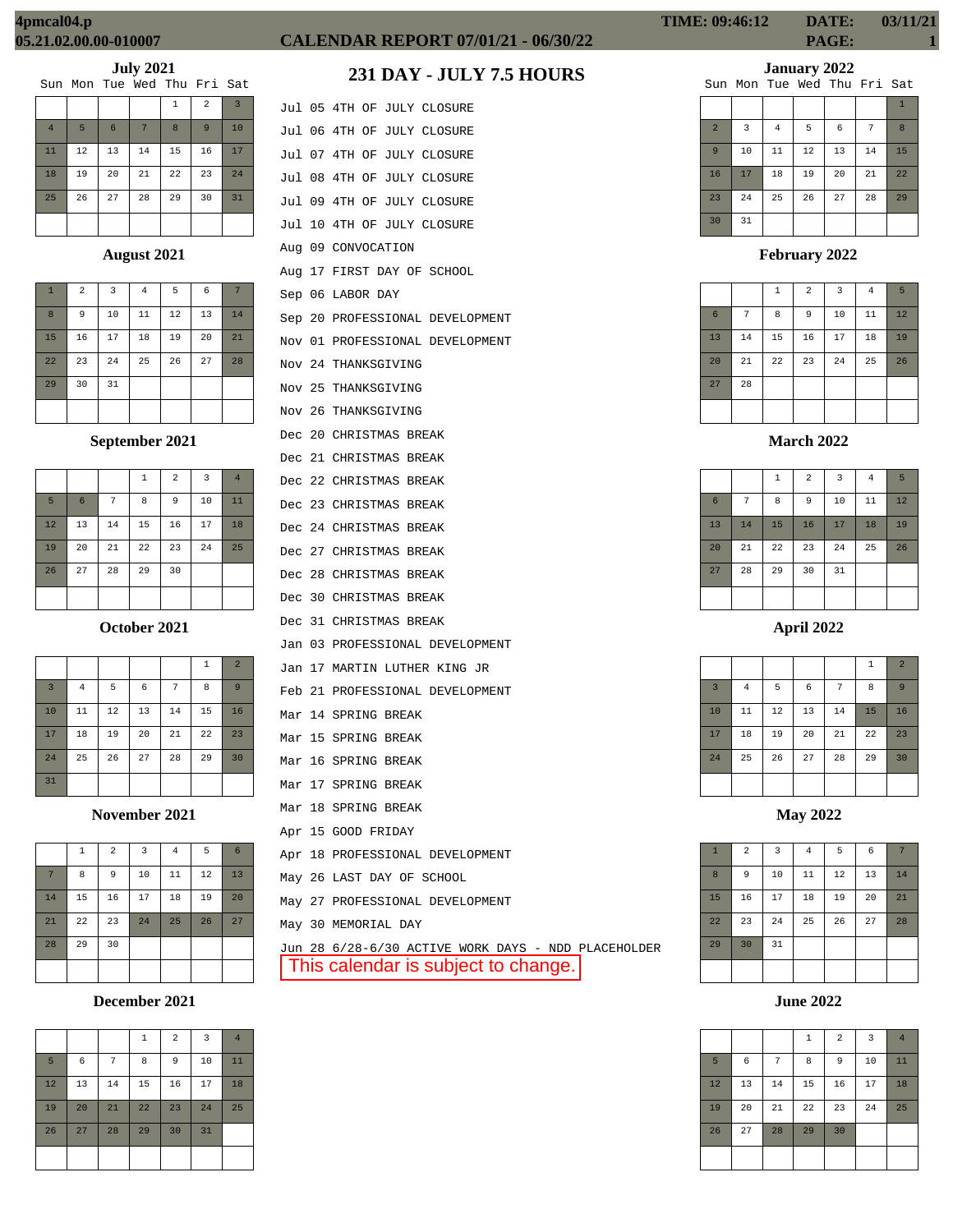# **CALENDAR REPORT 07/01/21 - 06/30/22 PAGE: 1**

Jul 05 4TH OF JULY CLOSURE Jul 06 4TH OF JULY CLOSURE Jul 07 4TH OF JULY CLOSURE Jul 08 4TH OF JULY CLOSURE Jul 09 4TH OF JULY CLOSURE

**231 DAY - JULY 7.5 HOURS**

# **January 2022**

|                             | $0$ unuury 2022 |  |  |
|-----------------------------|-----------------|--|--|
| Sun Mon Tue Wed Thu Fri Sat |                 |  |  |

|                | DUII NOII IUC MCU IIIU III DUC |                |    |    |    |              |
|----------------|--------------------------------|----------------|----|----|----|--------------|
|                |                                |                |    |    |    | $\mathbf{1}$ |
| $\overline{2}$ | 3                              | $\overline{4}$ | 5  | 6  | 7  | 8            |
| $\overline{9}$ | 10                             | 11             | 12 | 13 | 14 | 15           |
| 16             | 17                             | 18             | 19 | 20 | 21 | 22           |
| 23             | 24                             | 25             | 26 | 27 | 28 | 29           |
| 30             | 31                             |                |    |    |    |              |

**February 2022**

|                 |    | $\mathbf{1}$ | $\overline{a}$ | $\overline{3}$ | $\overline{4}$ | 5  |
|-----------------|----|--------------|----------------|----------------|----------------|----|
| $6\overline{6}$ | 7  | 8            | 9              | 10             | 11             | 12 |
| 13              | 14 | 15           | 16             | 17             | 18             | 19 |
| 20              | 21 | 22           | 23             | 24             | 25             | 26 |
| 27              | 28 |              |                |                |                |    |
|                 |    |              |                |                |                |    |

**March 2022**

|                 |    | $\mathbf{1}$ | $\overline{2}$ | $\overline{3}$ | $\overline{4}$ | 5  |
|-----------------|----|--------------|----------------|----------------|----------------|----|
| $6\phantom{.}6$ | 7  | 8            | 9              | 10             | 11             | 12 |
| 13              | 14 | 15           | 16             | 17             | 18             | 19 |
| 20              | 21 | 22           | 23             | 24             | 25             | 26 |
| 27              | 28 | 29           | 30             | 31             |                |    |
|                 |    |              |                |                |                |    |

**April 2022**

|                |                |    |    |    | 1  | $\overline{2}$ |
|----------------|----------------|----|----|----|----|----------------|
| $\overline{3}$ | $\overline{4}$ | 5  | 6  | 7  | 8  | 9              |
| 10             | $11\,$         | 12 | 13 | 14 | 15 | 16             |
| 17             | 18             | 19 | 20 | 21 | 22 | 23             |
| 24             | 25             | 26 | 27 | 28 | 29 | 30             |
|                |                |    |    |    |    |                |

**May 2022**

| $\mathbf{1}$ | $\overline{a}$ | $\overline{\mathbf{3}}$ | $\overline{4}$ | 5  | $\epsilon$ |    |
|--------------|----------------|-------------------------|----------------|----|------------|----|
| 8            | 9              | 10                      | $11\,$         | 12 | 13         | 14 |
| 15           | 16             | 17                      | 18             | 19 | 20         | 21 |
| 22           | 23             | 24                      | 25             | 26 | 27         | 28 |
| 29           | 30             | 31                      |                |    |            |    |
|              |                |                         |                |    |            |    |

**June 2022**

|    |    |    | $\mathbf{1}$ | $\overline{2}$ | $\overline{3}$ | $\overline{4}$ |
|----|----|----|--------------|----------------|----------------|----------------|
| 5  | 6  | 7  | 8            | 9              | 10             | 11             |
| 12 | 13 | 14 | 15           | 16             | 17             | 18             |
| 19 | 20 | 21 | 22           | 23             | 24             | 25             |
| 26 | 27 | 28 | 29           | 30             |                |                |
|    |    |    |              |                |                |                |

# **July 2021**

|  | Sun Mon Tue Wed Thu Fri Sat |  |  |
|--|-----------------------------|--|--|
|  |                             |  |  |

|                |    |                 |    | $\mathbf{1}$ | $\overline{a}$ | $\overline{3}$ |
|----------------|----|-----------------|----|--------------|----------------|----------------|
| $\overline{4}$ | 5  | $6\phantom{1}6$ | 7  | 8            | 9              | 10             |
| 11             | 12 | 13              | 14 | 15           | 16             | 17             |
| 18             | 19 | 20              | 21 | 22           | 23             | 24             |
| 25             | 26 | 27              | 28 | 29           | 30             | 31             |
|                |    |                 |    |              |                |                |

## **August 2021**

| $\mathbf{1}$ | $\overline{2}$ | $\overline{3}$ | $\overline{4}$ | 5  | 6  | 7  |
|--------------|----------------|----------------|----------------|----|----|----|
| 8            | 9              | 10             | 11             | 12 | 13 | 14 |
| 15           | 16             | 17             | 18             | 19 | 20 | 21 |
| 22           | 23             | 24             | 25             | 26 | 27 | 28 |
| 29           | 30             | 31             |                |    |    |    |
|              |                |                |                |    |    |    |

# **September 2021**

|    |                |    | $\mathbf{1}$ | $\overline{a}$ | $\overline{\mathbf{3}}$ | $\overline{4}$ |
|----|----------------|----|--------------|----------------|-------------------------|----------------|
| 5  | $6\phantom{1}$ | 7  | 8            | 9              | 10                      | 11             |
| 12 | 13             | 14 | 15           | 16             | 17                      | 18             |
| 19 | 20             | 21 | 22           | 23             | 24                      | 25             |
| 26 | 27             | 28 | 29           | 30             |                         |                |
|    |                |    |              |                |                         |                |

#### **October 2021**

|                |                |    |    |    | $\mathbf{1}$ | $\overline{a}$ |
|----------------|----------------|----|----|----|--------------|----------------|
| $\overline{3}$ | $\overline{4}$ | 5  | 6  | 7  | 8            | 9              |
| 10             | 11             | 12 | 13 | 14 | 15           | 16             |
| 17             | 18             | 19 | 20 | 21 | 22           | 23             |
| 24             | 25             | 26 | 27 | 28 | 29           | 30             |
| 31             |                |    |    |    |              |                |

**November 2021**

|    | 1  | $\overline{a}$ | $\overline{3}$ | $\overline{4}$ | 5  | $6\phantom{1}6$ |
|----|----|----------------|----------------|----------------|----|-----------------|
| 7  | 8  | 9              | 10             | 11             | 12 | 13              |
| 14 | 15 | 16             | 17             | 18             | 19 | 20              |
| 21 | 22 | 23             | 24             | 25             | 26 | 27              |
| 28 | 29 | 30             |                |                |    |                 |
|    |    |                |                |                |    |                 |

# **December 2021**

|    |    |    | $\mathbf{1}$ | $\overline{a}$ | $\overline{3}$ | $\overline{4}$ |
|----|----|----|--------------|----------------|----------------|----------------|
| 5  | 6  | 7  | 8            | 9              | 10             | 11             |
| 12 | 13 | 14 | 15           | 16             | 17             | 18             |
| 19 | 20 | 21 | 22           | 23             | 24             | 25             |
| 26 | 27 | 28 | 29           | 30             | 31             |                |
|    |    |    |              |                |                |                |

|  | Jul 10 4TH OF JULY CLOSURE      |
|--|---------------------------------|
|  | Aug 09 CONVOCATION              |
|  | Aug 17 FIRST DAY OF SCHOOL      |
|  | Sep 06 LABOR DAY                |
|  | Sep 20 PROFESSIONAL DEVELOPMENT |
|  | Nov 01 PROFESSIONAL DEVELOPMENT |
|  | Nov 24 THANKSGIVING             |
|  | Nov 25 THANKSGIVING             |
|  | Nov 26 THANKSGIVING             |
|  | Dec 20 CHRISTMAS BREAK          |
|  | Dec 21 CHRISTMAS BREAK          |
|  | Dec 22 CHRISTMAS BREAK          |
|  | Dec 23 CHRISTMAS BREAK          |
|  | Dec 24 CHRISTMAS BREAK          |
|  | Dec 27 CHRISTMAS BREAK          |
|  | Dec 28 CHRISTMAS BREAK          |
|  | Dec 30 CHRISTMAS BREAK          |
|  | Dec 31 CHRISTMAS BREAK          |
|  | Jan 03 PROFESSIONAL DEVELOPMENT |
|  | Jan 17 MARTIN LUTHER KING JR    |
|  | Feb 21 PROFESSIONAL DEVELOPMENT |
|  | Mar 14 SPRING BREAK             |
|  | Mar 15 SPRING BREAK             |
|  | Mar 16 SPRING BREAK             |
|  | Mar 17 SPRING BREAK             |
|  | Mar 18 SPRING BREAK             |
|  | Apr 15 GOOD FRIDAY              |
|  | Apr 18 PROFESSIONAL DEVELOPMENT |
|  | May 26 LAST DAY OF SCHOOL       |
|  | May 27 PROFESSIONAL DEVELOPMENT |
|  | May 30 MEMORIAL DAY             |

Jun 28 6/28-6/30 ACTIVE WORK DAYS - NDD PLACEHOLDER This calendar is subject to change.